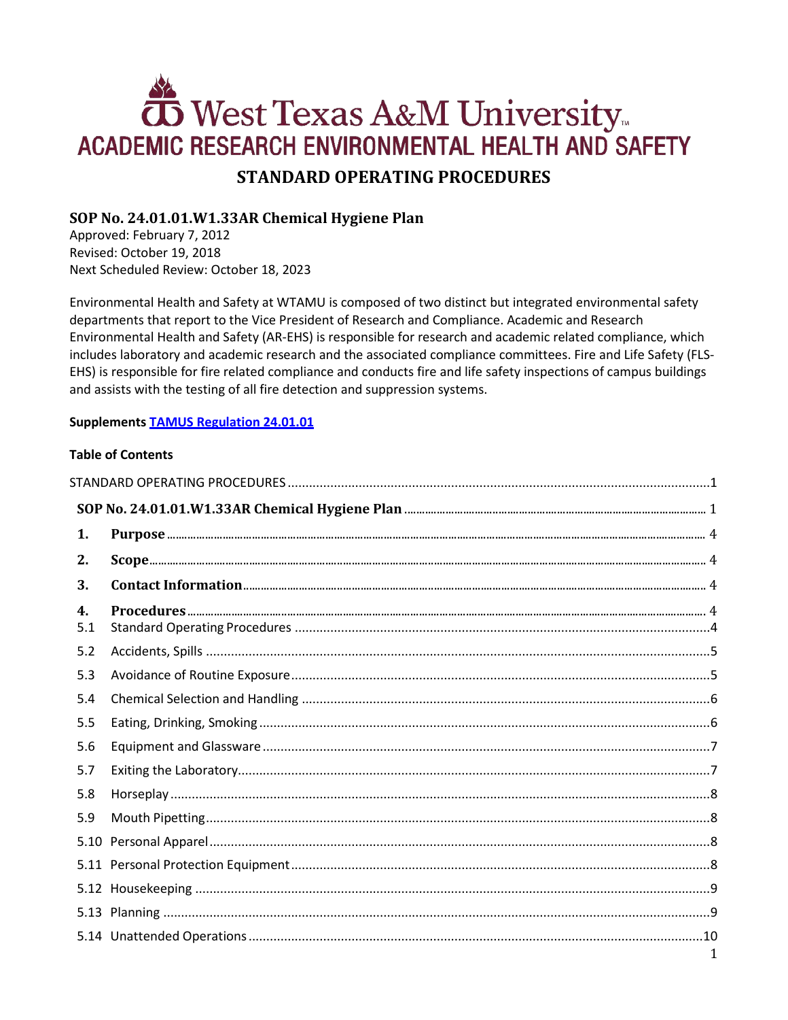# West Texas A&M University ACADEMIC RESEARCH ENVIRONMENTAL HEALTH AND SAFETY **STANDARD OPERATING PROCEDURES**

# <span id="page-0-1"></span><span id="page-0-0"></span>SOP No. 24.01.01.W1.33AR Chemical Hygiene Plan

Approved: February 7, 2012 Revised: October 19, 2018 Next Scheduled Review: October 18, 2023

Environmental Health and Safety at WTAMU is composed of two distinct but integrated environmental safety departments that report to the Vice President of Research and Compliance. Academic and Research Environmental Health and Safety (AR-EHS) is responsible for research and academic related compliance, which includes laboratory and academic research and the associated compliance committees. Fire and Life Safety (FLS-EHS) is responsible for fire related compliance and conducts fire and life safety inspections of campus buildings and assists with the testing of all fire detection and suppression systems.

#### **Supplements TAMUS Regulation 24.01.01**

#### **Table of Contents**

| 1.        |  |  |  |
|-----------|--|--|--|
| 2.        |  |  |  |
| 3.        |  |  |  |
| 4.<br>5.1 |  |  |  |
| 5.2       |  |  |  |
| 5.3       |  |  |  |
| 5.4       |  |  |  |
| 5.5       |  |  |  |
| 5.6       |  |  |  |
| 5.7       |  |  |  |
| 5.8       |  |  |  |
| 5.9       |  |  |  |
|           |  |  |  |
|           |  |  |  |
|           |  |  |  |
|           |  |  |  |
|           |  |  |  |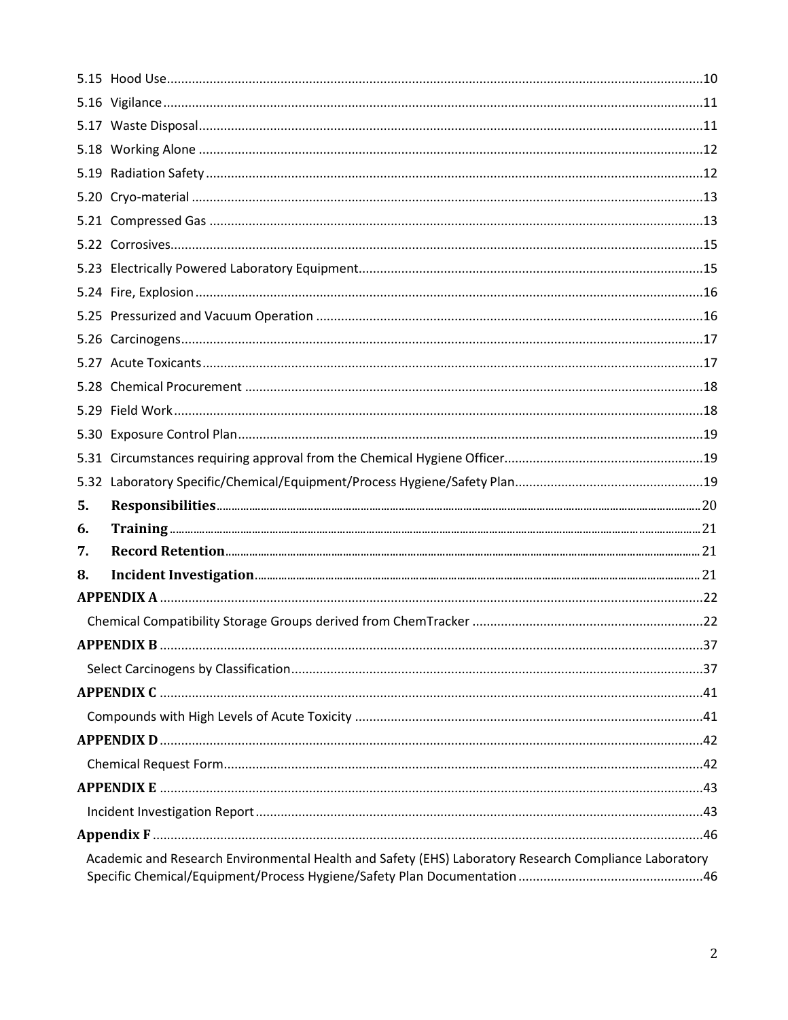| 5. |                                                                                                       |  |  |
|----|-------------------------------------------------------------------------------------------------------|--|--|
| 6. |                                                                                                       |  |  |
| 7. |                                                                                                       |  |  |
| 8. |                                                                                                       |  |  |
|    |                                                                                                       |  |  |
|    |                                                                                                       |  |  |
|    |                                                                                                       |  |  |
|    |                                                                                                       |  |  |
|    |                                                                                                       |  |  |
|    |                                                                                                       |  |  |
|    |                                                                                                       |  |  |
|    |                                                                                                       |  |  |
|    |                                                                                                       |  |  |
|    |                                                                                                       |  |  |
|    |                                                                                                       |  |  |
|    | Academic and Research Environmental Health and Safety (EHS) Laboratory Research Compliance Laboratory |  |  |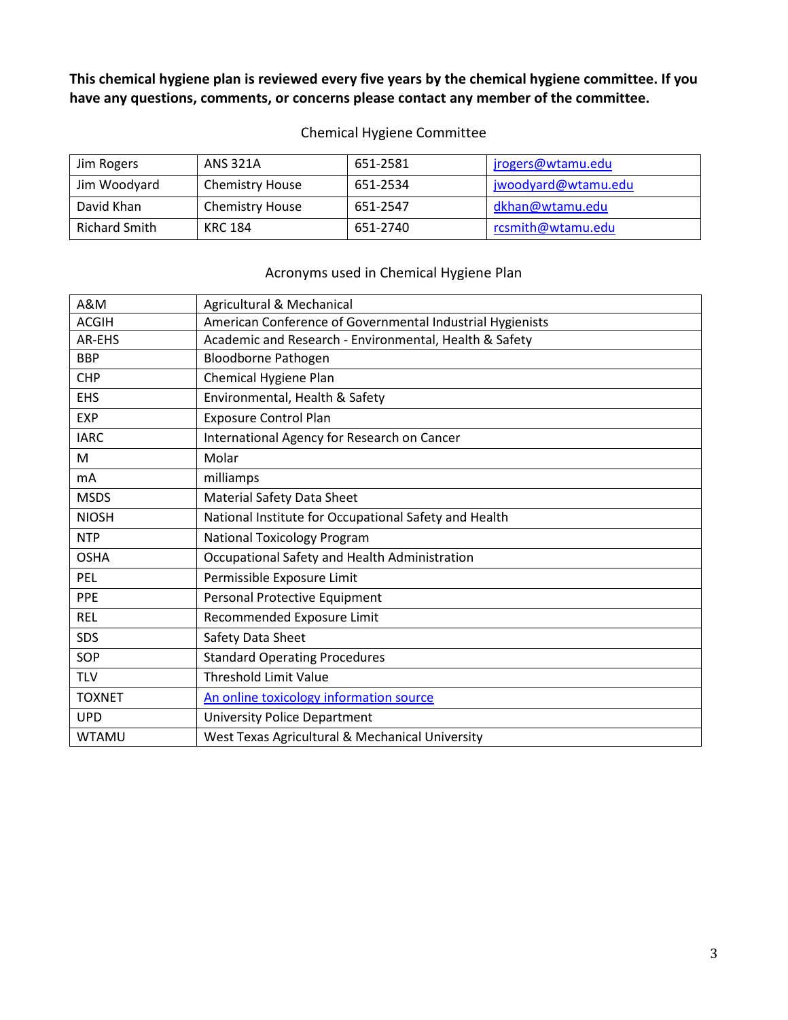**This chemical hygiene plan is reviewed every five years by the chemical hygiene committee. If you have any questions, comments, or concerns please contact any member of the committee.**

# Chemical Hygiene Committee

| Jim Rogers    | <b>ANS 321A</b>        | 651-2581 | jrogers@wtamu.edu   |
|---------------|------------------------|----------|---------------------|
| Jim Woodyard  | <b>Chemistry House</b> | 651-2534 | jwoodyard@wtamu.edu |
| David Khan    | <b>Chemistry House</b> | 651-2547 | dkhan@wtamu.edu     |
| Richard Smith | KRC 184                | 651-2740 | rcsmith@wtamu.edu   |

# Acronyms used in Chemical Hygiene Plan

| <b>A&amp;M</b> | Agricultural & Mechanical                                 |  |
|----------------|-----------------------------------------------------------|--|
| <b>ACGIH</b>   | American Conference of Governmental Industrial Hygienists |  |
| AR-EHS         | Academic and Research - Environmental, Health & Safety    |  |
| <b>BBP</b>     | <b>Bloodborne Pathogen</b>                                |  |
| <b>CHP</b>     | Chemical Hygiene Plan                                     |  |
| <b>EHS</b>     | Environmental, Health & Safety                            |  |
| <b>EXP</b>     | <b>Exposure Control Plan</b>                              |  |
| <b>IARC</b>    | International Agency for Research on Cancer               |  |
| M              | Molar                                                     |  |
| mA             | milliamps                                                 |  |
| <b>MSDS</b>    | <b>Material Safety Data Sheet</b>                         |  |
| <b>NIOSH</b>   | National Institute for Occupational Safety and Health     |  |
| <b>NTP</b>     | <b>National Toxicology Program</b>                        |  |
| <b>OSHA</b>    | Occupational Safety and Health Administration             |  |
| PEL            | Permissible Exposure Limit                                |  |
| <b>PPE</b>     | Personal Protective Equipment                             |  |
| <b>REL</b>     | Recommended Exposure Limit                                |  |
| SDS            | Safety Data Sheet                                         |  |
| SOP            | <b>Standard Operating Procedures</b>                      |  |
| <b>TLV</b>     | Threshold Limit Value                                     |  |
| <b>TOXNET</b>  | An online toxicology information source                   |  |
| <b>UPD</b>     | <b>University Police Department</b>                       |  |
| <b>WTAMU</b>   | West Texas Agricultural & Mechanical University           |  |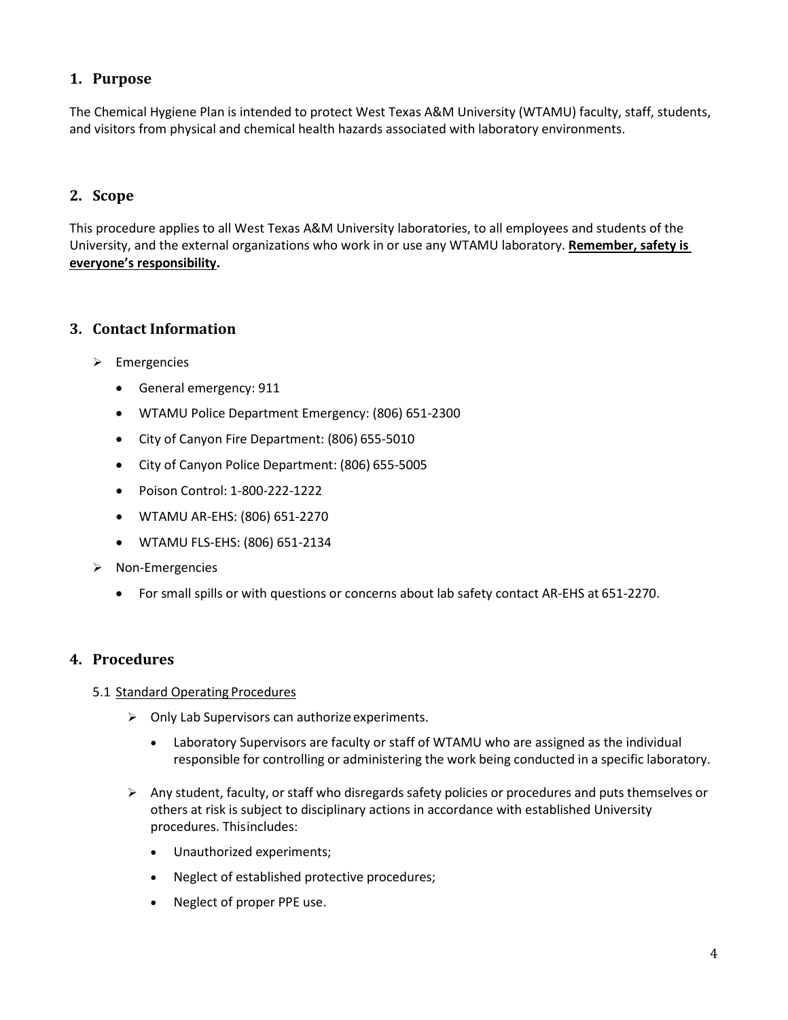# <span id="page-3-0"></span>**1. Purpose**

The Chemical Hygiene Plan is intended to protect West Texas A&M University (WTAMU) faculty, staff, students, and visitors from physical and chemical health hazards associated with laboratory environments.

# <span id="page-3-1"></span>**2. Scope**

This procedure applies to all West Texas A&M University laboratories, to all employees and students of the University, and the external organizations who work in or use any WTAMU laboratory. **Remember, safety is everyone's responsibility.**

# <span id="page-3-2"></span>**3. Contact Information**

- $\triangleright$  Emergencies
	- General emergency: 911
	- WTAMU Police Department Emergency: (806) 651-2300
	- City of Canyon Fire Department: (806) 655-5010
	- City of Canyon Police Department: (806) 655-5005
	- Poison Control: 1-800-222-1222
	- WTAMU AR-EHS: (806) 651-2270
	- WTAMU FLS-EHS: (806) 651-2134
- > Non-Emergencies
	- For small spills or with questions or concerns about lab safety contact AR-EHS at 651-2270.

#### <span id="page-3-3"></span>**4. Procedures**

#### <span id="page-3-4"></span>5.1 Standard Operating Procedures

- $\triangleright$  Only Lab Supervisors can authorize experiments.
	- Laboratory Supervisors are faculty or staff of WTAMU who are assigned as the individual responsible for controlling or administering the work being conducted in a specific laboratory.
- $\triangleright$  Any student, faculty, or staff who disregards safety policies or procedures and puts themselves or others at risk is subject to disciplinary actions in accordance with established University procedures. Thisincludes:
	- Unauthorized experiments;
	- Neglect of established protective procedures;
	- Neglect of proper PPE use.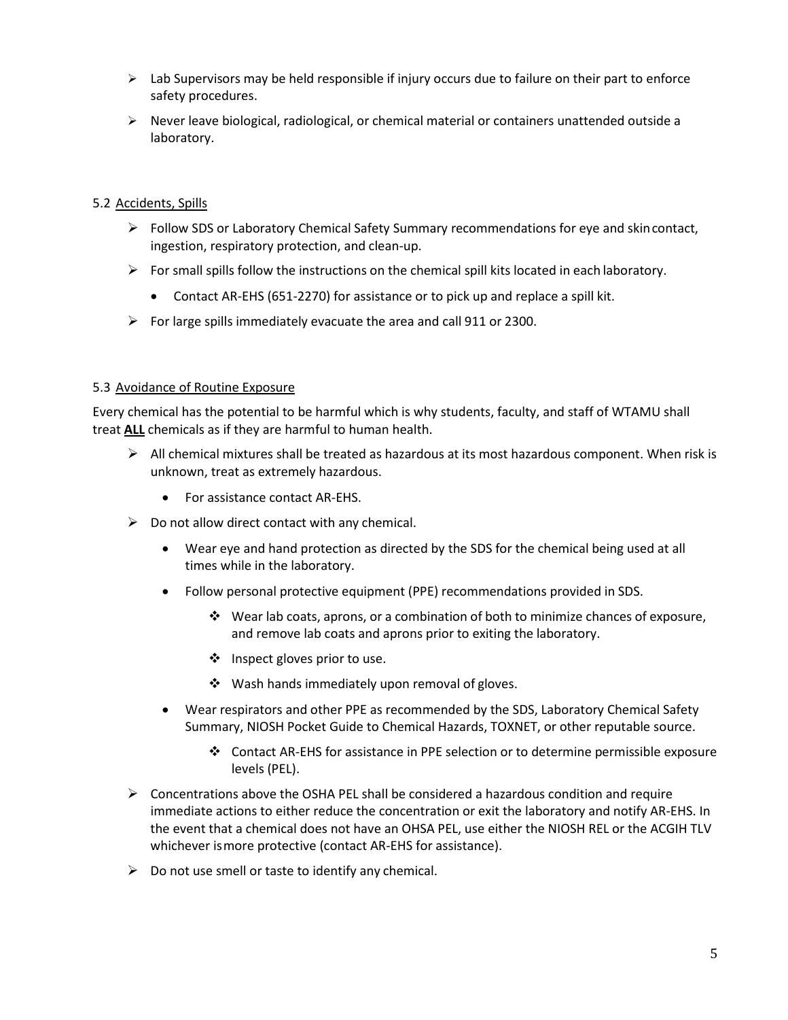- $\triangleright$  Lab Supervisors may be held responsible if injury occurs due to failure on their part to enforce safety procedures.
- $\triangleright$  Never leave biological, radiological, or chemical material or containers unattended outside a laboratory.

#### <span id="page-4-0"></span>5.2 Accidents, Spills

- $\triangleright$  Follow SDS or Laboratory Chemical Safety Summary recommendations for eye and skin contact, ingestion, respiratory protection, and clean-up.
- $\triangleright$  For small spills follow the instructions on the chemical spill kits located in each laboratory.
	- Contact AR-EHS (651-2270) for assistance or to pick up and replace a spill kit.
- $\triangleright$  For large spills immediately evacuate the area and call 911 or 2300.

#### <span id="page-4-1"></span>5.3 Avoidance of Routine Exposure

Every chemical has the potential to be harmful which is why students, faculty, and staff of WTAMU shall treat **ALL** chemicals as if they are harmful to human health.

- $\triangleright$  All chemical mixtures shall be treated as hazardous at its most hazardous component. When risk is unknown, treat as extremely hazardous.
	- For assistance contact AR-EHS.
- $\triangleright$  Do not allow direct contact with any chemical.
	- Wear eye and hand protection as directed by the SDS for the chemical being used at all times while in the laboratory.
	- Follow personal protective equipment (PPE) recommendations provided in SDS.
		- $\div$  Wear lab coats, aprons, or a combination of both to minimize chances of exposure, and remove lab coats and aprons prior to exiting the laboratory.
		- ❖ Inspect gloves prior to use.
		- ❖ Wash hands immediately upon removal of gloves.
	- Wear respirators and other PPE as recommended by the SDS, Laboratory Chemical Safety Summary, NIOSH Pocket Guide to Chemical Hazards, TOXNET, or other reputable source.
		- Contact AR-EHS for assistance in PPE selection or to determine permissible exposure levels (PEL).
- $\triangleright$  Concentrations above the OSHA PEL shall be considered a hazardous condition and require immediate actions to either reduce the concentration or exit the laboratory and notify AR-EHS. In the event that a chemical does not have an OHSA PEL, use either the NIOSH REL or the ACGIH TLV whichever ismore protective (contact AR-EHS for assistance).
- $\triangleright$  Do not use smell or taste to identify any chemical.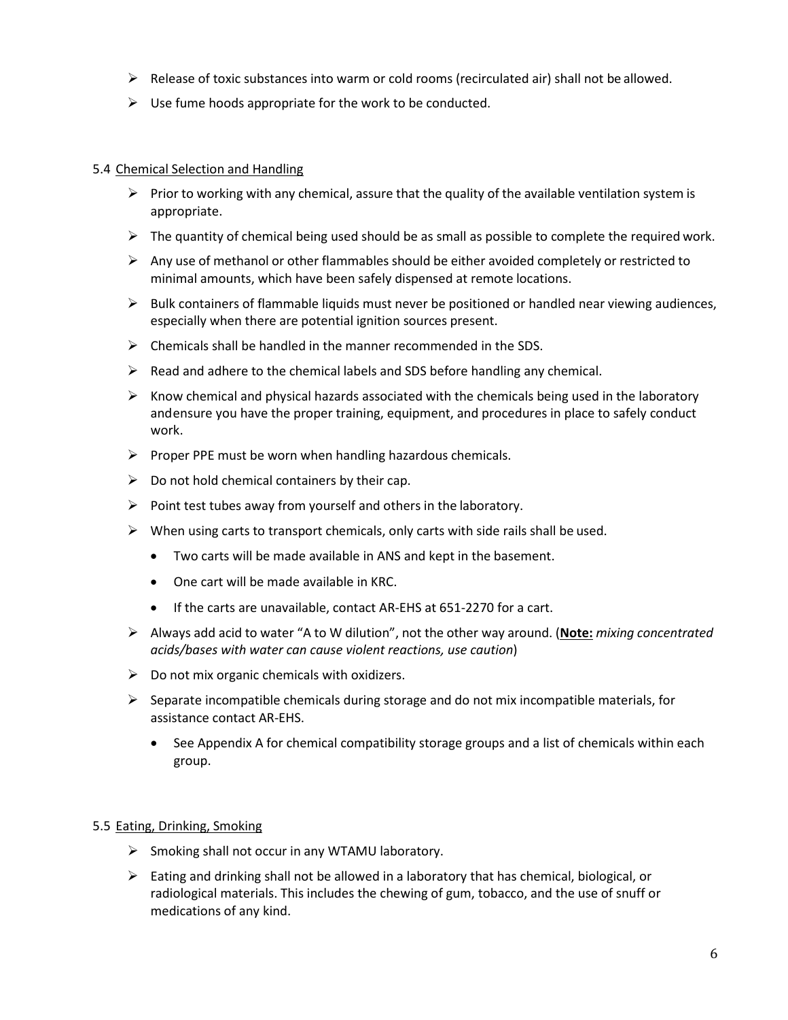- $\triangleright$  Release of toxic substances into warm or cold rooms (recirculated air) shall not be allowed.
- $\triangleright$  Use fume hoods appropriate for the work to be conducted.

#### <span id="page-5-0"></span>5.4 Chemical Selection and Handling

- $\triangleright$  Prior to working with any chemical, assure that the quality of the available ventilation system is appropriate.
- $\triangleright$  The quantity of chemical being used should be as small as possible to complete the required work.
- $\triangleright$  Any use of methanol or other flammables should be either avoided completely or restricted to minimal amounts, which have been safely dispensed at remote locations.
- $\triangleright$  Bulk containers of flammable liquids must never be positioned or handled near viewing audiences, especially when there are potential ignition sources present.
- $\triangleright$  Chemicals shall be handled in the manner recommended in the SDS.
- $\triangleright$  Read and adhere to the chemical labels and SDS before handling any chemical.
- $\triangleright$  Know chemical and physical hazards associated with the chemicals being used in the laboratory andensure you have the proper training, equipment, and procedures in place to safely conduct work.
- $\triangleright$  Proper PPE must be worn when handling hazardous chemicals.
- $\triangleright$  Do not hold chemical containers by their cap.
- $\triangleright$  Point test tubes away from yourself and others in the laboratory.
- $\triangleright$  When using carts to transport chemicals, only carts with side rails shall be used.
	- Two carts will be made available in ANS and kept in the basement.
	- One cart will be made available in KRC.
	- If the carts are unavailable, contact AR-EHS at 651-2270 for a cart.
- Always add acid to water "A to W dilution", not the other way around. (**Note:** *mixing concentrated acids/bases with water can cause violent reactions, use caution*)
- $\triangleright$  Do not mix organic chemicals with oxidizers.
- $\triangleright$  Separate incompatible chemicals during storage and do not mix incompatible materials, for assistance contact AR-EHS.
	- See Appendix A for chemical compatibility storage groups and a list of chemicals within each group.

#### <span id="page-5-1"></span>5.5 Eating, Drinking, Smoking

- $\triangleright$  Smoking shall not occur in any WTAMU laboratory.
- $\triangleright$  Eating and drinking shall not be allowed in a laboratory that has chemical, biological, or radiological materials. This includes the chewing of gum, tobacco, and the use of snuff or medications of any kind.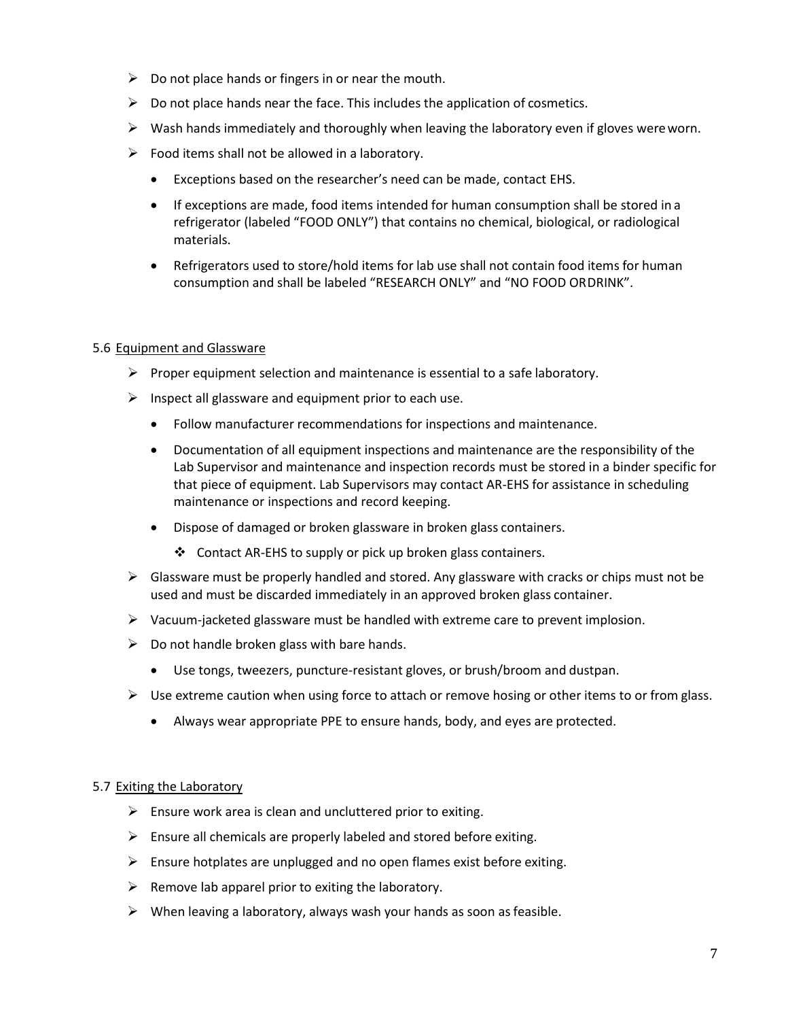- $\triangleright$  Do not place hands or fingers in or near the mouth.
- $\triangleright$  Do not place hands near the face. This includes the application of cosmetics.
- $\triangleright$  Wash hands immediately and thoroughly when leaving the laboratory even if gloves were worn.
- $\triangleright$  Food items shall not be allowed in a laboratory.
	- Exceptions based on the researcher's need can be made, contact EHS.
	- If exceptions are made, food items intended for human consumption shall be stored in a refrigerator (labeled "FOOD ONLY") that contains no chemical, biological, or radiological materials.
	- Refrigerators used to store/hold items for lab use shall not contain food items for human consumption and shall be labeled "RESEARCH ONLY" and "NO FOOD ORDRINK".

#### <span id="page-6-0"></span>5.6 Equipment and Glassware

- $\triangleright$  Proper equipment selection and maintenance is essential to a safe laboratory.
- $\triangleright$  Inspect all glassware and equipment prior to each use.
	- Follow manufacturer recommendations for inspections and maintenance.
	- Documentation of all equipment inspections and maintenance are the responsibility of the Lab Supervisor and maintenance and inspection records must be stored in a binder specific for that piece of equipment. Lab Supervisors may contact AR-EHS for assistance in scheduling maintenance or inspections and record keeping.
	- Dispose of damaged or broken glassware in broken glass containers.
		- ❖ Contact AR-EHS to supply or pick up broken glass containers.
- $\triangleright$  Glassware must be properly handled and stored. Any glassware with cracks or chips must not be used and must be discarded immediately in an approved broken glass container.
- $\triangleright$  Vacuum-jacketed glassware must be handled with extreme care to prevent implosion.
- $\triangleright$  Do not handle broken glass with bare hands.
	- Use tongs, tweezers, puncture-resistant gloves, or brush/broom and dustpan.
- $\triangleright$  Use extreme caution when using force to attach or remove hosing or other items to or from glass.
	- Always wear appropriate PPE to ensure hands, body, and eyes are protected.

#### <span id="page-6-1"></span>5.7 Exiting the Laboratory

- $\triangleright$  Ensure work area is clean and uncluttered prior to exiting.
- $\triangleright$  Ensure all chemicals are properly labeled and stored before exiting.
- $\triangleright$  Ensure hotplates are unplugged and no open flames exist before exiting.
- $\triangleright$  Remove lab apparel prior to exiting the laboratory.
- $\triangleright$  When leaving a laboratory, always wash your hands as soon as feasible.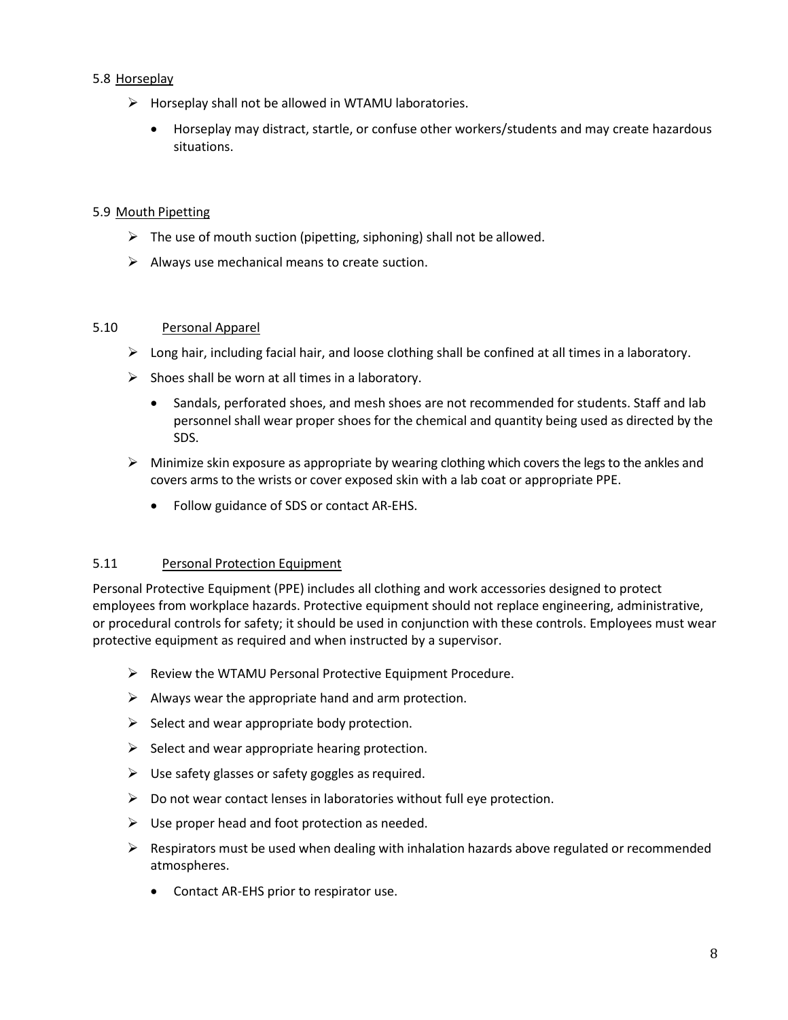#### <span id="page-7-0"></span>5.8 Horseplay

- $\triangleright$  Horseplay shall not be allowed in WTAMU laboratories.
	- Horseplay may distract, startle, or confuse other workers/students and may create hazardous situations.

#### <span id="page-7-1"></span>5.9 Mouth Pipetting

- $\triangleright$  The use of mouth suction (pipetting, siphoning) shall not be allowed.
- $\triangleright$  Always use mechanical means to create suction.

#### <span id="page-7-2"></span>5.10 Personal Apparel

- Long hair, including facial hair, and loose clothing shall be confined at all times in a laboratory.
- $\triangleright$  Shoes shall be worn at all times in a laboratory.
	- Sandals, perforated shoes, and mesh shoes are not recommended for students. Staff and lab personnel shall wear proper shoes for the chemical and quantity being used as directed by the SDS.
- $\triangleright$  Minimize skin exposure as appropriate by wearing clothing which covers the legs to the ankles and covers arms to the wrists or cover exposed skin with a lab coat or appropriate PPE.
	- Follow guidance of SDS or contact AR-EHS.

#### <span id="page-7-3"></span>5.11 Personal Protection Equipment

Personal Protective Equipment (PPE) includes all clothing and work accessories designed to protect employees from workplace hazards. Protective equipment should not replace engineering, administrative, or procedural controls for safety; it should be used in conjunction with these controls. Employees must wear protective equipment as required and when instructed by a supervisor.

- $\triangleright$  Review the WTAMU Personal Protective Equipment Procedure.
- $\triangleright$  Always wear the appropriate hand and arm protection.
- $\triangleright$  Select and wear appropriate body protection.
- $\triangleright$  Select and wear appropriate hearing protection.
- $\triangleright$  Use safety glasses or safety goggles as required.
- $\triangleright$  Do not wear contact lenses in laboratories without full eye protection.
- $\triangleright$  Use proper head and foot protection as needed.
- $\triangleright$  Respirators must be used when dealing with inhalation hazards above regulated or recommended atmospheres.
	- Contact AR-EHS prior to respirator use.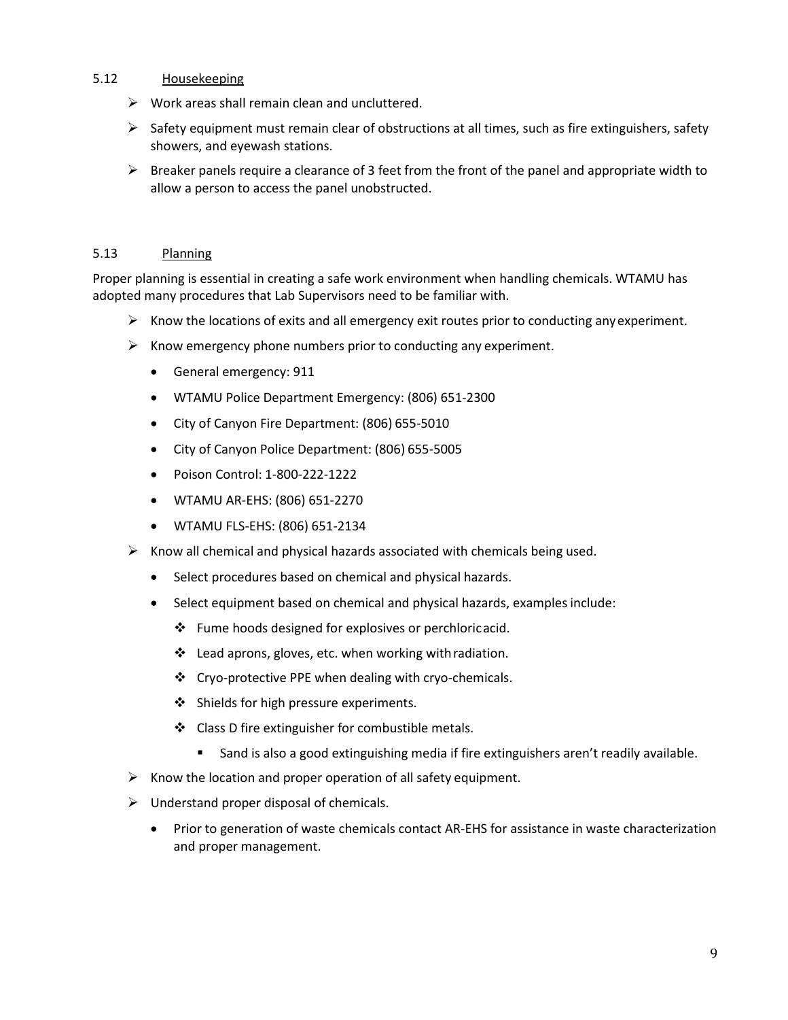#### <span id="page-8-0"></span>5.12 Housekeeping

- $\triangleright$  Work areas shall remain clean and uncluttered.
- $\triangleright$  Safety equipment must remain clear of obstructions at all times, such as fire extinguishers, safety showers, and eyewash stations.
- $\triangleright$  Breaker panels require a clearance of 3 feet from the front of the panel and appropriate width to allow a person to access the panel unobstructed.

#### <span id="page-8-1"></span>5.13 Planning

Proper planning is essential in creating a safe work environment when handling chemicals. WTAMU has adopted many procedures that Lab Supervisors need to be familiar with.

- $\triangleright$  Know the locations of exits and all emergency exit routes prior to conducting any experiment.
- $\triangleright$  Know emergency phone numbers prior to conducting any experiment.
	- General emergency: 911
	- WTAMU Police Department Emergency: (806) 651-2300
	- City of Canyon Fire Department: (806) 655-5010
	- City of Canyon Police Department: (806) 655-5005
	- Poison Control: 1-800-222-1222
	- WTAMU AR-EHS: (806) 651-2270
	- WTAMU FLS-EHS: (806) 651-2134
- $\triangleright$  Know all chemical and physical hazards associated with chemicals being used.
	- Select procedures based on chemical and physical hazards.
	- Select equipment based on chemical and physical hazards, examples include:
		- Fume hoods designed for explosives or perchloricacid.
		- $\cdot$  Lead aprons, gloves, etc. when working with radiation.
		- ❖ Cryo-protective PPE when dealing with cryo-chemicals.
		- Shields for high pressure experiments.
		- $\triangleleft$  Class D fire extinguisher for combustible metals.
			- Sand is also a good extinguishing media if fire extinguishers aren't readily available.
- $\triangleright$  Know the location and proper operation of all safety equipment.
- $\triangleright$  Understand proper disposal of chemicals.
	- Prior to generation of waste chemicals contact AR-EHS for assistance in waste characterization and proper management.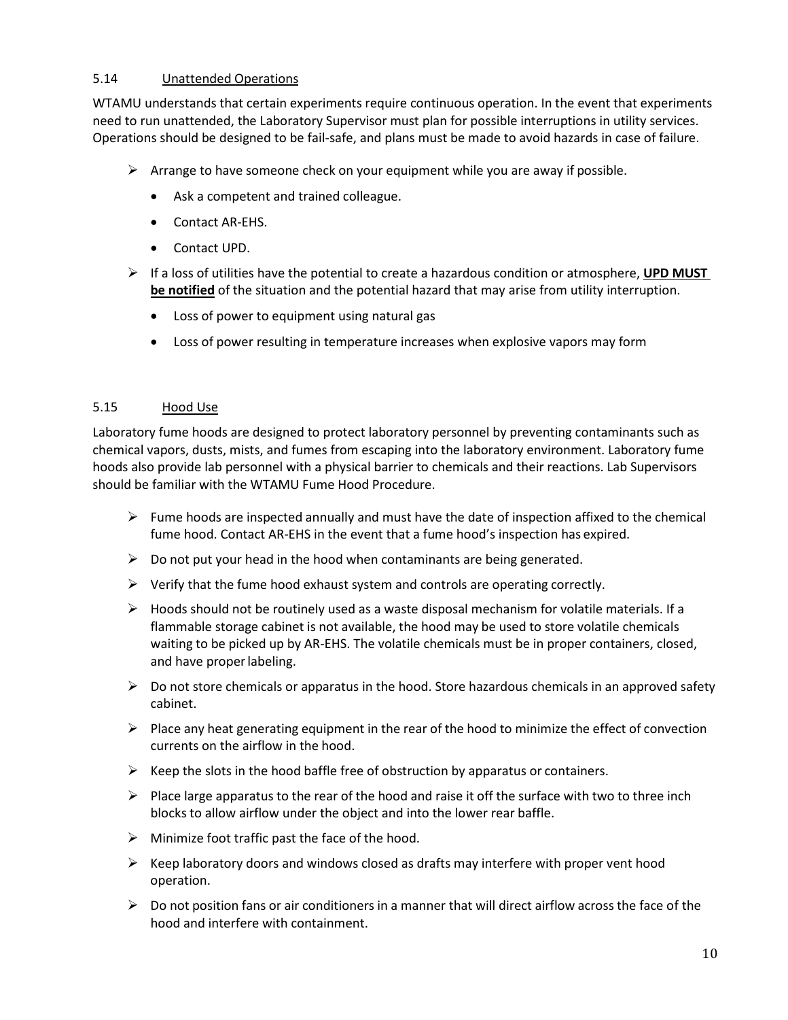#### <span id="page-9-0"></span>5.14 Unattended Operations

WTAMU understands that certain experiments require continuous operation. In the event that experiments need to run unattended, the Laboratory Supervisor must plan for possible interruptions in utility services. Operations should be designed to be fail-safe, and plans must be made to avoid hazards in case of failure.

- $\triangleright$  Arrange to have someone check on your equipment while you are away if possible.
	- Ask a competent and trained colleague.
	- Contact AR-EHS.
	- Contact UPD.
- If a loss of utilities have the potential to create a hazardous condition or atmosphere, **UPD MUST be notified** of the situation and the potential hazard that may arise from utility interruption.
	- Loss of power to equipment using natural gas
	- Loss of power resulting in temperature increases when explosive vapors may form

#### <span id="page-9-1"></span>5.15 Hood Use

Laboratory fume hoods are designed to protect laboratory personnel by preventing contaminants such as chemical vapors, dusts, mists, and fumes from escaping into the laboratory environment. Laboratory fume hoods also provide lab personnel with a physical barrier to chemicals and their reactions. Lab Supervisors should be familiar with the WTAMU Fume Hood Procedure.

- $\triangleright$  Fume hoods are inspected annually and must have the date of inspection affixed to the chemical fume hood. Contact AR-EHS in the event that a fume hood's inspection has expired.
- $\triangleright$  Do not put your head in the hood when contaminants are being generated.
- $\triangleright$  Verify that the fume hood exhaust system and controls are operating correctly.
- $\triangleright$  Hoods should not be routinely used as a waste disposal mechanism for volatile materials. If a flammable storage cabinet is not available, the hood may be used to store volatile chemicals waiting to be picked up by AR-EHS. The volatile chemicals must be in proper containers, closed, and have properlabeling.
- $\triangleright$  Do not store chemicals or apparatus in the hood. Store hazardous chemicals in an approved safety cabinet.
- $\triangleright$  Place any heat generating equipment in the rear of the hood to minimize the effect of convection currents on the airflow in the hood.
- $\triangleright$  Keep the slots in the hood baffle free of obstruction by apparatus or containers.
- $\triangleright$  Place large apparatus to the rear of the hood and raise it off the surface with two to three inch blocks to allow airflow under the object and into the lower rear baffle.
- $\triangleright$  Minimize foot traffic past the face of the hood.
- $\triangleright$  Keep laboratory doors and windows closed as drafts may interfere with proper vent hood operation.
- $\triangleright$  Do not position fans or air conditioners in a manner that will direct airflow across the face of the hood and interfere with containment.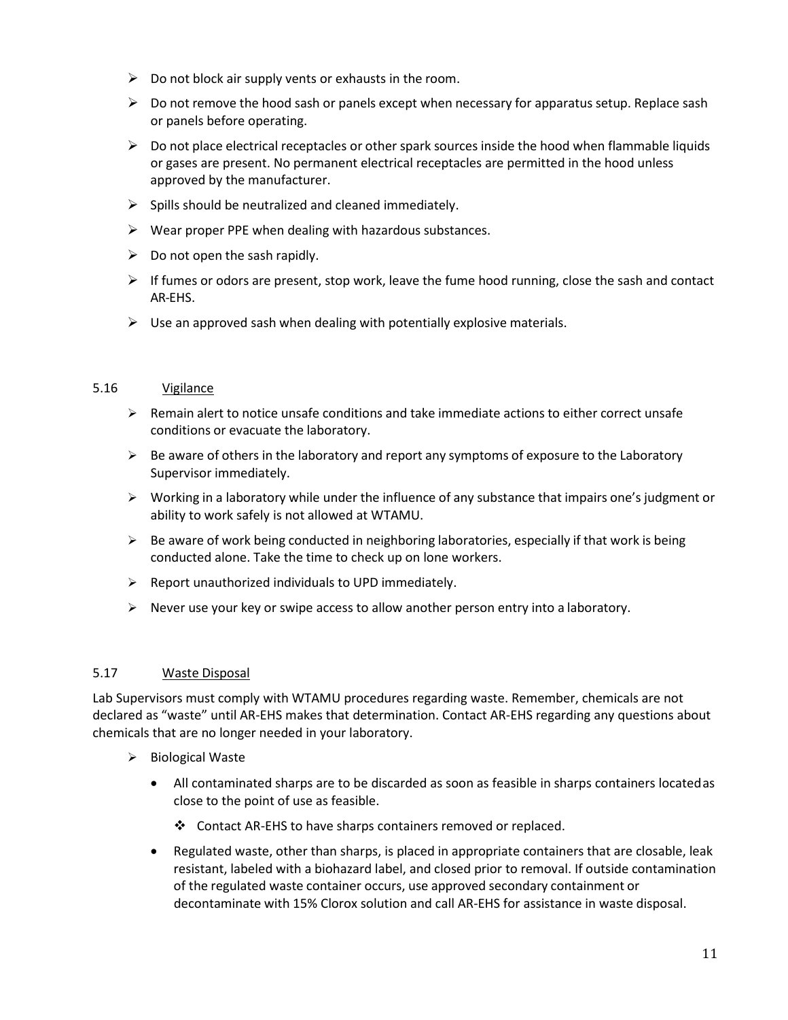- $\triangleright$  Do not block air supply vents or exhausts in the room.
- $\triangleright$  Do not remove the hood sash or panels except when necessary for apparatus setup. Replace sash or panels before operating.
- $\triangleright$  Do not place electrical receptacles or other spark sources inside the hood when flammable liquids or gases are present. No permanent electrical receptacles are permitted in the hood unless approved by the manufacturer.
- $\triangleright$  Spills should be neutralized and cleaned immediately.
- $\triangleright$  Wear proper PPE when dealing with hazardous substances.
- $\triangleright$  Do not open the sash rapidly.
- $\triangleright$  If fumes or odors are present, stop work, leave the fume hood running, close the sash and contact AR-EHS.
- $\triangleright$  Use an approved sash when dealing with potentially explosive materials.

#### <span id="page-10-0"></span>5.16 Vigilance

- $\triangleright$  Remain alert to notice unsafe conditions and take immediate actions to either correct unsafe conditions or evacuate the laboratory.
- $\triangleright$  Be aware of others in the laboratory and report any symptoms of exposure to the Laboratory Supervisor immediately.
- $\triangleright$  Working in a laboratory while under the influence of any substance that impairs one's judgment or ability to work safely is not allowed at WTAMU.
- $\triangleright$  Be aware of work being conducted in neighboring laboratories, especially if that work is being conducted alone. Take the time to check up on lone workers.
- $\triangleright$  Report unauthorized individuals to UPD immediately.
- $\triangleright$  Never use your key or swipe access to allow another person entry into a laboratory.

#### <span id="page-10-1"></span>5.17 Waste Disposal

Lab Supervisors must comply with WTAMU procedures regarding waste. Remember, chemicals are not declared as "waste" until AR-EHS makes that determination. Contact AR-EHS regarding any questions about chemicals that are no longer needed in your laboratory.

- $\triangleright$  Biological Waste
	- All contaminated sharps are to be discarded as soon as feasible in sharps containers locatedas close to the point of use as feasible.
		- Contact AR-EHS to have sharps containers removed or replaced.
	- Regulated waste, other than sharps, is placed in appropriate containers that are closable, leak resistant, labeled with a biohazard label, and closed prior to removal. If outside contamination of the regulated waste container occurs, use approved secondary containment or decontaminate with 15% Clorox solution and call AR-EHS for assistance in waste disposal.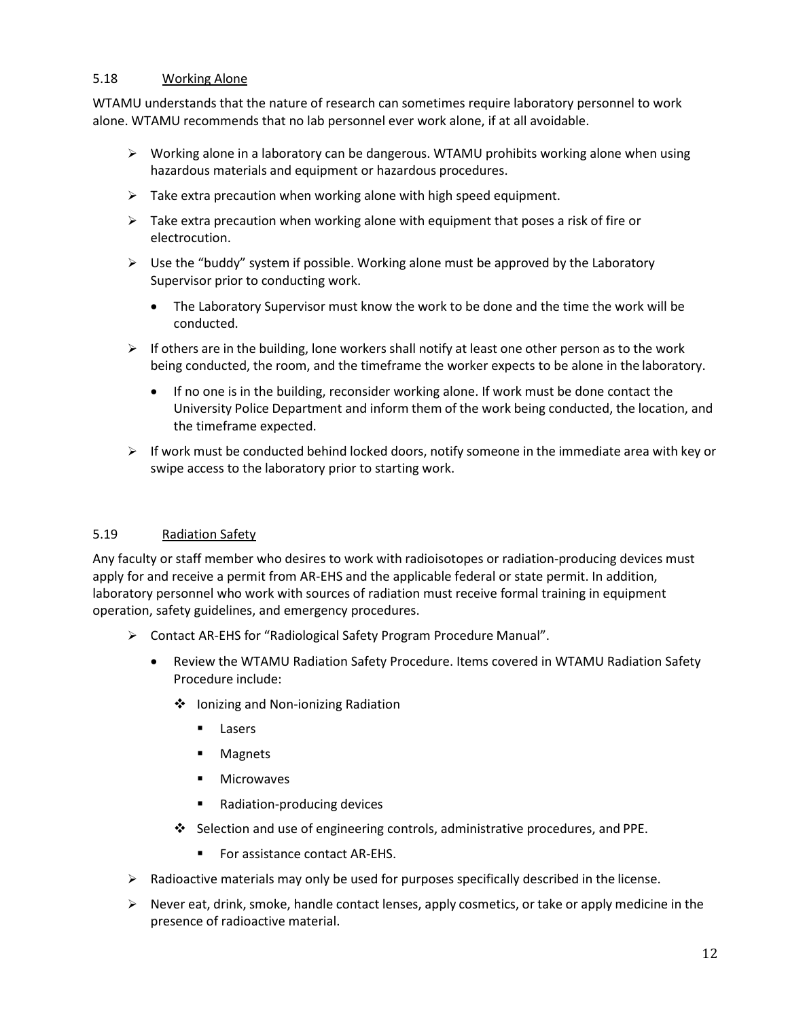#### <span id="page-11-0"></span>5.18 Working Alone

WTAMU understands that the nature of research can sometimes require laboratory personnel to work alone. WTAMU recommends that no lab personnel ever work alone, if at all avoidable.

- $\triangleright$  Working alone in a laboratory can be dangerous. WTAMU prohibits working alone when using hazardous materials and equipment or hazardous procedures.
- $\triangleright$  Take extra precaution when working alone with high speed equipment.
- $\triangleright$  Take extra precaution when working alone with equipment that poses a risk of fire or electrocution.
- $\triangleright$  Use the "buddy" system if possible. Working alone must be approved by the Laboratory Supervisor prior to conducting work.
	- The Laboratory Supervisor must know the work to be done and the time the work will be conducted.
- $\triangleright$  If others are in the building, lone workers shall notify at least one other person as to the work being conducted, the room, and the timeframe the worker expects to be alone in the laboratory.
	- If no one is in the building, reconsider working alone. If work must be done contact the University Police Department and inform them of the work being conducted, the location, and the timeframe expected.
- $\triangleright$  If work must be conducted behind locked doors, notify someone in the immediate area with key or swipe access to the laboratory prior to starting work.

#### <span id="page-11-1"></span>5.19 Radiation Safety

Any faculty or staff member who desires to work with radioisotopes or radiation-producing devices must apply for and receive a permit from AR-EHS and the applicable federal or state permit. In addition, laboratory personnel who work with sources of radiation must receive formal training in equipment operation, safety guidelines, and emergency procedures.

- Contact AR-EHS for "Radiological Safety Program Procedure Manual".
	- Review the WTAMU Radiation Safety Procedure. Items covered in WTAMU Radiation Safety Procedure include:
		- ❖ Ionizing and Non-ionizing Radiation
			- **Lasers**
			- **Magnets**
			- **■** Microwaves
			- Radiation-producing devices
		- Selection and use of engineering controls, administrative procedures, and PPE.
			- For assistance contact AR-EHS.
- $\triangleright$  Radioactive materials may only be used for purposes specifically described in the license.
- $\triangleright$  Never eat, drink, smoke, handle contact lenses, apply cosmetics, or take or apply medicine in the presence of radioactive material.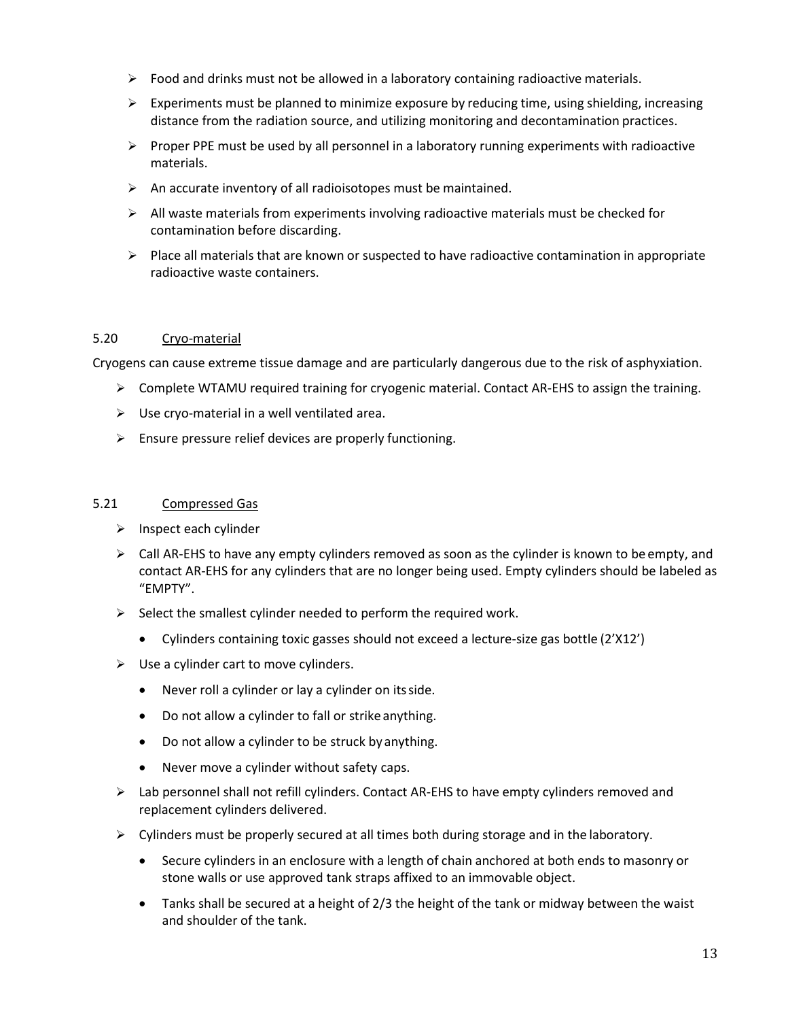- $\triangleright$  Food and drinks must not be allowed in a laboratory containing radioactive materials.
- $\triangleright$  Experiments must be planned to minimize exposure by reducing time, using shielding, increasing distance from the radiation source, and utilizing monitoring and decontamination practices.
- $\triangleright$  Proper PPE must be used by all personnel in a laboratory running experiments with radioactive materials.
- $\triangleright$  An accurate inventory of all radioisotopes must be maintained.
- $\triangleright$  All waste materials from experiments involving radioactive materials must be checked for contamination before discarding.
- $\triangleright$  Place all materials that are known or suspected to have radioactive contamination in appropriate radioactive waste containers.

#### <span id="page-12-0"></span>5.20 Cryo-material

Cryogens can cause extreme tissue damage and are particularly dangerous due to the risk of asphyxiation.

- Complete WTAMU required training for cryogenic material. Contact AR-EHS to assign the training.
- $\triangleright$  Use cryo-material in a well ventilated area.
- $\triangleright$  Ensure pressure relief devices are properly functioning.

#### <span id="page-12-1"></span>5.21 Compressed Gas

- $\triangleright$  Inspect each cylinder
- $\triangleright$  Call AR-EHS to have any empty cylinders removed as soon as the cylinder is known to be empty, and contact AR-EHS for any cylinders that are no longer being used. Empty cylinders should be labeled as "EMPTY".
- $\triangleright$  Select the smallest cylinder needed to perform the required work.
	- Cylinders containing toxic gasses should not exceed a lecture-size gas bottle (2'X12')
- $\triangleright$  Use a cylinder cart to move cylinders.
	- Never roll a cylinder or lay a cylinder on itsside.
	- Do not allow a cylinder to fall or strike anything.
	- Do not allow a cylinder to be struck by anything.
	- Never move a cylinder without safety caps.
- $\triangleright$  Lab personnel shall not refill cylinders. Contact AR-EHS to have empty cylinders removed and replacement cylinders delivered.
- $\triangleright$  Cylinders must be properly secured at all times both during storage and in the laboratory.
	- Secure cylinders in an enclosure with a length of chain anchored at both ends to masonry or stone walls or use approved tank straps affixed to an immovable object.
	- Tanks shall be secured at a height of 2/3 the height of the tank or midway between the waist and shoulder of the tank.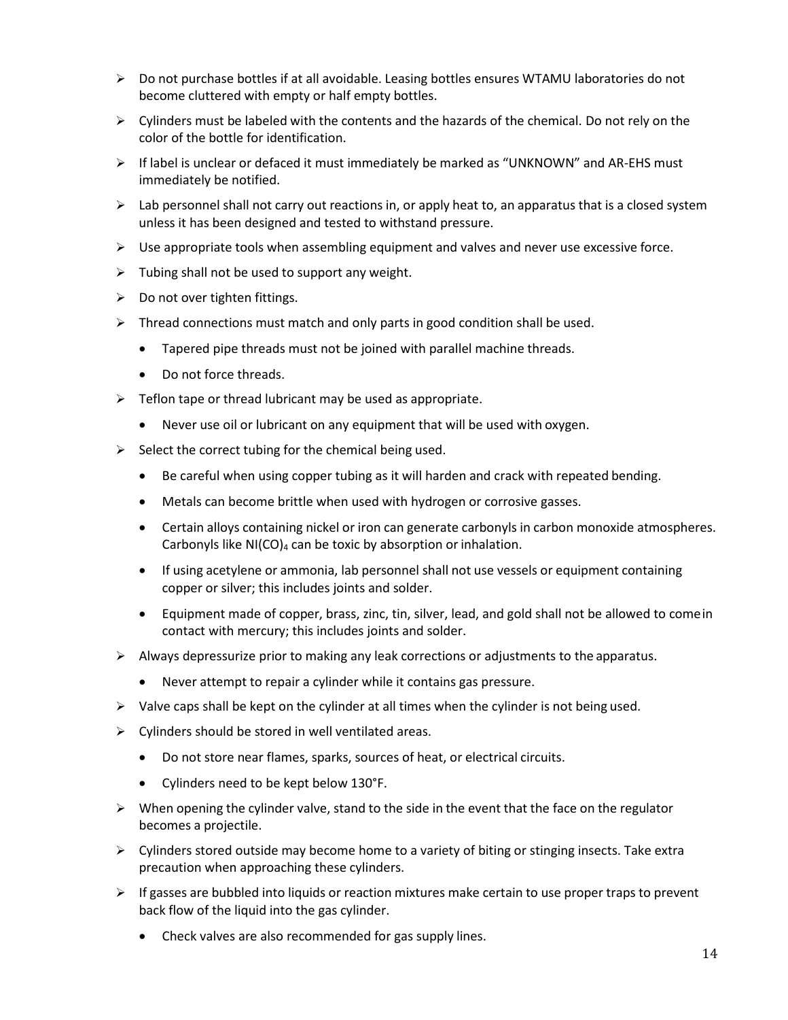- $\triangleright$  Do not purchase bottles if at all avoidable. Leasing bottles ensures WTAMU laboratories do not become cluttered with empty or half empty bottles.
- $\triangleright$  Cylinders must be labeled with the contents and the hazards of the chemical. Do not rely on the color of the bottle for identification.
- $\triangleright$  If label is unclear or defaced it must immediately be marked as "UNKNOWN" and AR-EHS must immediately be notified.
- $\triangleright$  Lab personnel shall not carry out reactions in, or apply heat to, an apparatus that is a closed system unless it has been designed and tested to withstand pressure.
- $\triangleright$  Use appropriate tools when assembling equipment and valves and never use excessive force.
- $\triangleright$  Tubing shall not be used to support any weight.
- $\triangleright$  Do not over tighten fittings.
- $\triangleright$  Thread connections must match and only parts in good condition shall be used.
	- Tapered pipe threads must not be joined with parallel machine threads.
	- Do not force threads.
- $\triangleright$  Teflon tape or thread lubricant may be used as appropriate.
	- Never use oil or lubricant on any equipment that will be used with oxygen.
- $\triangleright$  Select the correct tubing for the chemical being used.
	- Be careful when using copper tubing as it will harden and crack with repeated bending.
	- Metals can become brittle when used with hydrogen or corrosive gasses.
	- Certain alloys containing nickel or iron can generate carbonyls in carbon monoxide atmospheres. Carbonyls like  $NI(CO)<sub>4</sub>$  can be toxic by absorption or inhalation.
	- If using acetylene or ammonia, lab personnel shall not use vessels or equipment containing copper or silver; this includes joints and solder.
	- Equipment made of copper, brass, zinc, tin, silver, lead, and gold shall not be allowed to comein contact with mercury; this includes joints and solder.
- $\triangleright$  Always depressurize prior to making any leak corrections or adjustments to the apparatus.
	- Never attempt to repair a cylinder while it contains gas pressure.
- $\triangleright$  Valve caps shall be kept on the cylinder at all times when the cylinder is not being used.
- $\triangleright$  Cylinders should be stored in well ventilated areas.
	- Do not store near flames, sparks, sources of heat, or electrical circuits.
	- Cylinders need to be kept below 130°F.
- $\triangleright$  When opening the cylinder valve, stand to the side in the event that the face on the regulator becomes a projectile.
- $\triangleright$  Cylinders stored outside may become home to a variety of biting or stinging insects. Take extra precaution when approaching these cylinders.
- $\triangleright$  If gasses are bubbled into liquids or reaction mixtures make certain to use proper traps to prevent back flow of the liquid into the gas cylinder.
	- Check valves are also recommended for gas supply lines.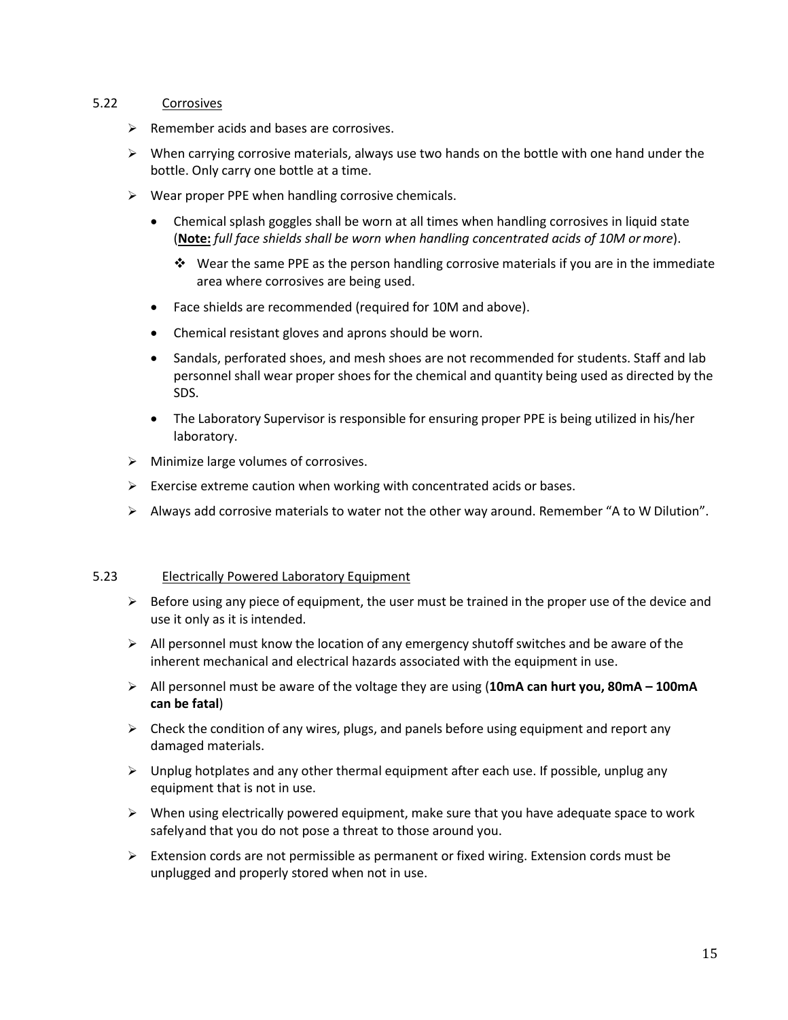#### <span id="page-14-0"></span>5.22 Corrosives

- $\triangleright$  Remember acids and bases are corrosives.
- $\triangleright$  When carrying corrosive materials, always use two hands on the bottle with one hand under the bottle. Only carry one bottle at a time.
- $\triangleright$  Wear proper PPE when handling corrosive chemicals.
	- Chemical splash goggles shall be worn at all times when handling corrosives in liquid state (**Note:** *full face shields shall be worn when handling concentrated acids of 10M ormore*).
		- $\cdot \cdot$  Wear the same PPE as the person handling corrosive materials if you are in the immediate area where corrosives are being used.
	- Face shields are recommended (required for 10M and above).
	- Chemical resistant gloves and aprons should be worn.
	- Sandals, perforated shoes, and mesh shoes are not recommended for students. Staff and lab personnel shall wear proper shoes for the chemical and quantity being used as directed by the SDS.
	- The Laboratory Supervisor is responsible for ensuring proper PPE is being utilized in his/her laboratory.
- $\triangleright$  Minimize large volumes of corrosives.
- $\triangleright$  Exercise extreme caution when working with concentrated acids or bases.
- $\triangleright$  Always add corrosive materials to water not the other way around. Remember "A to W Dilution".

#### <span id="page-14-1"></span>5.23 Electrically Powered Laboratory Equipment

- $\triangleright$  Before using any piece of equipment, the user must be trained in the proper use of the device and use it only as it is intended.
- $\triangleright$  All personnel must know the location of any emergency shutoff switches and be aware of the inherent mechanical and electrical hazards associated with the equipment in use.
- All personnel must be aware of the voltage they are using (**10mA can hurt you, 80mA – 100mA can be fatal**)
- $\triangleright$  Check the condition of any wires, plugs, and panels before using equipment and report any damaged materials.
- $\triangleright$  Unplug hotplates and any other thermal equipment after each use. If possible, unplug any equipment that is not in use.
- $\triangleright$  When using electrically powered equipment, make sure that you have adequate space to work safelyand that you do not pose a threat to those around you.
- $\triangleright$  Extension cords are not permissible as permanent or fixed wiring. Extension cords must be unplugged and properly stored when not in use.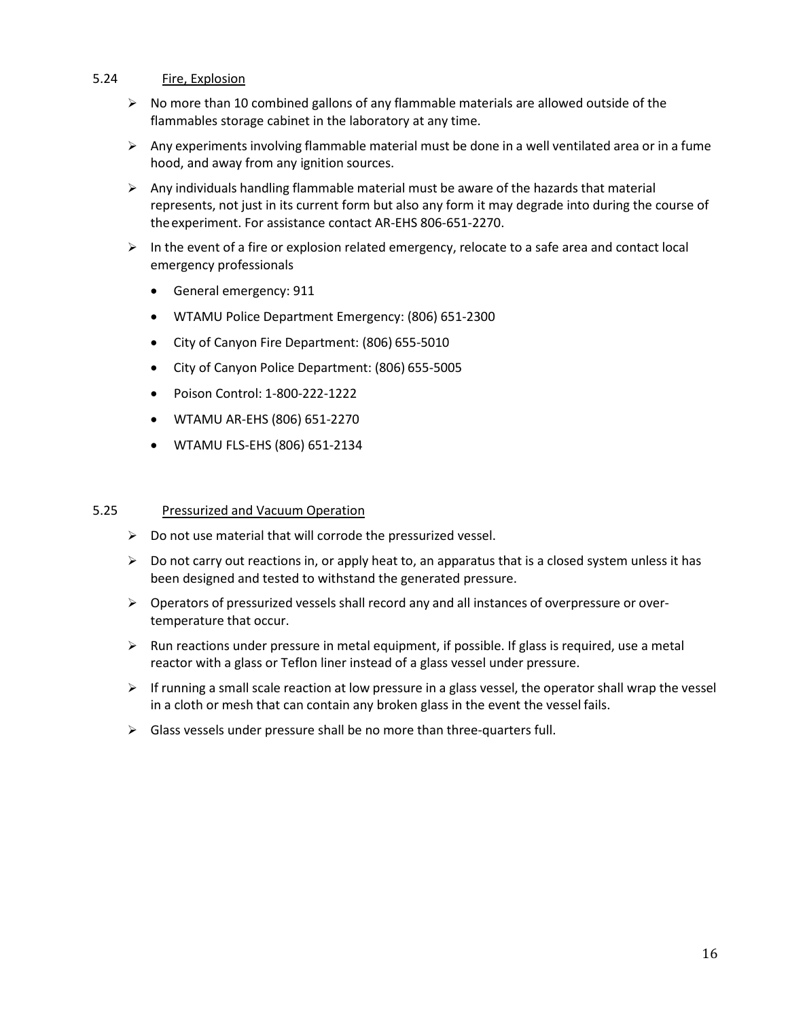#### <span id="page-15-0"></span>5.24 Fire, Explosion

- $\triangleright$  No more than 10 combined gallons of any flammable materials are allowed outside of the flammables storage cabinet in the laboratory at any time.
- $\triangleright$  Any experiments involving flammable material must be done in a well ventilated area or in a fume hood, and away from any ignition sources.
- $\triangleright$  Any individuals handling flammable material must be aware of the hazards that material represents, not just in its current form but also any form it may degrade into during the course of theexperiment. For assistance contact AR-EHS 806-651-2270.
- $\triangleright$  In the event of a fire or explosion related emergency, relocate to a safe area and contact local emergency professionals
	- General emergency: 911
	- WTAMU Police Department Emergency: (806) 651-2300
	- City of Canyon Fire Department: (806) 655-5010
	- City of Canyon Police Department: (806) 655-5005
	- Poison Control: 1-800-222-1222
	- WTAMU AR-EHS (806) 651-2270
	- WTAMU FLS-EHS (806) 651-2134

#### <span id="page-15-1"></span>5.25 Pressurized and Vacuum Operation

- $\triangleright$  Do not use material that will corrode the pressurized vessel.
- $\triangleright$  Do not carry out reactions in, or apply heat to, an apparatus that is a closed system unless it has been designed and tested to withstand the generated pressure.
- $\triangleright$  Operators of pressurized vessels shall record any and all instances of overpressure or overtemperature that occur.
- $\triangleright$  Run reactions under pressure in metal equipment, if possible. If glass is required, use a metal reactor with a glass or Teflon liner instead of a glass vessel under pressure.
- $\triangleright$  If running a small scale reaction at low pressure in a glass vessel, the operator shall wrap the vessel in a cloth or mesh that can contain any broken glass in the event the vessel fails.
- $\triangleright$  Glass vessels under pressure shall be no more than three-quarters full.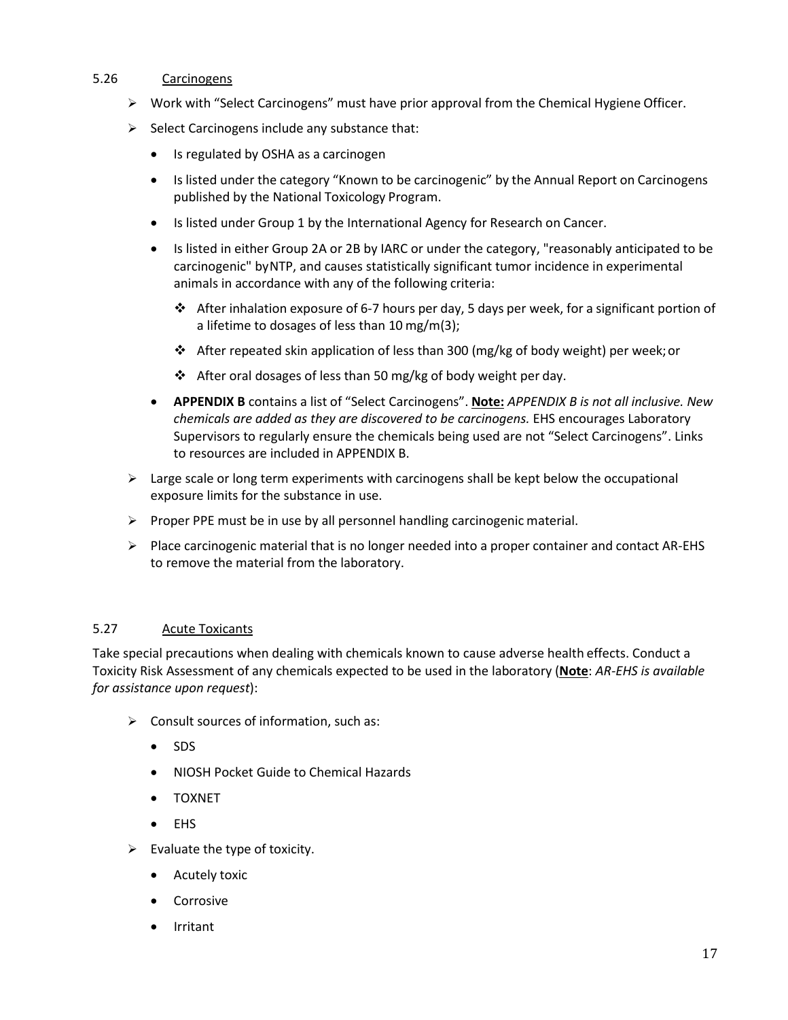#### <span id="page-16-0"></span>5.26 Carcinogens

- Work with "Select Carcinogens" must have prior approval from the Chemical Hygiene Officer.
- $\triangleright$  Select Carcinogens include any substance that:
	- Is regulated by OSHA as a carcinogen
	- Is listed under the category "Known to be carcinogenic" by the Annual Report on Carcinogens published by the National Toxicology Program.
	- Is listed under Group 1 by the International Agency for Research on Cancer.
	- Is listed in either Group 2A or 2B by IARC or under the category, "reasonably anticipated to be carcinogenic" byNTP, and causes statistically significant tumor incidence in experimental animals in accordance with any of the following criteria:
		- $\cdot$  After inhalation exposure of 6-7 hours per day, 5 days per week, for a significant portion of a lifetime to dosages of less than 10 mg/m(3);
		- $\cdot \cdot$  After repeated skin application of less than 300 (mg/kg of body weight) per week; or
		- After oral dosages of less than 50 mg/kg of body weight per day.
	- **APPENDIX B** contains a list of "Select Carcinogens". **Note:** *APPENDIX B is not all inclusive. New chemicals are added as they are discovered to be carcinogens.* EHS encourages Laboratory Supervisors to regularly ensure the chemicals being used are not "Select Carcinogens". Links to resources are included in APPENDIX B.
- $\triangleright$  Large scale or long term experiments with carcinogens shall be kept below the occupational exposure limits for the substance in use.
- $\triangleright$  Proper PPE must be in use by all personnel handling carcinogenic material.
- $\triangleright$  Place carcinogenic material that is no longer needed into a proper container and contact AR-EHS to remove the material from the laboratory.

#### <span id="page-16-1"></span>5.27 Acute Toxicants

Take special precautions when dealing with chemicals known to cause adverse health effects. Conduct a Toxicity Risk Assessment of any chemicals expected to be used in the laboratory (**Note**: *AR-EHS is available for assistance upon request*):

- $\triangleright$  Consult sources of information, such as:
	- SDS
	- NIOSH Pocket Guide to Chemical Hazards
	- TOXNET
	- EHS
- $\triangleright$  Evaluate the type of toxicity.
	- Acutely toxic
	- **Corrosive**
	- **Irritant**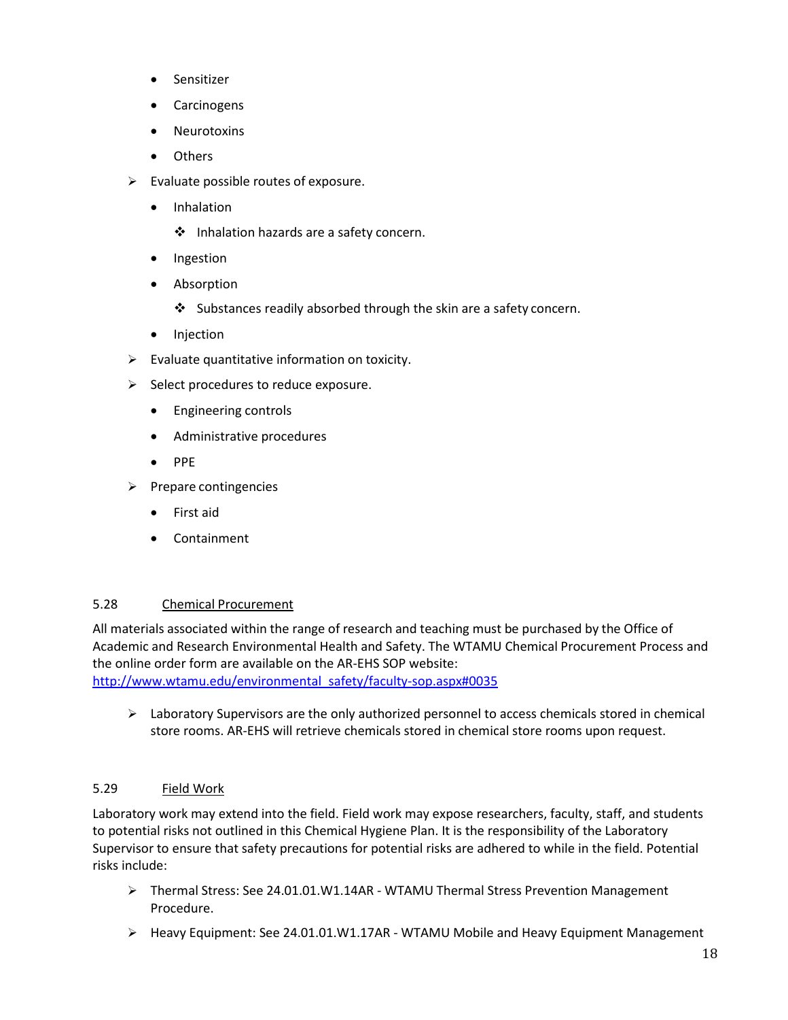- **Sensitizer**
- **Carcinogens**
- Neurotoxins
- Others
- $\triangleright$  Evaluate possible routes of exposure.
	- Inhalation
		- ❖ Inhalation hazards are a safety concern.
	- Ingestion
	- Absorption
		- Substances readily absorbed through the skin are a safety concern.
	- Injection
- $\triangleright$  Evaluate quantitative information on toxicity.
- $\triangleright$  Select procedures to reduce exposure.
	- Engineering controls
	- Administrative procedures
	- PPE
- $\triangleright$  Prepare contingencies
	- First aid
	- Containment

#### <span id="page-17-0"></span>5.28 Chemical Procurement

All materials associated within the range of research and teaching must be purchased by the Office of Academic and Research Environmental Health and Safety. The WTAMU Chemical Procurement Process and the online order form are available on the AR-EHS SOP website:

[http://www.wtamu.edu/environmental\\_safety/faculty-sop.aspx#0035](http://www.wtamu.edu/environmental_safety/faculty-sop.aspx#0035)

 $\triangleright$  Laboratory Supervisors are the only authorized personnel to access chemicals stored in chemical store rooms. AR-EHS will retrieve chemicals stored in chemical store rooms upon request.

#### <span id="page-17-1"></span>5.29 Field Work

Laboratory work may extend into the field. Field work may expose researchers, faculty, staff, and students to potential risks not outlined in this Chemical Hygiene Plan. It is the responsibility of the Laboratory Supervisor to ensure that safety precautions for potential risks are adhered to while in the field. Potential risks include:

- ▶ Thermal Stress: See 24.01.01.W1.14AR WTAMU Thermal Stress Prevention Management Procedure.
- Heavy Equipment: See 24.01.01.W1.17AR WTAMU Mobile and Heavy Equipment Management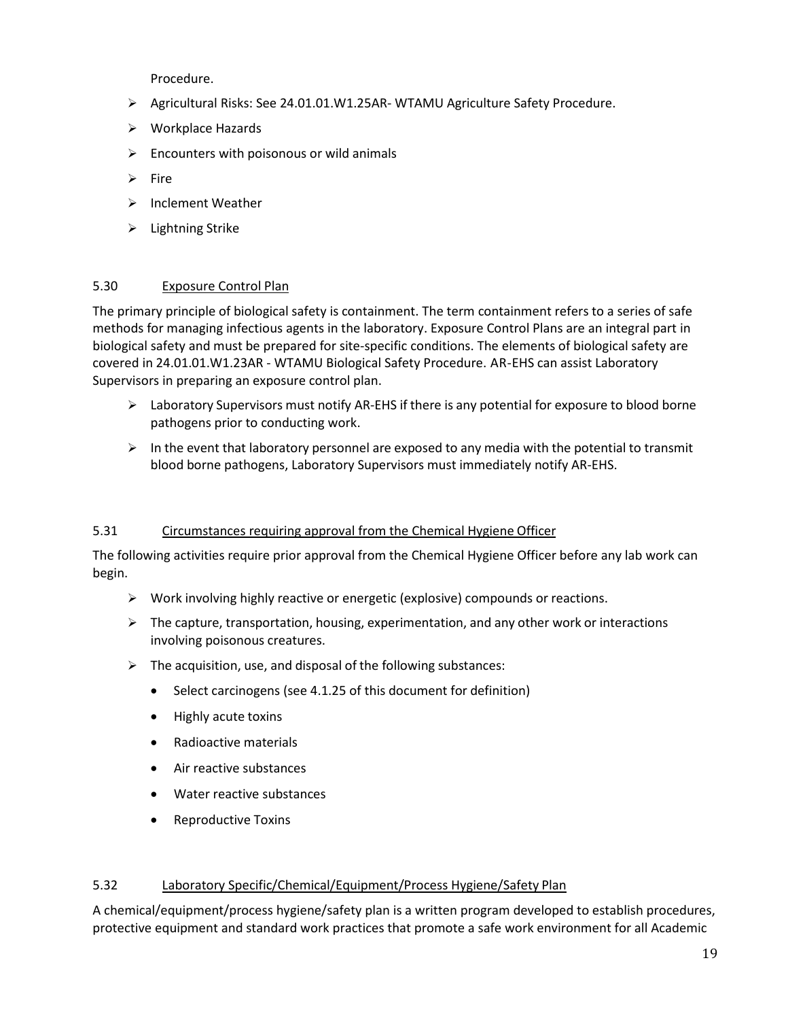Procedure.

- ▶ Agricultural Risks: See 24.01.01.W1.25AR-WTAMU Agriculture Safety Procedure.
- Workplace Hazards
- $\triangleright$  Encounters with poisonous or wild animals
- $\triangleright$  Fire
- $\triangleright$  Inclement Weather
- $\triangleright$  Lightning Strike

#### <span id="page-18-0"></span>5.30 Exposure Control Plan

The primary principle of biological safety is containment. The term containment refers to a series of safe methods for managing infectious agents in the laboratory. Exposure Control Plans are an integral part in biological safety and must be prepared for site-specific conditions. The elements of biological safety are covered in 24.01.01.W1.23AR - WTAMU Biological Safety Procedure. AR-EHS can assist Laboratory Supervisors in preparing an exposure control plan.

- $\triangleright$  Laboratory Supervisors must notify AR-EHS if there is any potential for exposure to blood borne pathogens prior to conducting work.
- $\triangleright$  In the event that laboratory personnel are exposed to any media with the potential to transmit blood borne pathogens, Laboratory Supervisors must immediately notify AR-EHS.

#### <span id="page-18-1"></span>5.31 Circumstances requiring approval from the Chemical Hygiene Officer

The following activities require prior approval from the Chemical Hygiene Officer before any lab work can begin.

- $\triangleright$  Work involving highly reactive or energetic (explosive) compounds or reactions.
- $\triangleright$  The capture, transportation, housing, experimentation, and any other work or interactions involving poisonous creatures.
- $\triangleright$  The acquisition, use, and disposal of the following substances:
	- Select carcinogens (see 4.1.25 of this document for definition)
	- Highly acute toxins
	- Radioactive materials
	- Air reactive substances
	- Water reactive substances
	- Reproductive Toxins

#### <span id="page-18-2"></span>5.32 Laboratory Specific/Chemical/Equipment/Process Hygiene/Safety Plan

A chemical/equipment/process hygiene/safety plan is a written program developed to establish procedures, protective equipment and standard work practices that promote a safe work environment for all Academic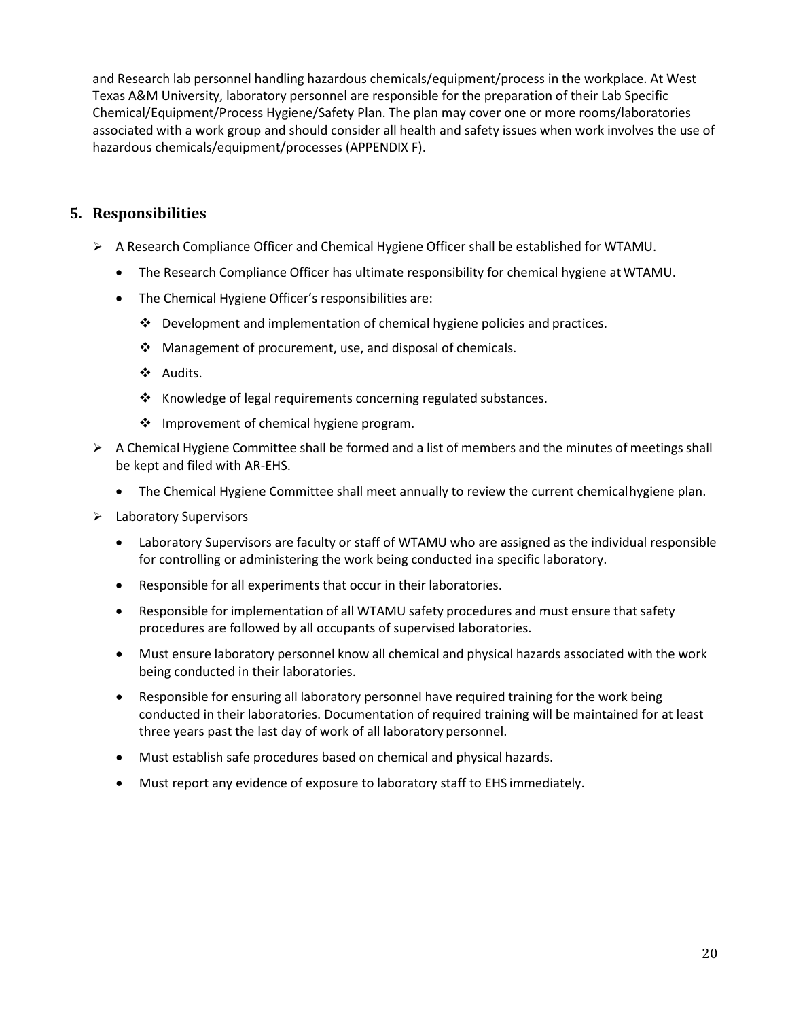and Research lab personnel handling hazardous chemicals/equipment/process in the workplace. At West Texas A&M University, laboratory personnel are responsible for the preparation of their Lab Specific Chemical/Equipment/Process Hygiene/Safety Plan. The plan may cover one or more rooms/laboratories associated with a work group and should consider all health and safety issues when work involves the use of hazardous chemicals/equipment/processes (APPENDIX F).

## <span id="page-19-0"></span>**5. Responsibilities**

- $\triangleright$  A Research Compliance Officer and Chemical Hygiene Officer shall be established for WTAMU.
	- The Research Compliance Officer has ultimate responsibility for chemical hygiene at WTAMU.
	- The Chemical Hygiene Officer's responsibilities are:
		- $\cdot \cdot$  Development and implementation of chemical hygiene policies and practices.
		- Management of procurement, use, and disposal of chemicals.
		- ❖ Audits.
		- $\cdot$  Knowledge of legal requirements concerning regulated substances.
		- ❖ Improvement of chemical hygiene program.
- $\triangleright$  A Chemical Hygiene Committee shall be formed and a list of members and the minutes of meetings shall be kept and filed with AR-EHS.
	- The Chemical Hygiene Committee shall meet annually to review the current chemicalhygiene plan.
- Laboratory Supervisors
	- Laboratory Supervisors are faculty or staff of WTAMU who are assigned as the individual responsible for controlling or administering the work being conducted ina specific laboratory.
	- Responsible for all experiments that occur in their laboratories.
	- Responsible for implementation of all WTAMU safety procedures and must ensure that safety procedures are followed by all occupants of supervised laboratories.
	- Must ensure laboratory personnel know all chemical and physical hazards associated with the work being conducted in their laboratories.
	- Responsible for ensuring all laboratory personnel have required training for the work being conducted in their laboratories. Documentation of required training will be maintained for at least three years past the last day of work of all laboratory personnel.
	- Must establish safe procedures based on chemical and physical hazards.
	- Must report any evidence of exposure to laboratory staff to EHS immediately.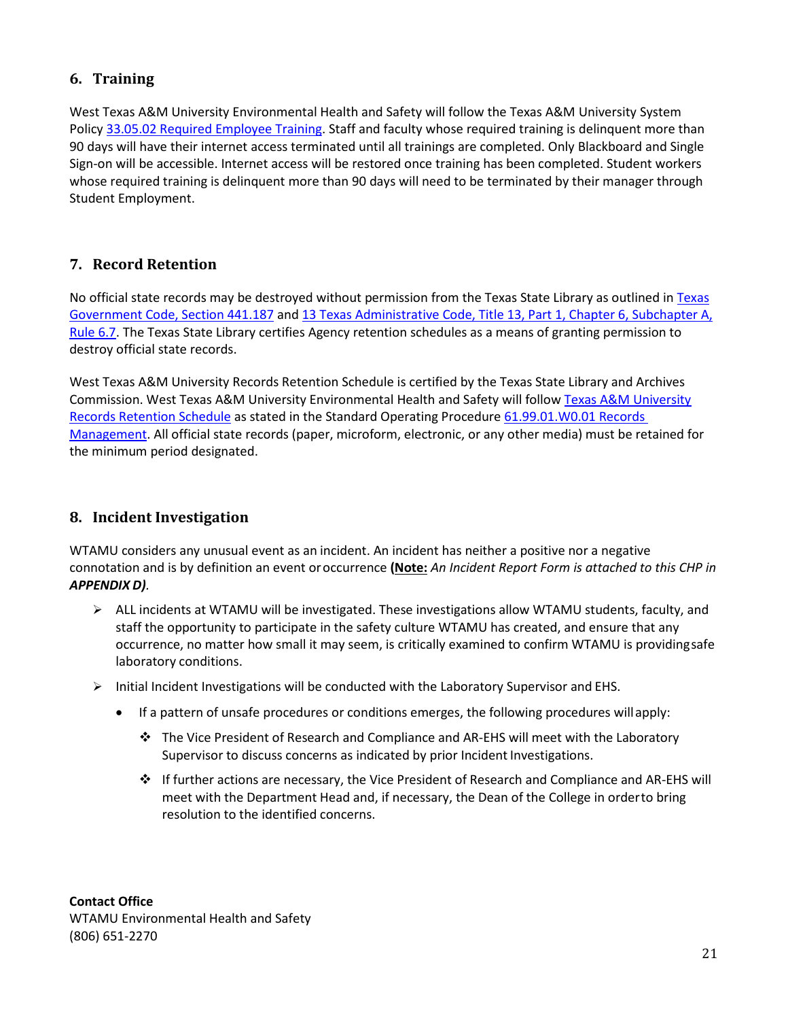# <span id="page-20-0"></span>**6. Training**

West Texas A&M University Environmental Health and Safety will follow the Texas A&M University System Polic[y 33.05.02 Required Employee Training.](http://policies.tamus.edu/33-05-02.pdf) Staff and faculty whose required training is delinquent more than 90 days will have their internet access terminated until all trainings are completed. Only Blackboard and Single Sign-on will be accessible. Internet access will be restored once training has been completed. Student workers whose required training is delinquent more than 90 days will need to be terminated by their manager through Student Employment.

# <span id="page-20-1"></span>**7. Record Retention**

No official state records may be destroyed without permission from the [Texas](http://www.statutes.legis.state.tx.us/?link=GV) State Library as outlined in Texas [Government Code, Section 441.187](http://www.statutes.legis.state.tx.us/?link=GV) an[d 13 Texas Administrative Code, Title 13, Part 1, Chapter 6, Subchapter A,](http://info.sos.state.tx.us/pls/pub/readtac%24ext.TacPage?sl=R&app=9&p_dir&p_rloc&p_tloc&p_ploc&pg=1&p_tac&ti=13&pt=1&ch=6&rl=7U) [Rule 6.7. T](http://info.sos.state.tx.us/pls/pub/readtac%24ext.TacPage?sl=R&app=9&p_dir&p_rloc&p_tloc&p_ploc&pg=1&p_tac&ti=13&pt=1&ch=6&rl=7U)he Texas State Library certifies Agency retention schedules as a means of granting permission to destroy official state records.

West Texas A&M University Records Retention Schedule is certified by the Texas State Library and Archives Commission. West Texas A&M University Environmental Health and Safety will follo[w Texas A&M](http://www.wtamu.edu/webres/File/Risk%20Management/System-Records-Retention-Schedule-Dec2012.pdf) University [Records Retention Schedule](http://www.wtamu.edu/webres/File/Risk%20Management/System-Records-Retention-Schedule-Dec2012.pdf) as stated in the Standard Operating Procedure [61.99.01.W0.01 Records](http://www.wtamu.edu/webres/File/Risk%20Management/61.99.01.W0.01_PROCEDURE_Records%20Management_FINAL%20SIGNED.pdf) [Management.](http://www.wtamu.edu/webres/File/Risk%20Management/61.99.01.W0.01_PROCEDURE_Records%20Management_FINAL%20SIGNED.pdf) All official state records (paper, microform, electronic, or any other media) must be retained for the minimum period designated.

# <span id="page-20-2"></span>**8. Incident Investigation**

WTAMU considers any unusual event as an incident. An incident has neither a positive nor a negative connotation and is by definition an event oroccurrence **(Note:** *An Incident Report Form is attached to this CHP in APPENDIX D).*

- ALL incidents at WTAMU will be investigated. These investigations allow WTAMU students, faculty, and staff the opportunity to participate in the safety culture WTAMU has created, and ensure that any occurrence, no matter how small it may seem, is critically examined to confirm WTAMU is providingsafe laboratory conditions.
- $\triangleright$  Initial Incident Investigations will be conducted with the Laboratory Supervisor and EHS.
	- If a pattern of unsafe procedures or conditions emerges, the following procedures willapply:
		- $\div$  The Vice President of Research and Compliance and AR-EHS will meet with the Laboratory Supervisor to discuss concerns as indicated by prior Incident Investigations.
		- If further actions are necessary, the Vice President of Research and Compliance and AR-EHS will meet with the Department Head and, if necessary, the Dean of the College in orderto bring resolution to the identified concerns.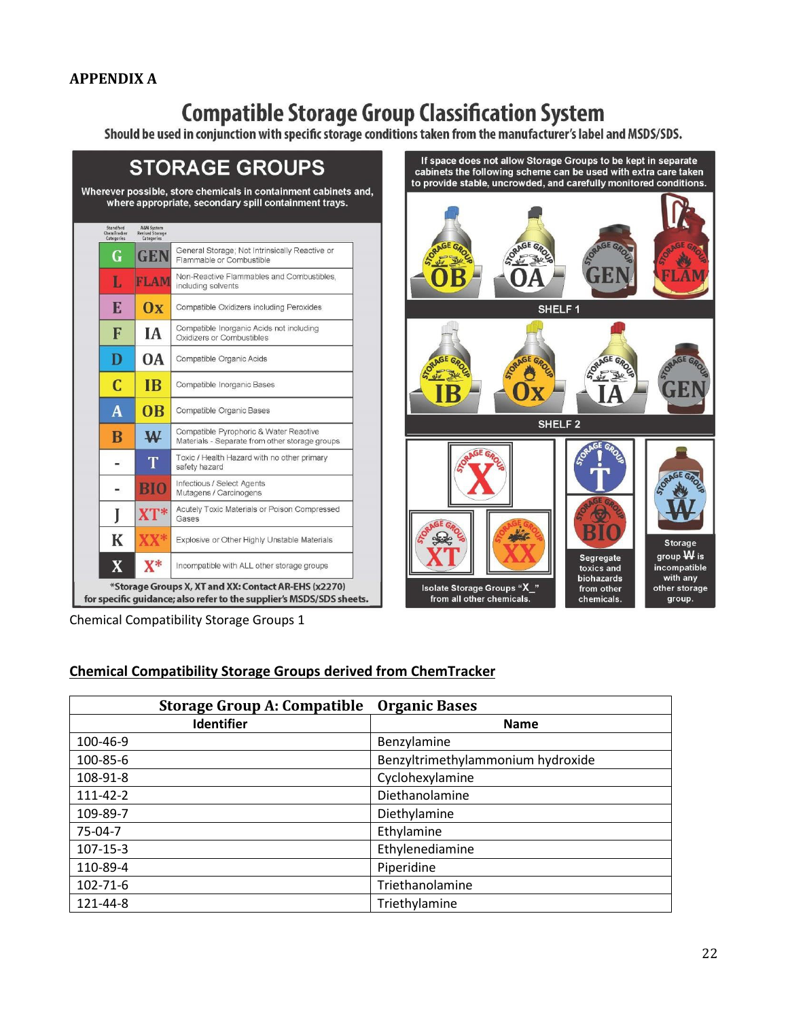# <span id="page-21-0"></span>**APPENDIX A**

# **Compatible Storage Group Classification System**

Should be used in conjunction with specific storage conditions taken from the manufacturer's label and MSDS/SDS.



Chemical Compatibility Storage Groups 1

<span id="page-21-1"></span>

|                | <b>Storage Group A: Compatible</b> | <b>Organic Bases</b>              |
|----------------|------------------------------------|-----------------------------------|
|                | <b>Identifier</b>                  | <b>Name</b>                       |
| 100-46-9       |                                    | Benzylamine                       |
| 100-85-6       |                                    | Benzyltrimethylammonium hydroxide |
| 108-91-8       |                                    | Cyclohexylamine                   |
| 111-42-2       |                                    | Diethanolamine                    |
| 109-89-7       |                                    | Diethylamine                      |
| 75-04-7        |                                    | Ethylamine                        |
| $107 - 15 - 3$ |                                    | Ethylenediamine                   |
| 110-89-4       |                                    | Piperidine                        |
| $102 - 71 - 6$ |                                    | Triethanolamine                   |
| 121-44-8       |                                    | Triethylamine                     |

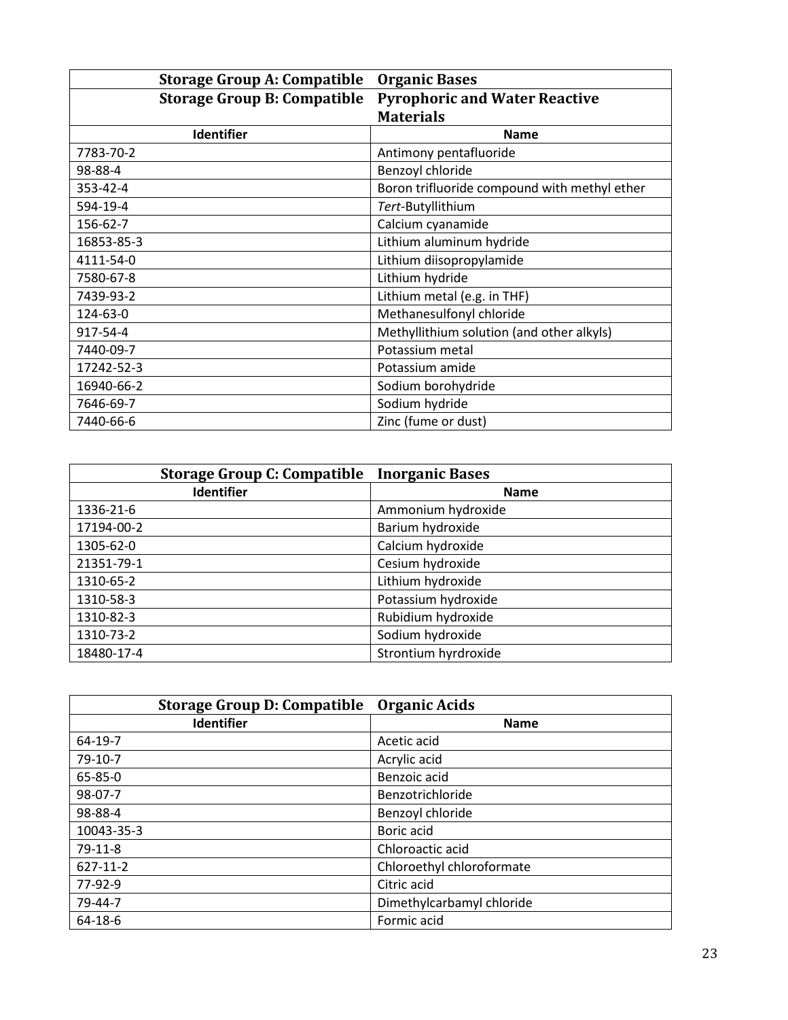|            | <b>Storage Group A: Compatible</b> | <b>Organic Bases</b>                         |
|------------|------------------------------------|----------------------------------------------|
|            | <b>Storage Group B: Compatible</b> | <b>Pyrophoric and Water Reactive</b>         |
|            |                                    | <b>Materials</b>                             |
|            | <b>Identifier</b>                  | <b>Name</b>                                  |
| 7783-70-2  |                                    | Antimony pentafluoride                       |
| 98-88-4    |                                    | Benzoyl chloride                             |
| 353-42-4   |                                    | Boron trifluoride compound with methyl ether |
| 594-19-4   |                                    | Tert-Butyllithium                            |
| 156-62-7   |                                    | Calcium cyanamide                            |
| 16853-85-3 |                                    | Lithium aluminum hydride                     |
| 4111-54-0  |                                    | Lithium diisopropylamide                     |
| 7580-67-8  |                                    | Lithium hydride                              |
| 7439-93-2  |                                    | Lithium metal (e.g. in THF)                  |
| 124-63-0   |                                    | Methanesulfonyl chloride                     |
| 917-54-4   |                                    | Methyllithium solution (and other alkyls)    |
| 7440-09-7  |                                    | Potassium metal                              |
| 17242-52-3 |                                    | Potassium amide                              |
| 16940-66-2 |                                    | Sodium borohydride                           |
| 7646-69-7  |                                    | Sodium hydride                               |
| 7440-66-6  |                                    | Zinc (fume or dust)                          |

|            | <b>Storage Group C: Compatible</b> | <b>Inorganic Bases</b> |
|------------|------------------------------------|------------------------|
|            | <b>Identifier</b>                  | <b>Name</b>            |
| 1336-21-6  |                                    | Ammonium hydroxide     |
| 17194-00-2 |                                    | Barium hydroxide       |
| 1305-62-0  |                                    | Calcium hydroxide      |
| 21351-79-1 |                                    | Cesium hydroxide       |
| 1310-65-2  |                                    | Lithium hydroxide      |
| 1310-58-3  |                                    | Potassium hydroxide    |
| 1310-82-3  |                                    | Rubidium hydroxide     |
| 1310-73-2  |                                    | Sodium hydroxide       |
| 18480-17-4 |                                    | Strontium hyrdroxide   |

| <b>Storage Group D: Compatible</b> | Organic Acids             |
|------------------------------------|---------------------------|
| <b>Identifier</b>                  | <b>Name</b>               |
| 64-19-7                            | Acetic acid               |
| $79-10-7$                          | Acrylic acid              |
| 65-85-0                            | Benzoic acid              |
| $98-07-7$                          | Benzotrichloride          |
| 98-88-4                            | Benzoyl chloride          |
| 10043-35-3                         | Boric acid                |
| $79-11-8$                          | Chloroactic acid          |
| $627-11-2$                         | Chloroethyl chloroformate |
| 77-92-9                            | Citric acid               |
| 79-44-7                            | Dimethylcarbamyl chloride |
| 64-18-6                            | Formic acid               |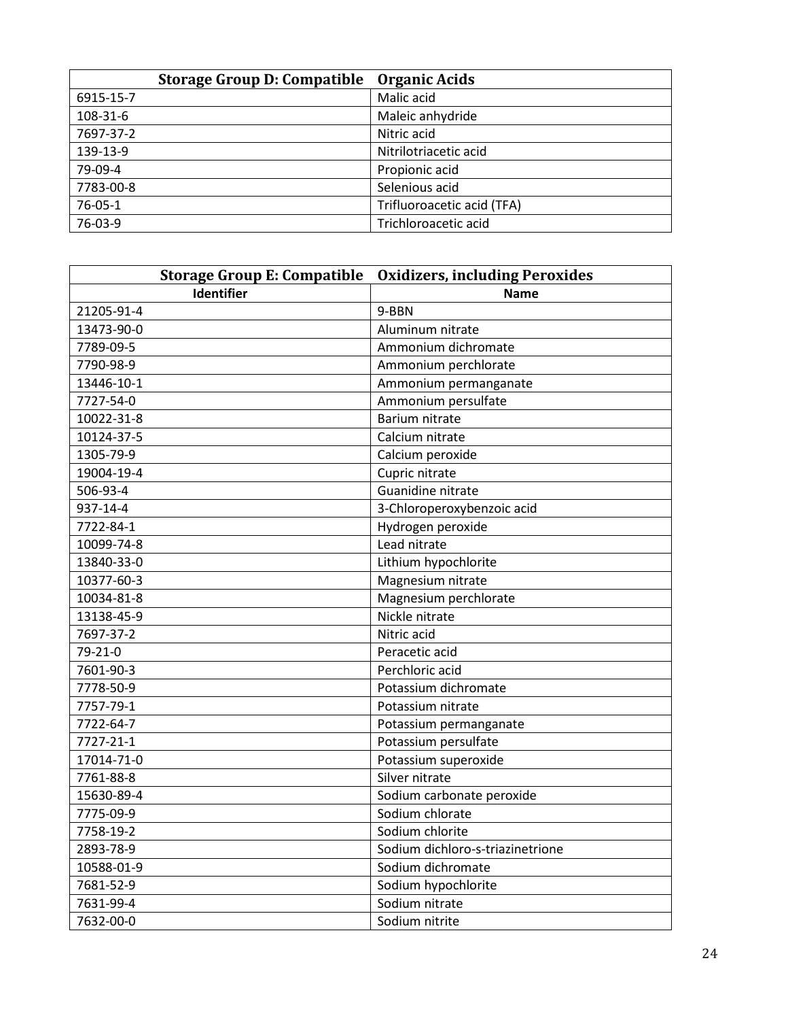|           | <b>Storage Group D: Compatible</b> | Organic Acids              |
|-----------|------------------------------------|----------------------------|
| 6915-15-7 |                                    | Malic acid                 |
| 108-31-6  |                                    | Maleic anhydride           |
| 7697-37-2 |                                    | Nitric acid                |
| 139-13-9  |                                    | Nitrilotriacetic acid      |
| 79-09-4   |                                    | Propionic acid             |
| 7783-00-8 |                                    | Selenious acid             |
| 76-05-1   |                                    | Trifluoroacetic acid (TFA) |
| 76-03-9   |                                    | Trichloroacetic acid       |

| <b>Storage Group E: Compatible</b> | <b>Oxidizers, including Peroxides</b> |
|------------------------------------|---------------------------------------|
| <b>Identifier</b>                  | <b>Name</b>                           |
| 21205-91-4                         | 9-BBN                                 |
| 13473-90-0                         | Aluminum nitrate                      |
| 7789-09-5                          | Ammonium dichromate                   |
| 7790-98-9                          | Ammonium perchlorate                  |
| 13446-10-1                         | Ammonium permanganate                 |
| 7727-54-0                          | Ammonium persulfate                   |
| 10022-31-8                         | Barium nitrate                        |
| 10124-37-5                         | Calcium nitrate                       |
| 1305-79-9                          | Calcium peroxide                      |
| 19004-19-4                         | Cupric nitrate                        |
| 506-93-4                           | Guanidine nitrate                     |
| 937-14-4                           | 3-Chloroperoxybenzoic acid            |
| 7722-84-1                          | Hydrogen peroxide                     |
| 10099-74-8                         | Lead nitrate                          |
| 13840-33-0                         | Lithium hypochlorite                  |
| 10377-60-3                         | Magnesium nitrate                     |
| 10034-81-8                         | Magnesium perchlorate                 |
| 13138-45-9                         | Nickle nitrate                        |
| 7697-37-2                          | Nitric acid                           |
| 79-21-0                            | Peracetic acid                        |
| 7601-90-3                          | Perchloric acid                       |
| 7778-50-9                          | Potassium dichromate                  |
| 7757-79-1                          | Potassium nitrate                     |
| 7722-64-7                          | Potassium permanganate                |
| 7727-21-1                          | Potassium persulfate                  |
| 17014-71-0                         | Potassium superoxide                  |
| 7761-88-8                          | Silver nitrate                        |
| 15630-89-4                         | Sodium carbonate peroxide             |
| 7775-09-9                          | Sodium chlorate                       |
| 7758-19-2                          | Sodium chlorite                       |
| 2893-78-9                          | Sodium dichloro-s-triazinetrione      |
| 10588-01-9                         | Sodium dichromate                     |
| 7681-52-9                          | Sodium hypochlorite                   |
| 7631-99-4                          | Sodium nitrate                        |
| 7632-00-0                          | Sodium nitrite                        |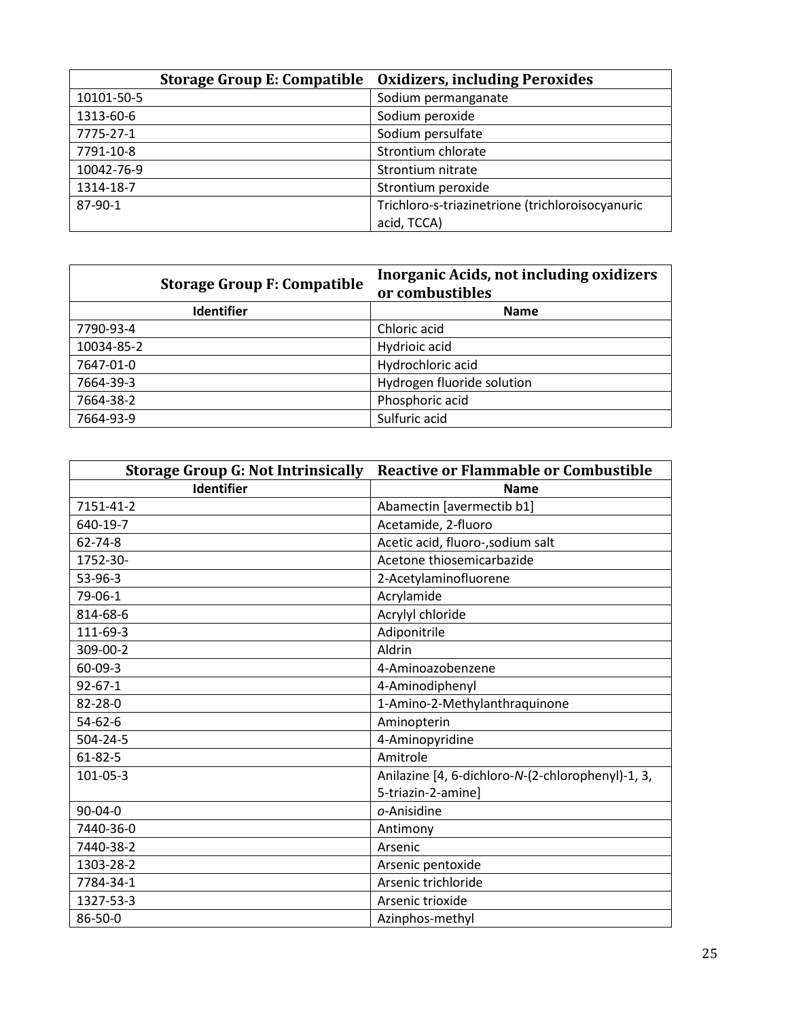|            | <b>Storage Group E: Compatible</b> | <b>Oxidizers, including Peroxides</b>            |
|------------|------------------------------------|--------------------------------------------------|
| 10101-50-5 |                                    | Sodium permanganate                              |
| 1313-60-6  |                                    | Sodium peroxide                                  |
| 7775-27-1  |                                    | Sodium persulfate                                |
| 7791-10-8  |                                    | Strontium chlorate                               |
| 10042-76-9 |                                    | Strontium nitrate                                |
| 1314-18-7  |                                    | Strontium peroxide                               |
| 87-90-1    |                                    | Trichloro-s-triazinetrione (trichloroisocyanuric |
|            |                                    | acid, TCCA)                                      |

|            | <b>Storage Group F: Compatible</b> | <b>Inorganic Acids, not including oxidizers</b><br>or combustibles |
|------------|------------------------------------|--------------------------------------------------------------------|
|            | <b>Identifier</b>                  | <b>Name</b>                                                        |
| 7790-93-4  |                                    | Chloric acid                                                       |
| 10034-85-2 |                                    | Hydrioic acid                                                      |
| 7647-01-0  |                                    | Hydrochloric acid                                                  |
| 7664-39-3  |                                    | Hydrogen fluoride solution                                         |
| 7664-38-2  |                                    | Phosphoric acid                                                    |
| 7664-93-9  |                                    | Sulfuric acid                                                      |

| <b>Storage Group G: Not Intrinsically</b> | <b>Reactive or Flammable or Combustible</b>       |
|-------------------------------------------|---------------------------------------------------|
| <b>Identifier</b>                         | <b>Name</b>                                       |
| 7151-41-2                                 | Abamectin [avermectib b1]                         |
| 640-19-7                                  | Acetamide, 2-fluoro                               |
| $62 - 74 - 8$                             | Acetic acid, fluoro-, sodium salt                 |
| 1752-30-                                  | Acetone thiosemicarbazide                         |
| 53-96-3                                   | 2-Acetylaminofluorene                             |
| 79-06-1                                   | Acrylamide                                        |
| 814-68-6                                  | Acrylyl chloride                                  |
| 111-69-3                                  | Adiponitrile                                      |
| 309-00-2                                  | Aldrin                                            |
| 60-09-3                                   | 4-Aminoazobenzene                                 |
| $92 - 67 - 1$                             | 4-Aminodiphenyl                                   |
| 82-28-0                                   | 1-Amino-2-Methylanthraquinone                     |
| $54 - 62 - 6$                             | Aminopterin                                       |
| 504-24-5                                  | 4-Aminopyridine                                   |
| $61 - 82 - 5$                             | Amitrole                                          |
| 101-05-3                                  | Anilazine [4, 6-dichloro-N-(2-chlorophenyl)-1, 3, |
|                                           | 5-triazin-2-amine]                                |
| $90 - 04 - 0$                             | o-Anisidine                                       |
| 7440-36-0                                 | Antimony                                          |
| 7440-38-2                                 | Arsenic                                           |
| 1303-28-2                                 | Arsenic pentoxide                                 |
| 7784-34-1                                 | Arsenic trichloride                               |
| 1327-53-3                                 | Arsenic trioxide                                  |
| 86-50-0                                   | Azinphos-methyl                                   |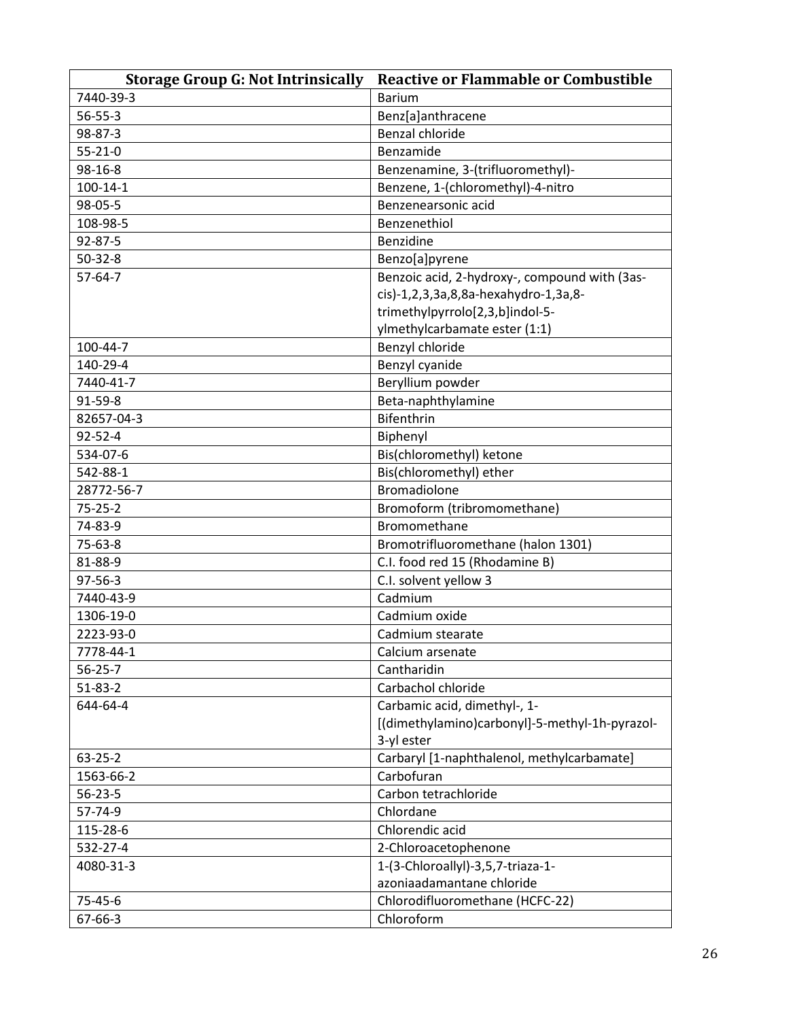| <b>Storage Group G: Not Intrinsically</b> | <b>Reactive or Flammable or Combustible</b>    |
|-------------------------------------------|------------------------------------------------|
| 7440-39-3                                 | <b>Barium</b>                                  |
| $56 - 55 - 3$                             | Benz[a]anthracene                              |
| 98-87-3                                   | Benzal chloride                                |
| $55 - 21 - 0$                             | Benzamide                                      |
| 98-16-8                                   | Benzenamine, 3-(trifluoromethyl)-              |
| $100 - 14 - 1$                            | Benzene, 1-(chloromethyl)-4-nitro              |
| 98-05-5                                   | Benzenearsonic acid                            |
| 108-98-5                                  | Benzenethiol                                   |
| 92-87-5                                   | Benzidine                                      |
| $50 - 32 - 8$                             | Benzo[a]pyrene                                 |
| 57-64-7                                   | Benzoic acid, 2-hydroxy-, compound with (3as-  |
|                                           | cis)-1,2,3,3a,8,8a-hexahydro-1,3a,8-           |
|                                           | trimethylpyrrolo[2,3,b]indol-5-                |
|                                           | ylmethylcarbamate ester (1:1)                  |
| 100-44-7                                  | Benzyl chloride                                |
| 140-29-4                                  | Benzyl cyanide                                 |
| 7440-41-7                                 | Beryllium powder                               |
| 91-59-8                                   | Beta-naphthylamine                             |
| 82657-04-3                                | Bifenthrin                                     |
| $92 - 52 - 4$                             | Biphenyl                                       |
| 534-07-6                                  | Bis(chloromethyl) ketone                       |
| 542-88-1                                  | Bis(chloromethyl) ether                        |
| 28772-56-7                                | <b>Bromadiolone</b>                            |
| $75 - 25 - 2$                             | Bromoform (tribromomethane)                    |
| 74-83-9                                   | Bromomethane                                   |
| 75-63-8                                   | Bromotrifluoromethane (halon 1301)             |
| 81-88-9                                   | C.I. food red 15 (Rhodamine B)                 |
| $97 - 56 - 3$                             | C.I. solvent yellow 3                          |
| 7440-43-9                                 | Cadmium                                        |
| 1306-19-0                                 | Cadmium oxide                                  |
| 2223-93-0                                 | Cadmium stearate                               |
| 7778-44-1                                 | Calcium arsenate                               |
| $56 - 25 - 7$                             | Cantharidin                                    |
| $51 - 83 - 2$                             | Carbachol chloride                             |
| 644-64-4                                  | Carbamic acid, dimethyl-, 1-                   |
|                                           | [(dimethylamino)carbonyl]-5-methyl-1h-pyrazol- |
|                                           | 3-yl ester                                     |
| 63-25-2                                   | Carbaryl [1-naphthalenol, methylcarbamate]     |
| 1563-66-2                                 | Carbofuran                                     |
| $56 - 23 - 5$                             | Carbon tetrachloride                           |
| 57-74-9                                   | Chlordane                                      |
| 115-28-6                                  | Chlorendic acid                                |
| 532-27-4                                  | 2-Chloroacetophenone                           |
| 4080-31-3                                 | 1-(3-Chloroallyl)-3,5,7-triaza-1-              |
|                                           | azoniaadamantane chloride                      |
| 75-45-6                                   | Chlorodifluoromethane (HCFC-22)                |
| 67-66-3                                   | Chloroform                                     |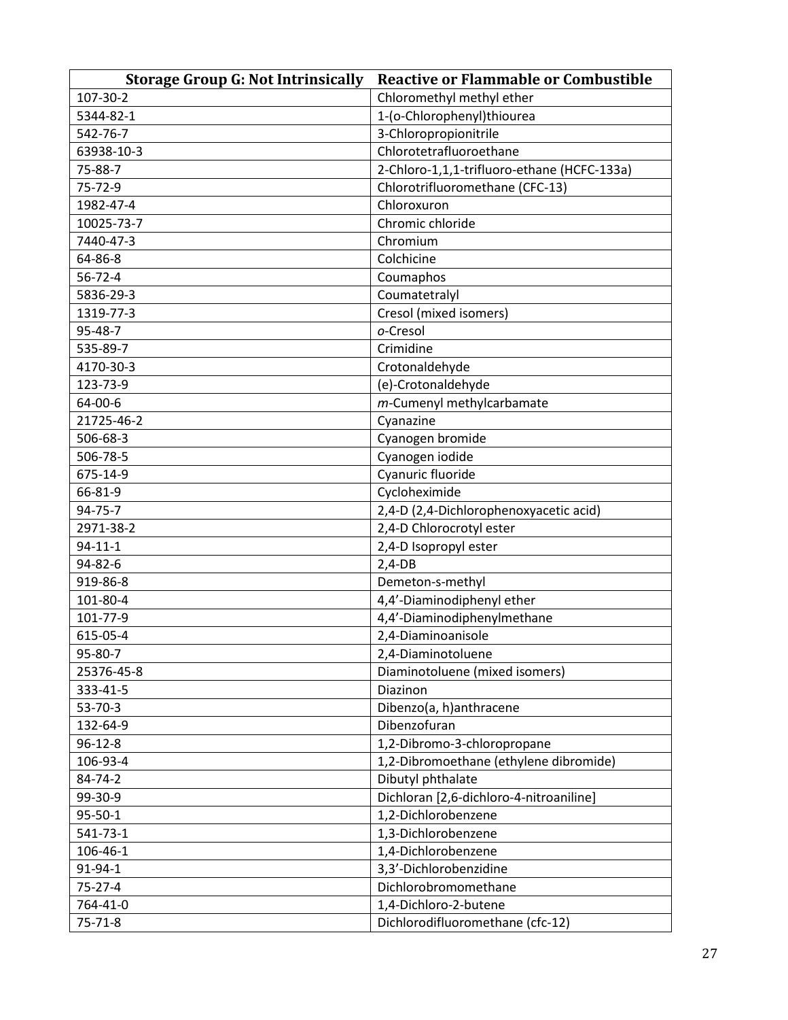| <b>Storage Group G: Not Intrinsically</b> | <b>Reactive or Flammable or Combustible</b> |
|-------------------------------------------|---------------------------------------------|
| 107-30-2                                  | Chloromethyl methyl ether                   |
| 5344-82-1                                 | 1-(o-Chlorophenyl)thiourea                  |
| 542-76-7                                  | 3-Chloropropionitrile                       |
| 63938-10-3                                | Chlorotetrafluoroethane                     |
| 75-88-7                                   | 2-Chloro-1,1,1-trifluoro-ethane (HCFC-133a) |
| 75-72-9                                   | Chlorotrifluoromethane (CFC-13)             |
| 1982-47-4                                 | Chloroxuron                                 |
| 10025-73-7                                | Chromic chloride                            |
| 7440-47-3                                 | Chromium                                    |
| 64-86-8                                   | Colchicine                                  |
| $56 - 72 - 4$                             | Coumaphos                                   |
| 5836-29-3                                 | Coumatetralyl                               |
| 1319-77-3                                 | Cresol (mixed isomers)                      |
| 95-48-7                                   | o-Cresol                                    |
| 535-89-7                                  | Crimidine                                   |
| 4170-30-3                                 | Crotonaldehyde                              |
| 123-73-9                                  | (e)-Crotonaldehyde                          |
| 64-00-6                                   | m-Cumenyl methylcarbamate                   |
| 21725-46-2                                | Cyanazine                                   |
| 506-68-3                                  | Cyanogen bromide                            |
| 506-78-5                                  | Cyanogen iodide                             |
| 675-14-9                                  | Cyanuric fluoride                           |
| 66-81-9                                   | Cycloheximide                               |
| 94-75-7                                   | 2,4-D (2,4-Dichlorophenoxyacetic acid)      |
| 2971-38-2                                 | 2,4-D Chlorocrotyl ester                    |
| $94 - 11 - 1$                             | 2,4-D Isopropyl ester                       |
| 94-82-6                                   | $2,4-DB$                                    |
| 919-86-8                                  | Demeton-s-methyl                            |
| 101-80-4                                  | 4,4'-Diaminodiphenyl ether                  |
| 101-77-9                                  | 4,4'-Diaminodiphenylmethane                 |
| 615-05-4                                  | 2,4-Diaminoanisole                          |
| 95-80-7                                   | 2,4-Diaminotoluene                          |
| 25376-45-8                                | Diaminotoluene (mixed isomers)              |
| 333-41-5                                  | Diazinon                                    |
| $53 - 70 - 3$                             | Dibenzo(a, h)anthracene                     |
| 132-64-9                                  | Dibenzofuran                                |
| $96 - 12 - 8$                             | 1,2-Dibromo-3-chloropropane                 |
| 106-93-4                                  | 1,2-Dibromoethane (ethylene dibromide)      |
| 84-74-2                                   | Dibutyl phthalate                           |
| 99-30-9                                   | Dichloran [2,6-dichloro-4-nitroaniline]     |
| $95 - 50 - 1$                             | 1,2-Dichlorobenzene                         |
| 541-73-1                                  | 1,3-Dichlorobenzene                         |
| 106-46-1                                  | 1,4-Dichlorobenzene                         |
| 91-94-1                                   | 3,3'-Dichlorobenzidine                      |
| $75 - 27 - 4$                             | Dichlorobromomethane                        |
| 764-41-0                                  | 1,4-Dichloro-2-butene                       |
| $75 - 71 - 8$                             | Dichlorodifluoromethane (cfc-12)            |
|                                           |                                             |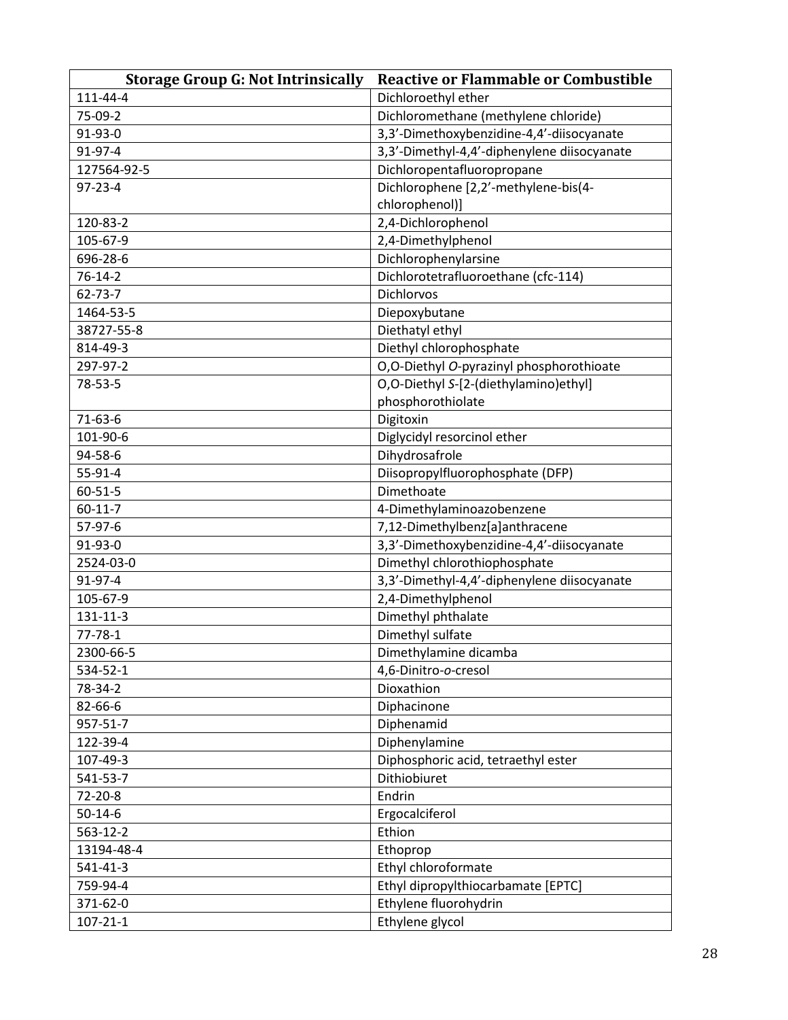| 111-44-4<br>Dichloroethyl ether<br>75-09-2<br>Dichloromethane (methylene chloride)<br>3,3'-Dimethoxybenzidine-4,4'-diisocyanate<br>91-93-0<br>3,3'-Dimethyl-4,4'-diphenylene diisocyanate<br>91-97-4<br>127564-92-5<br>Dichloropentafluoropropane<br>$97 - 23 - 4$<br>Dichlorophene [2,2'-methylene-bis(4-<br>chlorophenol)]<br>2,4-Dichlorophenol<br>120-83-2<br>2,4-Dimethylphenol<br>105-67-9<br>Dichlorophenylarsine<br>696-28-6<br>Dichlorotetrafluoroethane (cfc-114)<br>$76 - 14 - 2$<br>Dichlorvos<br>$62 - 73 - 7$<br>1464-53-5<br>Diepoxybutane<br>38727-55-8<br>Diethatyl ethyl<br>Diethyl chlorophosphate<br>814-49-3<br>297-97-2<br>O,O-Diethyl O-pyrazinyl phosphorothioate<br>O,O-Diethyl S-[2-(diethylamino)ethyl]<br>78-53-5<br>phosphorothiolate<br>71-63-6<br>Digitoxin<br>Diglycidyl resorcinol ether<br>101-90-6<br>Dihydrosafrole<br>94-58-6<br>Diisopropylfluorophosphate (DFP)<br>$55-91-4$<br>Dimethoate<br>60-51-5<br>$60 - 11 - 7$<br>4-Dimethylaminoazobenzene<br>7,12-Dimethylbenz[a]anthracene<br>57-97-6<br>3,3'-Dimethoxybenzidine-4,4'-diisocyanate<br>91-93-0<br>Dimethyl chlorothiophosphate<br>2524-03-0<br>3,3'-Dimethyl-4,4'-diphenylene diisocyanate<br>91-97-4<br>2,4-Dimethylphenol<br>105-67-9<br>Dimethyl phthalate<br>131-11-3<br>Dimethyl sulfate<br>$77 - 78 - 1$<br>2300-66-5<br>Dimethylamine dicamba<br>534-52-1<br>4,6-Dinitro-o-cresol<br>Dioxathion<br>78-34-2<br>82-66-6<br>Diphacinone<br>Diphenamid<br>957-51-7<br>Diphenylamine<br>122-39-4<br>Diphosphoric acid, tetraethyl ester<br>107-49-3<br>Dithiobiuret<br>541-53-7<br>72-20-8<br>Endrin<br>$50 - 14 - 6$<br>Ergocalciferol<br>Ethion<br>563-12-2<br>13194-48-4<br>Ethoprop<br>Ethyl chloroformate<br>541-41-3<br>759-94-4<br>Ethyl dipropylthiocarbamate [EPTC]<br>Ethylene fluorohydrin<br>371-62-0<br>Ethylene glycol<br>$107 - 21 - 1$ | <b>Storage Group G: Not Intrinsically</b> | <b>Reactive or Flammable or Combustible</b> |
|-----------------------------------------------------------------------------------------------------------------------------------------------------------------------------------------------------------------------------------------------------------------------------------------------------------------------------------------------------------------------------------------------------------------------------------------------------------------------------------------------------------------------------------------------------------------------------------------------------------------------------------------------------------------------------------------------------------------------------------------------------------------------------------------------------------------------------------------------------------------------------------------------------------------------------------------------------------------------------------------------------------------------------------------------------------------------------------------------------------------------------------------------------------------------------------------------------------------------------------------------------------------------------------------------------------------------------------------------------------------------------------------------------------------------------------------------------------------------------------------------------------------------------------------------------------------------------------------------------------------------------------------------------------------------------------------------------------------------------------------------------------------------------------------------------------------------------------------------------------|-------------------------------------------|---------------------------------------------|
|                                                                                                                                                                                                                                                                                                                                                                                                                                                                                                                                                                                                                                                                                                                                                                                                                                                                                                                                                                                                                                                                                                                                                                                                                                                                                                                                                                                                                                                                                                                                                                                                                                                                                                                                                                                                                                                           |                                           |                                             |
|                                                                                                                                                                                                                                                                                                                                                                                                                                                                                                                                                                                                                                                                                                                                                                                                                                                                                                                                                                                                                                                                                                                                                                                                                                                                                                                                                                                                                                                                                                                                                                                                                                                                                                                                                                                                                                                           |                                           |                                             |
|                                                                                                                                                                                                                                                                                                                                                                                                                                                                                                                                                                                                                                                                                                                                                                                                                                                                                                                                                                                                                                                                                                                                                                                                                                                                                                                                                                                                                                                                                                                                                                                                                                                                                                                                                                                                                                                           |                                           |                                             |
|                                                                                                                                                                                                                                                                                                                                                                                                                                                                                                                                                                                                                                                                                                                                                                                                                                                                                                                                                                                                                                                                                                                                                                                                                                                                                                                                                                                                                                                                                                                                                                                                                                                                                                                                                                                                                                                           |                                           |                                             |
|                                                                                                                                                                                                                                                                                                                                                                                                                                                                                                                                                                                                                                                                                                                                                                                                                                                                                                                                                                                                                                                                                                                                                                                                                                                                                                                                                                                                                                                                                                                                                                                                                                                                                                                                                                                                                                                           |                                           |                                             |
|                                                                                                                                                                                                                                                                                                                                                                                                                                                                                                                                                                                                                                                                                                                                                                                                                                                                                                                                                                                                                                                                                                                                                                                                                                                                                                                                                                                                                                                                                                                                                                                                                                                                                                                                                                                                                                                           |                                           |                                             |
|                                                                                                                                                                                                                                                                                                                                                                                                                                                                                                                                                                                                                                                                                                                                                                                                                                                                                                                                                                                                                                                                                                                                                                                                                                                                                                                                                                                                                                                                                                                                                                                                                                                                                                                                                                                                                                                           |                                           |                                             |
|                                                                                                                                                                                                                                                                                                                                                                                                                                                                                                                                                                                                                                                                                                                                                                                                                                                                                                                                                                                                                                                                                                                                                                                                                                                                                                                                                                                                                                                                                                                                                                                                                                                                                                                                                                                                                                                           |                                           |                                             |
|                                                                                                                                                                                                                                                                                                                                                                                                                                                                                                                                                                                                                                                                                                                                                                                                                                                                                                                                                                                                                                                                                                                                                                                                                                                                                                                                                                                                                                                                                                                                                                                                                                                                                                                                                                                                                                                           |                                           |                                             |
|                                                                                                                                                                                                                                                                                                                                                                                                                                                                                                                                                                                                                                                                                                                                                                                                                                                                                                                                                                                                                                                                                                                                                                                                                                                                                                                                                                                                                                                                                                                                                                                                                                                                                                                                                                                                                                                           |                                           |                                             |
|                                                                                                                                                                                                                                                                                                                                                                                                                                                                                                                                                                                                                                                                                                                                                                                                                                                                                                                                                                                                                                                                                                                                                                                                                                                                                                                                                                                                                                                                                                                                                                                                                                                                                                                                                                                                                                                           |                                           |                                             |
|                                                                                                                                                                                                                                                                                                                                                                                                                                                                                                                                                                                                                                                                                                                                                                                                                                                                                                                                                                                                                                                                                                                                                                                                                                                                                                                                                                                                                                                                                                                                                                                                                                                                                                                                                                                                                                                           |                                           |                                             |
|                                                                                                                                                                                                                                                                                                                                                                                                                                                                                                                                                                                                                                                                                                                                                                                                                                                                                                                                                                                                                                                                                                                                                                                                                                                                                                                                                                                                                                                                                                                                                                                                                                                                                                                                                                                                                                                           |                                           |                                             |
|                                                                                                                                                                                                                                                                                                                                                                                                                                                                                                                                                                                                                                                                                                                                                                                                                                                                                                                                                                                                                                                                                                                                                                                                                                                                                                                                                                                                                                                                                                                                                                                                                                                                                                                                                                                                                                                           |                                           |                                             |
|                                                                                                                                                                                                                                                                                                                                                                                                                                                                                                                                                                                                                                                                                                                                                                                                                                                                                                                                                                                                                                                                                                                                                                                                                                                                                                                                                                                                                                                                                                                                                                                                                                                                                                                                                                                                                                                           |                                           |                                             |
|                                                                                                                                                                                                                                                                                                                                                                                                                                                                                                                                                                                                                                                                                                                                                                                                                                                                                                                                                                                                                                                                                                                                                                                                                                                                                                                                                                                                                                                                                                                                                                                                                                                                                                                                                                                                                                                           |                                           |                                             |
|                                                                                                                                                                                                                                                                                                                                                                                                                                                                                                                                                                                                                                                                                                                                                                                                                                                                                                                                                                                                                                                                                                                                                                                                                                                                                                                                                                                                                                                                                                                                                                                                                                                                                                                                                                                                                                                           |                                           |                                             |
|                                                                                                                                                                                                                                                                                                                                                                                                                                                                                                                                                                                                                                                                                                                                                                                                                                                                                                                                                                                                                                                                                                                                                                                                                                                                                                                                                                                                                                                                                                                                                                                                                                                                                                                                                                                                                                                           |                                           |                                             |
|                                                                                                                                                                                                                                                                                                                                                                                                                                                                                                                                                                                                                                                                                                                                                                                                                                                                                                                                                                                                                                                                                                                                                                                                                                                                                                                                                                                                                                                                                                                                                                                                                                                                                                                                                                                                                                                           |                                           |                                             |
|                                                                                                                                                                                                                                                                                                                                                                                                                                                                                                                                                                                                                                                                                                                                                                                                                                                                                                                                                                                                                                                                                                                                                                                                                                                                                                                                                                                                                                                                                                                                                                                                                                                                                                                                                                                                                                                           |                                           |                                             |
|                                                                                                                                                                                                                                                                                                                                                                                                                                                                                                                                                                                                                                                                                                                                                                                                                                                                                                                                                                                                                                                                                                                                                                                                                                                                                                                                                                                                                                                                                                                                                                                                                                                                                                                                                                                                                                                           |                                           |                                             |
|                                                                                                                                                                                                                                                                                                                                                                                                                                                                                                                                                                                                                                                                                                                                                                                                                                                                                                                                                                                                                                                                                                                                                                                                                                                                                                                                                                                                                                                                                                                                                                                                                                                                                                                                                                                                                                                           |                                           |                                             |
|                                                                                                                                                                                                                                                                                                                                                                                                                                                                                                                                                                                                                                                                                                                                                                                                                                                                                                                                                                                                                                                                                                                                                                                                                                                                                                                                                                                                                                                                                                                                                                                                                                                                                                                                                                                                                                                           |                                           |                                             |
|                                                                                                                                                                                                                                                                                                                                                                                                                                                                                                                                                                                                                                                                                                                                                                                                                                                                                                                                                                                                                                                                                                                                                                                                                                                                                                                                                                                                                                                                                                                                                                                                                                                                                                                                                                                                                                                           |                                           |                                             |
|                                                                                                                                                                                                                                                                                                                                                                                                                                                                                                                                                                                                                                                                                                                                                                                                                                                                                                                                                                                                                                                                                                                                                                                                                                                                                                                                                                                                                                                                                                                                                                                                                                                                                                                                                                                                                                                           |                                           |                                             |
|                                                                                                                                                                                                                                                                                                                                                                                                                                                                                                                                                                                                                                                                                                                                                                                                                                                                                                                                                                                                                                                                                                                                                                                                                                                                                                                                                                                                                                                                                                                                                                                                                                                                                                                                                                                                                                                           |                                           |                                             |
|                                                                                                                                                                                                                                                                                                                                                                                                                                                                                                                                                                                                                                                                                                                                                                                                                                                                                                                                                                                                                                                                                                                                                                                                                                                                                                                                                                                                                                                                                                                                                                                                                                                                                                                                                                                                                                                           |                                           |                                             |
|                                                                                                                                                                                                                                                                                                                                                                                                                                                                                                                                                                                                                                                                                                                                                                                                                                                                                                                                                                                                                                                                                                                                                                                                                                                                                                                                                                                                                                                                                                                                                                                                                                                                                                                                                                                                                                                           |                                           |                                             |
|                                                                                                                                                                                                                                                                                                                                                                                                                                                                                                                                                                                                                                                                                                                                                                                                                                                                                                                                                                                                                                                                                                                                                                                                                                                                                                                                                                                                                                                                                                                                                                                                                                                                                                                                                                                                                                                           |                                           |                                             |
|                                                                                                                                                                                                                                                                                                                                                                                                                                                                                                                                                                                                                                                                                                                                                                                                                                                                                                                                                                                                                                                                                                                                                                                                                                                                                                                                                                                                                                                                                                                                                                                                                                                                                                                                                                                                                                                           |                                           |                                             |
|                                                                                                                                                                                                                                                                                                                                                                                                                                                                                                                                                                                                                                                                                                                                                                                                                                                                                                                                                                                                                                                                                                                                                                                                                                                                                                                                                                                                                                                                                                                                                                                                                                                                                                                                                                                                                                                           |                                           |                                             |
|                                                                                                                                                                                                                                                                                                                                                                                                                                                                                                                                                                                                                                                                                                                                                                                                                                                                                                                                                                                                                                                                                                                                                                                                                                                                                                                                                                                                                                                                                                                                                                                                                                                                                                                                                                                                                                                           |                                           |                                             |
|                                                                                                                                                                                                                                                                                                                                                                                                                                                                                                                                                                                                                                                                                                                                                                                                                                                                                                                                                                                                                                                                                                                                                                                                                                                                                                                                                                                                                                                                                                                                                                                                                                                                                                                                                                                                                                                           |                                           |                                             |
|                                                                                                                                                                                                                                                                                                                                                                                                                                                                                                                                                                                                                                                                                                                                                                                                                                                                                                                                                                                                                                                                                                                                                                                                                                                                                                                                                                                                                                                                                                                                                                                                                                                                                                                                                                                                                                                           |                                           |                                             |
|                                                                                                                                                                                                                                                                                                                                                                                                                                                                                                                                                                                                                                                                                                                                                                                                                                                                                                                                                                                                                                                                                                                                                                                                                                                                                                                                                                                                                                                                                                                                                                                                                                                                                                                                                                                                                                                           |                                           |                                             |
|                                                                                                                                                                                                                                                                                                                                                                                                                                                                                                                                                                                                                                                                                                                                                                                                                                                                                                                                                                                                                                                                                                                                                                                                                                                                                                                                                                                                                                                                                                                                                                                                                                                                                                                                                                                                                                                           |                                           |                                             |
|                                                                                                                                                                                                                                                                                                                                                                                                                                                                                                                                                                                                                                                                                                                                                                                                                                                                                                                                                                                                                                                                                                                                                                                                                                                                                                                                                                                                                                                                                                                                                                                                                                                                                                                                                                                                                                                           |                                           |                                             |
|                                                                                                                                                                                                                                                                                                                                                                                                                                                                                                                                                                                                                                                                                                                                                                                                                                                                                                                                                                                                                                                                                                                                                                                                                                                                                                                                                                                                                                                                                                                                                                                                                                                                                                                                                                                                                                                           |                                           |                                             |
|                                                                                                                                                                                                                                                                                                                                                                                                                                                                                                                                                                                                                                                                                                                                                                                                                                                                                                                                                                                                                                                                                                                                                                                                                                                                                                                                                                                                                                                                                                                                                                                                                                                                                                                                                                                                                                                           |                                           |                                             |
|                                                                                                                                                                                                                                                                                                                                                                                                                                                                                                                                                                                                                                                                                                                                                                                                                                                                                                                                                                                                                                                                                                                                                                                                                                                                                                                                                                                                                                                                                                                                                                                                                                                                                                                                                                                                                                                           |                                           |                                             |
|                                                                                                                                                                                                                                                                                                                                                                                                                                                                                                                                                                                                                                                                                                                                                                                                                                                                                                                                                                                                                                                                                                                                                                                                                                                                                                                                                                                                                                                                                                                                                                                                                                                                                                                                                                                                                                                           |                                           |                                             |
|                                                                                                                                                                                                                                                                                                                                                                                                                                                                                                                                                                                                                                                                                                                                                                                                                                                                                                                                                                                                                                                                                                                                                                                                                                                                                                                                                                                                                                                                                                                                                                                                                                                                                                                                                                                                                                                           |                                           |                                             |
|                                                                                                                                                                                                                                                                                                                                                                                                                                                                                                                                                                                                                                                                                                                                                                                                                                                                                                                                                                                                                                                                                                                                                                                                                                                                                                                                                                                                                                                                                                                                                                                                                                                                                                                                                                                                                                                           |                                           |                                             |
|                                                                                                                                                                                                                                                                                                                                                                                                                                                                                                                                                                                                                                                                                                                                                                                                                                                                                                                                                                                                                                                                                                                                                                                                                                                                                                                                                                                                                                                                                                                                                                                                                                                                                                                                                                                                                                                           |                                           |                                             |
|                                                                                                                                                                                                                                                                                                                                                                                                                                                                                                                                                                                                                                                                                                                                                                                                                                                                                                                                                                                                                                                                                                                                                                                                                                                                                                                                                                                                                                                                                                                                                                                                                                                                                                                                                                                                                                                           |                                           |                                             |
|                                                                                                                                                                                                                                                                                                                                                                                                                                                                                                                                                                                                                                                                                                                                                                                                                                                                                                                                                                                                                                                                                                                                                                                                                                                                                                                                                                                                                                                                                                                                                                                                                                                                                                                                                                                                                                                           |                                           |                                             |
|                                                                                                                                                                                                                                                                                                                                                                                                                                                                                                                                                                                                                                                                                                                                                                                                                                                                                                                                                                                                                                                                                                                                                                                                                                                                                                                                                                                                                                                                                                                                                                                                                                                                                                                                                                                                                                                           |                                           |                                             |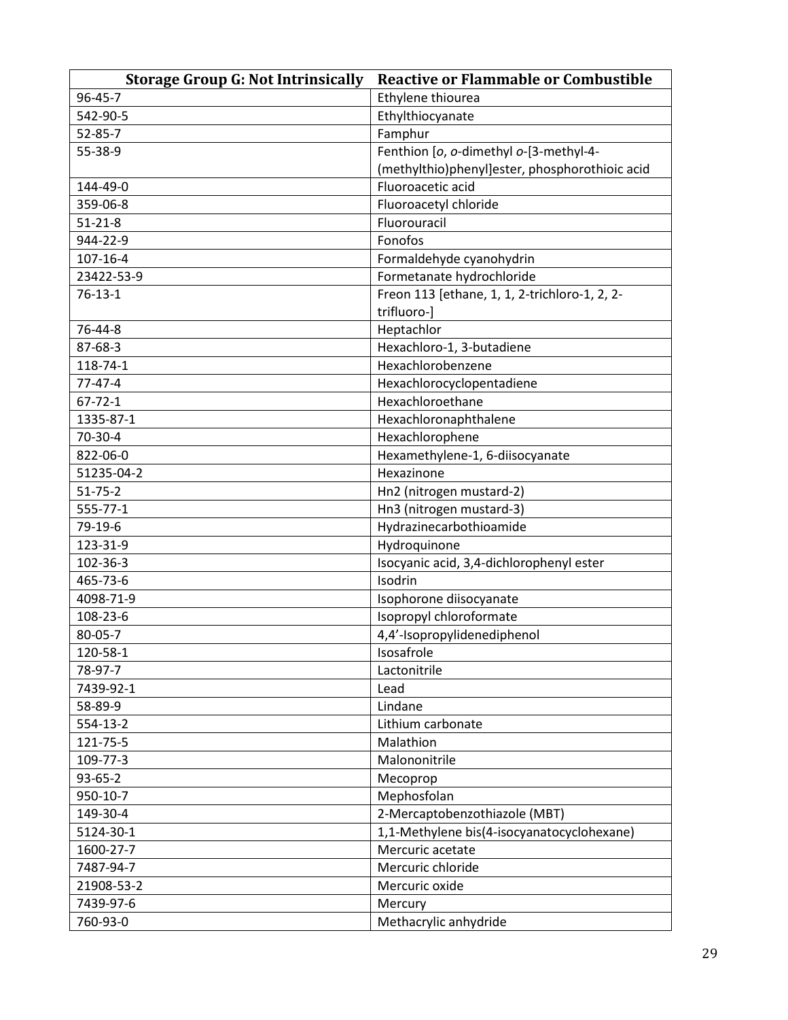| <b>Storage Group G: Not Intrinsically</b> | <b>Reactive or Flammable or Combustible</b>    |
|-------------------------------------------|------------------------------------------------|
| 96-45-7                                   | Ethylene thiourea                              |
| 542-90-5                                  | Ethylthiocyanate                               |
| $52 - 85 - 7$                             | Famphur                                        |
| 55-38-9                                   | Fenthion [o, o-dimethyl o-[3-methyl-4-         |
|                                           | (methylthio)phenyl]ester, phosphorothioic acid |
| 144-49-0                                  | Fluoroacetic acid                              |
| 359-06-8                                  | Fluoroacetyl chloride                          |
| $51 - 21 - 8$                             | Fluorouracil                                   |
| 944-22-9                                  | Fonofos                                        |
| 107-16-4                                  | Formaldehyde cyanohydrin                       |
| 23422-53-9                                | Formetanate hydrochloride                      |
| $76 - 13 - 1$                             | Freon 113 [ethane, 1, 1, 2-trichloro-1, 2, 2-  |
|                                           | trifluoro-]                                    |
| 76-44-8                                   | Heptachlor                                     |
| 87-68-3                                   | Hexachloro-1, 3-butadiene                      |
| 118-74-1                                  | Hexachlorobenzene                              |
| $77 - 47 - 4$                             | Hexachlorocyclopentadiene                      |
| $67 - 72 - 1$                             | Hexachloroethane                               |
| 1335-87-1                                 | Hexachloronaphthalene                          |
| 70-30-4                                   | Hexachlorophene                                |
| 822-06-0                                  | Hexamethylene-1, 6-diisocyanate                |
| 51235-04-2                                | Hexazinone                                     |
| $51 - 75 - 2$                             | Hn2 (nitrogen mustard-2)                       |
| 555-77-1                                  | Hn3 (nitrogen mustard-3)                       |
| 79-19-6                                   | Hydrazinecarbothioamide                        |
| 123-31-9                                  | Hydroquinone                                   |
| 102-36-3                                  | Isocyanic acid, 3,4-dichlorophenyl ester       |
| 465-73-6                                  | Isodrin                                        |
| 4098-71-9                                 | Isophorone diisocyanate                        |
| 108-23-6                                  | Isopropyl chloroformate                        |
| 80-05-7                                   | 4,4'-Isopropylidenediphenol                    |
| 120-58-1                                  | <b>Isosafrole</b>                              |
| 78-97-7                                   | Lactonitrile                                   |
| 7439-92-1                                 | Lead                                           |
| 58-89-9                                   | Lindane                                        |
| 554-13-2                                  | Lithium carbonate                              |
| 121-75-5                                  | Malathion                                      |
| 109-77-3                                  | Malononitrile                                  |
| $93 - 65 - 2$                             | Mecoprop                                       |
| 950-10-7                                  | Mephosfolan                                    |
| 149-30-4                                  | 2-Mercaptobenzothiazole (MBT)                  |
| 5124-30-1                                 | 1,1-Methylene bis(4-isocyanatocyclohexane)     |
| 1600-27-7                                 | Mercuric acetate                               |
| 7487-94-7                                 | Mercuric chloride                              |
| 21908-53-2                                | Mercuric oxide                                 |
| 7439-97-6                                 | Mercury                                        |
| 760-93-0                                  | Methacrylic anhydride                          |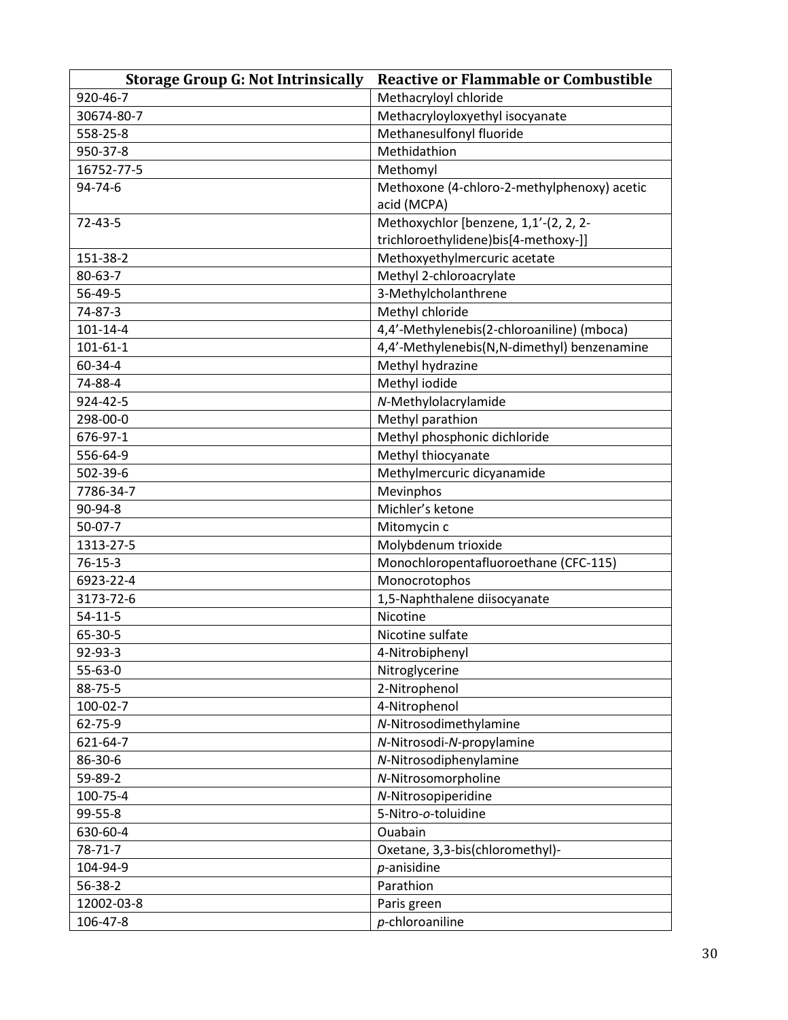| <b>Storage Group G: Not Intrinsically</b> | <b>Reactive or Flammable or Combustible</b> |
|-------------------------------------------|---------------------------------------------|
| 920-46-7                                  | Methacryloyl chloride                       |
| 30674-80-7                                | Methacryloyloxyethyl isocyanate             |
| 558-25-8                                  | Methanesulfonyl fluoride                    |
| 950-37-8                                  | Methidathion                                |
| 16752-77-5                                | Methomyl                                    |
| 94-74-6                                   | Methoxone (4-chloro-2-methylphenoxy) acetic |
|                                           | acid (MCPA)                                 |
| $72 - 43 - 5$                             | Methoxychlor [benzene, 1,1'-(2, 2, 2-       |
|                                           | trichloroethylidene)bis[4-methoxy-]]        |
| 151-38-2                                  | Methoxyethylmercuric acetate                |
| 80-63-7                                   | Methyl 2-chloroacrylate                     |
| 56-49-5                                   | 3-Methylcholanthrene                        |
| 74-87-3                                   | Methyl chloride                             |
| $101 - 14 - 4$                            | 4,4'-Methylenebis(2-chloroaniline) (mboca)  |
| $101 - 61 - 1$                            | 4,4'-Methylenebis(N,N-dimethyl) benzenamine |
| 60-34-4                                   | Methyl hydrazine                            |
| 74-88-4                                   | Methyl iodide                               |
| 924-42-5                                  | N-Methylolacrylamide                        |
| 298-00-0                                  | Methyl parathion                            |
| 676-97-1                                  | Methyl phosphonic dichloride                |
| 556-64-9                                  | Methyl thiocyanate                          |
| 502-39-6                                  | Methylmercuric dicyanamide                  |
| 7786-34-7                                 | Mevinphos                                   |
| 90-94-8                                   | Michler's ketone                            |
| $50-07-7$                                 | Mitomycin c                                 |
| 1313-27-5                                 | Molybdenum trioxide                         |
| $76 - 15 - 3$                             | Monochloropentafluoroethane (CFC-115)       |
| 6923-22-4                                 | Monocrotophos                               |
| 3173-72-6                                 | 1,5-Naphthalene diisocyanate                |
| $54 - 11 - 5$                             | Nicotine                                    |
| 65-30-5                                   | Nicotine sulfate                            |
| 92-93-3                                   | 4-Nitrobiphenyl                             |
| 55-63-0                                   | Nitroglycerine                              |
| 88-75-5                                   | 2-Nitrophenol                               |
| 100-02-7                                  | 4-Nitrophenol                               |
| 62-75-9                                   | N-Nitrosodimethylamine                      |
| 621-64-7                                  | N-Nitrosodi-N-propylamine                   |
| 86-30-6                                   | N-Nitrosodiphenylamine                      |
| 59-89-2                                   | N-Nitrosomorpholine                         |
| 100-75-4                                  | N-Nitrosopiperidine                         |
| 99-55-8                                   | 5-Nitro-o-toluidine                         |
| 630-60-4                                  | Ouabain                                     |
| 78-71-7                                   | Oxetane, 3,3-bis(chloromethyl)-             |
| 104-94-9                                  | p-anisidine                                 |
| 56-38-2                                   | Parathion                                   |
| 12002-03-8                                | Paris green                                 |
| 106-47-8                                  | p-chloroaniline                             |
|                                           |                                             |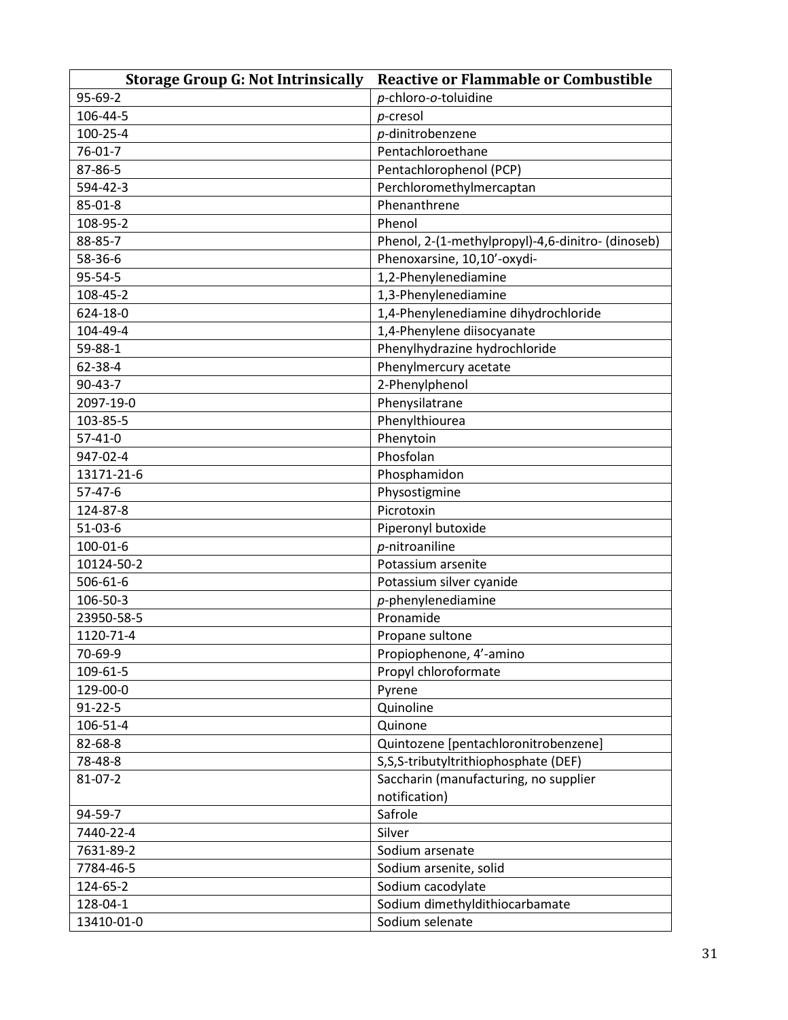| <b>Storage Group G: Not Intrinsically</b> | <b>Reactive or Flammable or Combustible</b>       |
|-------------------------------------------|---------------------------------------------------|
| $95 - 69 - 2$                             | p-chloro-o-toluidine                              |
| 106-44-5                                  | p-cresol                                          |
| 100-25-4                                  | p-dinitrobenzene                                  |
| $76 - 01 - 7$                             | Pentachloroethane                                 |
| 87-86-5                                   | Pentachlorophenol (PCP)                           |
| 594-42-3                                  | Perchloromethylmercaptan                          |
| 85-01-8                                   | Phenanthrene                                      |
| 108-95-2                                  | Phenol                                            |
| 88-85-7                                   | Phenol, 2-(1-methylpropyl)-4,6-dinitro- (dinoseb) |
| 58-36-6                                   | Phenoxarsine, 10,10'-oxydi-                       |
| 95-54-5                                   | 1,2-Phenylenediamine                              |
| 108-45-2                                  | 1,3-Phenylenediamine                              |
| 624-18-0                                  | 1,4-Phenylenediamine dihydrochloride              |
| 104-49-4                                  | 1,4-Phenylene diisocyanate                        |
| 59-88-1                                   | Phenylhydrazine hydrochloride                     |
| 62-38-4                                   | Phenylmercury acetate                             |
| $90 - 43 - 7$                             | 2-Phenylphenol                                    |
| 2097-19-0                                 | Phenysilatrane                                    |
| 103-85-5                                  | Phenylthiourea                                    |
| $57 - 41 - 0$                             | Phenytoin                                         |
| 947-02-4                                  | Phosfolan                                         |
| 13171-21-6                                | Phosphamidon                                      |
| $57 - 47 - 6$                             | Physostigmine                                     |
| 124-87-8                                  | Picrotoxin                                        |
| $51-03-6$                                 | Piperonyl butoxide                                |
| 100-01-6                                  | $p$ -nitroaniline                                 |
| 10124-50-2                                | Potassium arsenite                                |
| 506-61-6                                  | Potassium silver cyanide                          |
| 106-50-3                                  | $p$ -phenylenediamine                             |
| 23950-58-5                                | Pronamide                                         |
| 1120-71-4                                 | Propane sultone                                   |
| 70-69-9                                   | Propiophenone, 4'-amino                           |
| 109-61-5                                  | Propyl chloroformate                              |
| 129-00-0                                  | Pyrene                                            |
| $91 - 22 - 5$                             | Quinoline                                         |
| 106-51-4                                  | Quinone                                           |
| 82-68-8                                   | Quintozene [pentachloronitrobenzene]              |
| 78-48-8                                   | S, S, S-tributyltrithiophosphate (DEF)            |
| 81-07-2                                   | Saccharin (manufacturing, no supplier             |
|                                           | notification)                                     |
| 94-59-7                                   | Safrole                                           |
| 7440-22-4                                 | Silver                                            |
| 7631-89-2                                 | Sodium arsenate                                   |
| 7784-46-5                                 | Sodium arsenite, solid                            |
| 124-65-2                                  | Sodium cacodylate                                 |
| 128-04-1                                  | Sodium dimethyldithiocarbamate                    |
| 13410-01-0                                | Sodium selenate                                   |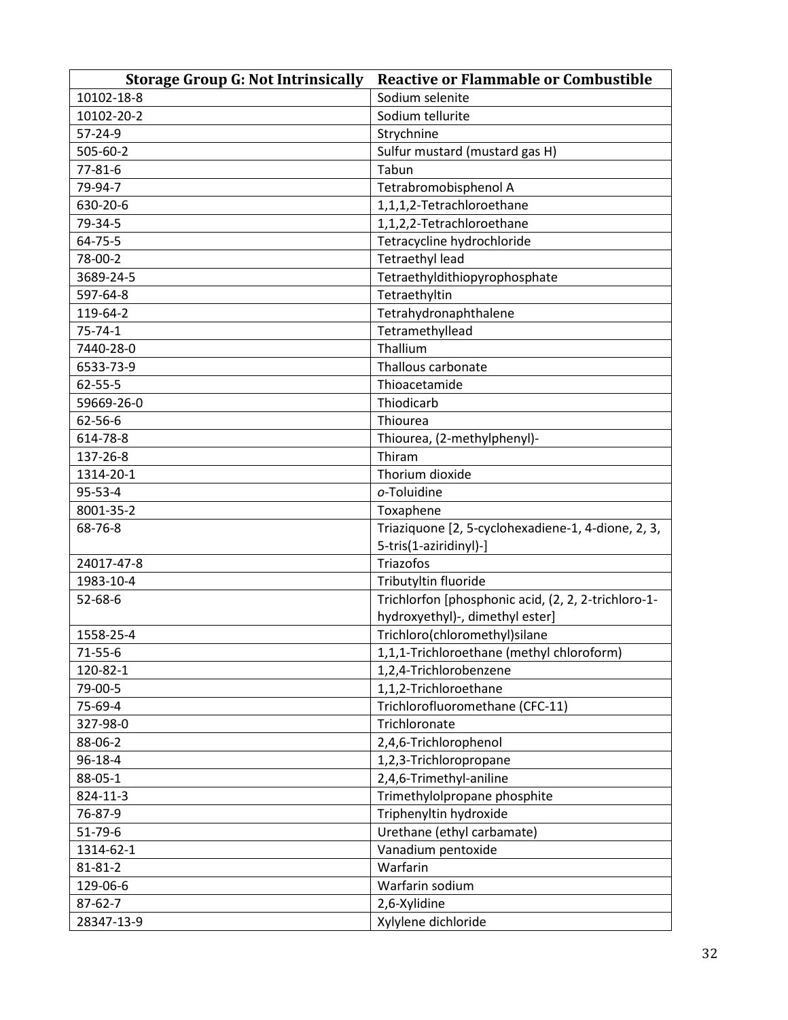| <b>Storage Group G: Not Intrinsically</b> | <b>Reactive or Flammable or Combustible</b>         |
|-------------------------------------------|-----------------------------------------------------|
| 10102-18-8                                | Sodium selenite                                     |
| 10102-20-2                                | Sodium tellurite                                    |
| $57 - 24 - 9$                             | Strychnine                                          |
| 505-60-2                                  | Sulfur mustard (mustard gas H)                      |
| $77 - 81 - 6$                             | Tabun                                               |
| 79-94-7                                   | Tetrabromobisphenol A                               |
| 630-20-6                                  | 1,1,1,2-Tetrachloroethane                           |
| 79-34-5                                   | 1,1,2,2-Tetrachloroethane                           |
| 64-75-5                                   | Tetracycline hydrochloride                          |
| 78-00-2                                   | <b>Tetraethyl lead</b>                              |
| 3689-24-5                                 | Tetraethyldithiopyrophosphate                       |
| 597-64-8                                  | Tetraethyltin                                       |
| 119-64-2                                  | Tetrahydronaphthalene                               |
| $75 - 74 - 1$                             | Tetramethyllead                                     |
| 7440-28-0                                 | Thallium                                            |
| 6533-73-9                                 | Thallous carbonate                                  |
| $62 - 55 - 5$                             | Thioacetamide                                       |
| 59669-26-0                                | Thiodicarb                                          |
| 62-56-6                                   | Thiourea                                            |
| 614-78-8                                  | Thiourea, (2-methylphenyl)-                         |
| 137-26-8                                  | Thiram                                              |
| 1314-20-1                                 | Thorium dioxide                                     |
| 95-53-4                                   | o-Toluidine                                         |
| 8001-35-2                                 | Toxaphene                                           |
| 68-76-8                                   | Triaziquone [2, 5-cyclohexadiene-1, 4-dione, 2, 3,  |
|                                           | 5-tris(1-aziridinyl)-]                              |
| 24017-47-8                                | Triazofos                                           |
| 1983-10-4                                 | Tributyltin fluoride                                |
| $52 - 68 - 6$                             | Trichlorfon [phosphonic acid, (2, 2, 2-trichloro-1- |
|                                           | hydroxyethyl)-, dimethyl ester]                     |
| 1558-25-4                                 | Trichloro(chloromethyl)silane                       |
| 71-55-6                                   | 1,1,1-Trichloroethane (methyl chloroform)           |
| 120-82-1                                  | 1,2,4-Trichlorobenzene                              |
| 79-00-5                                   | 1,1,2-Trichloroethane                               |
| 75-69-4                                   | Trichlorofluoromethane (CFC-11)                     |
| 327-98-0                                  | Trichloronate                                       |
| 88-06-2                                   | 2,4,6-Trichlorophenol                               |
| 96-18-4                                   | 1,2,3-Trichloropropane                              |
| 88-05-1                                   | 2,4,6-Trimethyl-aniline                             |
| 824-11-3                                  | Trimethylolpropane phosphite                        |
| 76-87-9                                   | Triphenyltin hydroxide                              |
| 51-79-6                                   | Urethane (ethyl carbamate)                          |
| 1314-62-1                                 | Vanadium pentoxide                                  |
| $81 - 81 - 2$                             | Warfarin                                            |
| 129-06-6                                  | Warfarin sodium                                     |
| $87 - 62 - 7$                             | 2,6-Xylidine                                        |
| 28347-13-9                                | Xylylene dichloride                                 |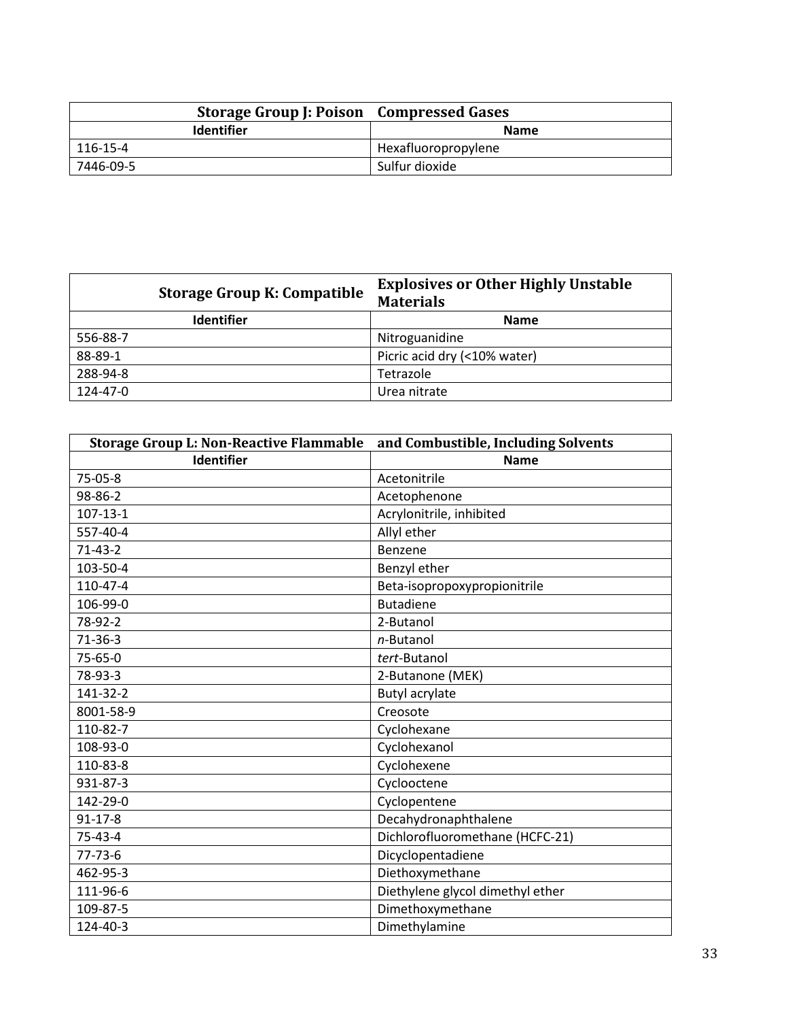| <b>Storage Group J: Poison Compressed Gases</b> |                     |
|-------------------------------------------------|---------------------|
| <b>Identifier</b>                               | <b>Name</b>         |
| 116-15-4                                        | Hexafluoropropylene |
| 7446-09-5                                       | Sulfur dioxide      |

|          | <b>Storage Group K: Compatible</b> | <b>Explosives or Other Highly Unstable</b><br><b>Materials</b> |
|----------|------------------------------------|----------------------------------------------------------------|
|          | <b>Identifier</b>                  | <b>Name</b>                                                    |
| 556-88-7 |                                    | Nitroguanidine                                                 |
| 88-89-1  |                                    | Picric acid dry (<10% water)                                   |
| 288-94-8 |                                    | Tetrazole                                                      |
| 124-47-0 |                                    | Urea nitrate                                                   |

| <b>Storage Group L: Non-Reactive Flammable</b> | and Combustible, Including Solvents |
|------------------------------------------------|-------------------------------------|
| Identifier                                     | <b>Name</b>                         |
| 75-05-8                                        | Acetonitrile                        |
| 98-86-2                                        | Acetophenone                        |
| $107 - 13 - 1$                                 | Acrylonitrile, inhibited            |
| 557-40-4                                       | Allyl ether                         |
| $71-43-2$                                      | Benzene                             |
| 103-50-4                                       | Benzyl ether                        |
| 110-47-4                                       | Beta-isopropoxypropionitrile        |
| 106-99-0                                       | <b>Butadiene</b>                    |
| 78-92-2                                        | 2-Butanol                           |
| $71 - 36 - 3$                                  | $n$ -Butanol                        |
| $75 - 65 - 0$                                  | tert-Butanol                        |
| 78-93-3                                        | 2-Butanone (MEK)                    |
| 141-32-2                                       | <b>Butyl acrylate</b>               |
| 8001-58-9                                      | Creosote                            |
| 110-82-7                                       | Cyclohexane                         |
| 108-93-0                                       | Cyclohexanol                        |
| 110-83-8                                       | Cyclohexene                         |
| 931-87-3                                       | Cyclooctene                         |
| 142-29-0                                       | Cyclopentene                        |
| $91 - 17 - 8$                                  | Decahydronaphthalene                |
| 75-43-4                                        | Dichlorofluoromethane (HCFC-21)     |
| $77 - 73 - 6$                                  | Dicyclopentadiene                   |
| 462-95-3                                       | Diethoxymethane                     |
| 111-96-6                                       | Diethylene glycol dimethyl ether    |
| 109-87-5                                       | Dimethoxymethane                    |
| 124-40-3                                       | Dimethylamine                       |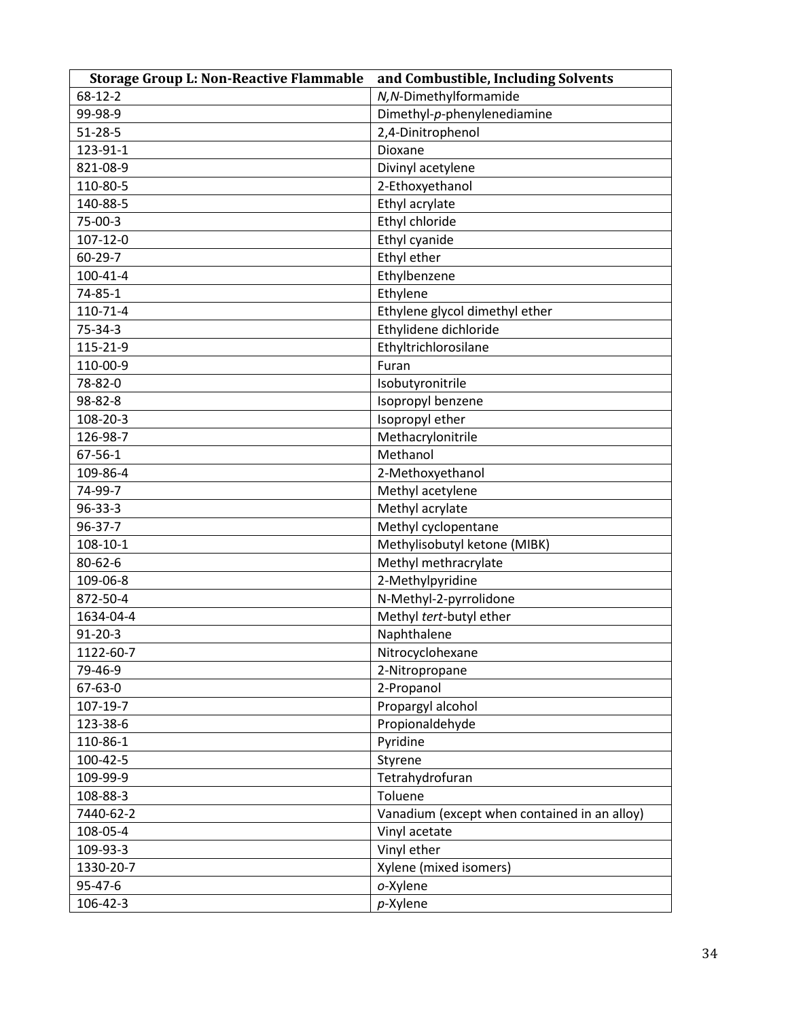| <b>Storage Group L: Non-Reactive Flammable</b> | and Combustible, Including Solvents          |
|------------------------------------------------|----------------------------------------------|
| $68 - 12 - 2$                                  | N, N-Dimethylformamide                       |
| 99-98-9                                        | Dimethyl-p-phenylenediamine                  |
| $51 - 28 - 5$                                  | 2,4-Dinitrophenol                            |
| 123-91-1                                       | Dioxane                                      |
| 821-08-9                                       | Divinyl acetylene                            |
| 110-80-5                                       | 2-Ethoxyethanol                              |
| 140-88-5                                       | Ethyl acrylate                               |
| 75-00-3                                        | Ethyl chloride                               |
| 107-12-0                                       | Ethyl cyanide                                |
| 60-29-7                                        | Ethyl ether                                  |
| 100-41-4                                       | Ethylbenzene                                 |
| 74-85-1                                        | Ethylene                                     |
| 110-71-4                                       | Ethylene glycol dimethyl ether               |
| 75-34-3                                        | Ethylidene dichloride                        |
| 115-21-9                                       | Ethyltrichlorosilane                         |
| 110-00-9                                       | Furan                                        |
| 78-82-0                                        | Isobutyronitrile                             |
| 98-82-8                                        | Isopropyl benzene                            |
| 108-20-3                                       | Isopropyl ether                              |
| 126-98-7                                       | Methacrylonitrile                            |
| 67-56-1                                        | Methanol                                     |
| 109-86-4                                       | 2-Methoxyethanol                             |
| 74-99-7                                        | Methyl acetylene                             |
| 96-33-3                                        | Methyl acrylate                              |
| 96-37-7                                        | Methyl cyclopentane                          |
| 108-10-1                                       | Methylisobutyl ketone (MIBK)                 |
| 80-62-6                                        | Methyl methracrylate                         |
| 109-06-8                                       | 2-Methylpyridine                             |
| 872-50-4                                       | N-Methyl-2-pyrrolidone                       |
| 1634-04-4                                      | Methyl tert-butyl ether                      |
| $91 - 20 - 3$                                  | Naphthalene                                  |
| 1122-60-7                                      | Nitrocyclohexane                             |
| 79-46-9                                        | 2-Nitropropane                               |
| 67-63-0                                        | 2-Propanol                                   |
| 107-19-7                                       | Propargyl alcohol                            |
| 123-38-6                                       | Propionaldehyde                              |
| 110-86-1                                       | Pyridine                                     |
| 100-42-5                                       | Styrene                                      |
| 109-99-9                                       | Tetrahydrofuran                              |
| 108-88-3                                       | Toluene                                      |
| 7440-62-2                                      | Vanadium (except when contained in an alloy) |
| 108-05-4                                       | Vinyl acetate                                |
| 109-93-3                                       | Vinyl ether                                  |
| 1330-20-7                                      | Xylene (mixed isomers)                       |
| 95-47-6                                        | o-Xylene                                     |
| 106-42-3                                       | p-Xylene                                     |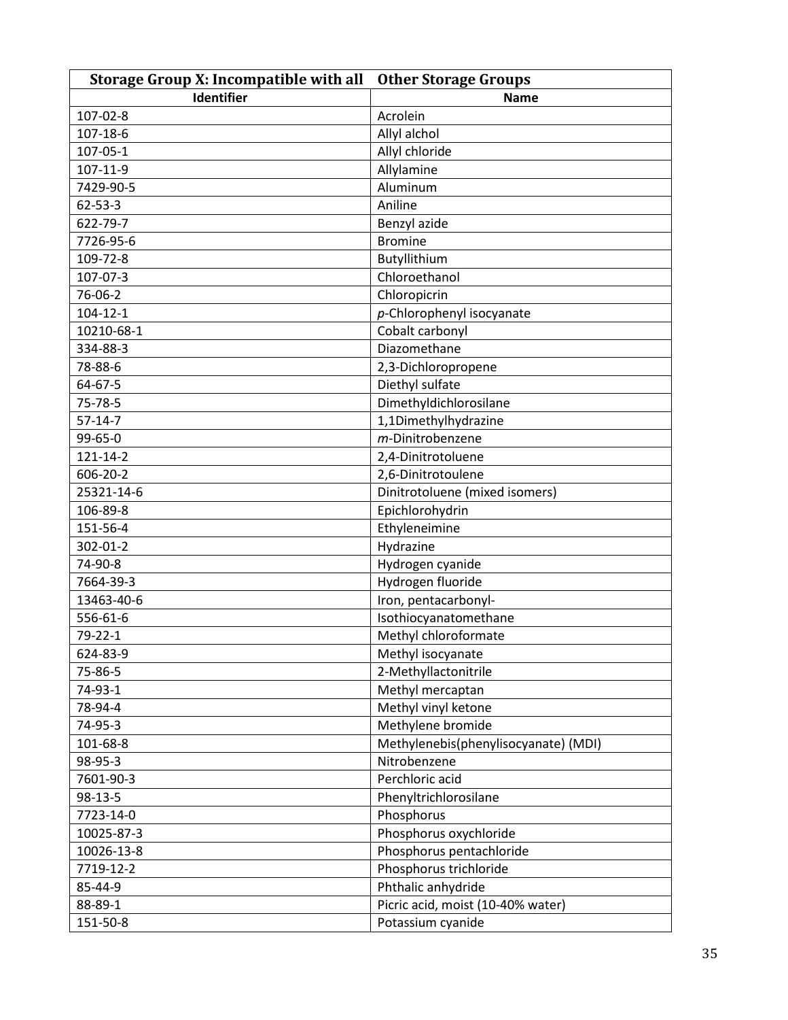| Storage Group X: Incompatible with all<br><b>Other Storage Groups</b> |                                      |  |
|-----------------------------------------------------------------------|--------------------------------------|--|
| Identifier                                                            | <b>Name</b>                          |  |
| 107-02-8                                                              | Acrolein                             |  |
| 107-18-6                                                              | Allyl alchol                         |  |
| 107-05-1                                                              | Allyl chloride                       |  |
| 107-11-9                                                              | Allylamine                           |  |
| 7429-90-5                                                             | Aluminum                             |  |
| 62-53-3                                                               | Aniline                              |  |
| 622-79-7                                                              | Benzyl azide                         |  |
| 7726-95-6                                                             | <b>Bromine</b>                       |  |
| 109-72-8                                                              | Butyllithium                         |  |
| 107-07-3                                                              | Chloroethanol                        |  |
| 76-06-2                                                               | Chloropicrin                         |  |
| $104 - 12 - 1$                                                        | $p$ -Chlorophenyl isocyanate         |  |
| 10210-68-1                                                            | Cobalt carbonyl                      |  |
| 334-88-3                                                              | Diazomethane                         |  |
| 78-88-6                                                               | 2,3-Dichloropropene                  |  |
| 64-67-5                                                               | Diethyl sulfate                      |  |
| 75-78-5                                                               | Dimethyldichlorosilane               |  |
| $57 - 14 - 7$                                                         | 1,1Dimethylhydrazine                 |  |
| 99-65-0                                                               | m-Dinitrobenzene                     |  |
| 121-14-2                                                              | 2,4-Dinitrotoluene                   |  |
| 606-20-2                                                              | 2,6-Dinitrotoulene                   |  |
| 25321-14-6                                                            | Dinitrotoluene (mixed isomers)       |  |
| 106-89-8                                                              | Epichlorohydrin                      |  |
| 151-56-4                                                              | Ethyleneimine                        |  |
| 302-01-2                                                              | Hydrazine                            |  |
| 74-90-8                                                               | Hydrogen cyanide                     |  |
| 7664-39-3                                                             | Hydrogen fluoride                    |  |
| 13463-40-6                                                            | Iron, pentacarbonyl-                 |  |
| 556-61-6                                                              | Isothiocyanatomethane                |  |
| 79-22-1                                                               | Methyl chloroformate                 |  |
| 624-83-9                                                              | Methyl isocyanate                    |  |
| 75-86-5                                                               | 2-Methyllactonitrile                 |  |
| 74-93-1                                                               | Methyl mercaptan                     |  |
| 78-94-4                                                               | Methyl vinyl ketone                  |  |
| 74-95-3                                                               | Methylene bromide                    |  |
| 101-68-8                                                              | Methylenebis(phenylisocyanate) (MDI) |  |
| 98-95-3                                                               | Nitrobenzene                         |  |
| 7601-90-3                                                             | Perchloric acid                      |  |
| 98-13-5                                                               | Phenyltrichlorosilane                |  |
| 7723-14-0                                                             | Phosphorus                           |  |
| 10025-87-3                                                            | Phosphorus oxychloride               |  |
| 10026-13-8                                                            | Phosphorus pentachloride             |  |
| 7719-12-2                                                             | Phosphorus trichloride               |  |
| 85-44-9                                                               | Phthalic anhydride                   |  |
| 88-89-1                                                               | Picric acid, moist (10-40% water)    |  |
| 151-50-8                                                              | Potassium cyanide                    |  |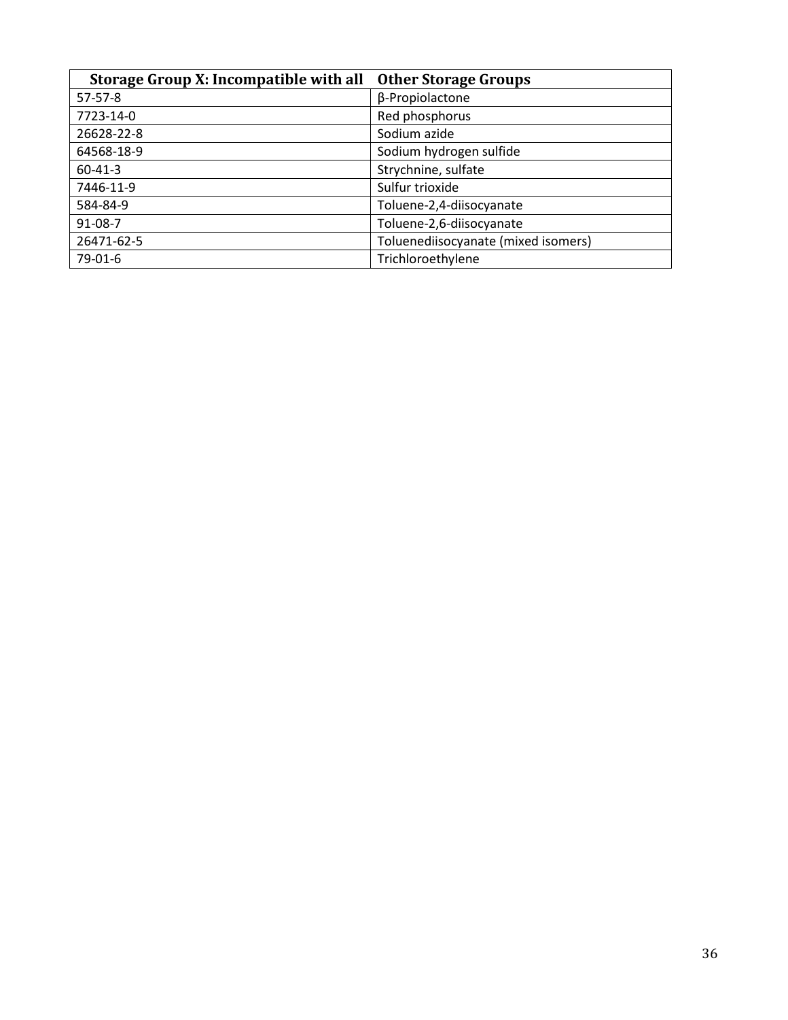| Storage Group X: Incompatible with all | <b>Other Storage Groups</b>         |
|----------------------------------------|-------------------------------------|
| $57 - 57 - 8$                          | β-Propiolactone                     |
| 7723-14-0                              | Red phosphorus                      |
| 26628-22-8                             | Sodium azide                        |
| 64568-18-9                             | Sodium hydrogen sulfide             |
| $60 - 41 - 3$                          | Strychnine, sulfate                 |
| 7446-11-9                              | Sulfur trioxide                     |
| 584-84-9                               | Toluene-2,4-diisocyanate            |
| 91-08-7                                | Toluene-2,6-diisocyanate            |
| 26471-62-5                             | Toluenediisocyanate (mixed isomers) |
| 79-01-6                                | Trichloroethylene                   |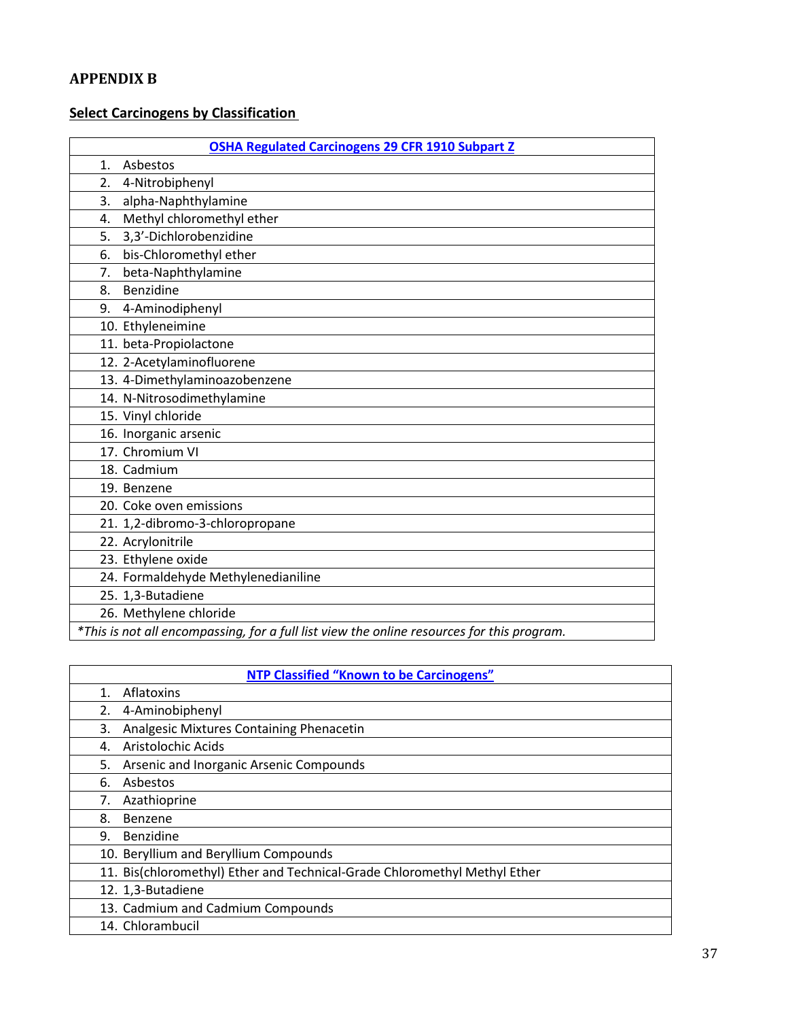# <span id="page-36-0"></span>**APPENDIX B**

# <span id="page-36-1"></span>**Select Carcinogens by Classification**

| <b>OSHA Regulated Carcinogens 29 CFR 1910 Subpart Z</b>                                    |  |  |  |
|--------------------------------------------------------------------------------------------|--|--|--|
| Asbestos<br>1.                                                                             |  |  |  |
| 2.<br>4-Nitrobiphenyl                                                                      |  |  |  |
| alpha-Naphthylamine<br>3.                                                                  |  |  |  |
| Methyl chloromethyl ether<br>4.                                                            |  |  |  |
| 3,3'-Dichlorobenzidine<br>5.                                                               |  |  |  |
| bis-Chloromethyl ether<br>6.                                                               |  |  |  |
| beta-Naphthylamine<br>7.                                                                   |  |  |  |
| Benzidine<br>8.                                                                            |  |  |  |
| 4-Aminodiphenyl<br>9.                                                                      |  |  |  |
| 10. Ethyleneimine                                                                          |  |  |  |
| 11. beta-Propiolactone                                                                     |  |  |  |
| 12. 2-Acetylaminofluorene                                                                  |  |  |  |
| 13. 4-Dimethylaminoazobenzene                                                              |  |  |  |
| 14. N-Nitrosodimethylamine                                                                 |  |  |  |
| 15. Vinyl chloride                                                                         |  |  |  |
| 16. Inorganic arsenic                                                                      |  |  |  |
| 17. Chromium VI                                                                            |  |  |  |
| 18. Cadmium                                                                                |  |  |  |
| 19. Benzene                                                                                |  |  |  |
| 20. Coke oven emissions                                                                    |  |  |  |
| 21. 1,2-dibromo-3-chloropropane                                                            |  |  |  |
| 22. Acrylonitrile                                                                          |  |  |  |
| 23. Ethylene oxide                                                                         |  |  |  |
| 24. Formaldehyde Methylenedianiline                                                        |  |  |  |
| 25. 1,3-Butadiene                                                                          |  |  |  |
| 26. Methylene chloride                                                                     |  |  |  |
| *This is not all encompassing, for a full list view the online resources for this program. |  |  |  |

| <b>NTP Classified "Known to be Carcinogens"</b> |                                                                           |  |  |
|-------------------------------------------------|---------------------------------------------------------------------------|--|--|
| 1.                                              | Aflatoxins                                                                |  |  |
| 2.                                              | 4-Aminobiphenyl                                                           |  |  |
| 3.                                              | Analgesic Mixtures Containing Phenacetin                                  |  |  |
| 4.                                              | Aristolochic Acids                                                        |  |  |
| 5.                                              | Arsenic and Inorganic Arsenic Compounds                                   |  |  |
| 6.                                              | Asbestos                                                                  |  |  |
| 7.                                              | Azathioprine                                                              |  |  |
| 8.                                              | Benzene                                                                   |  |  |
| 9.                                              | Benzidine                                                                 |  |  |
|                                                 | 10. Beryllium and Beryllium Compounds                                     |  |  |
|                                                 | 11. Bis(chloromethyl) Ether and Technical-Grade Chloromethyl Methyl Ether |  |  |
|                                                 | 12. 1,3-Butadiene                                                         |  |  |
|                                                 | 13. Cadmium and Cadmium Compounds                                         |  |  |
|                                                 | 14. Chlorambucil                                                          |  |  |
|                                                 |                                                                           |  |  |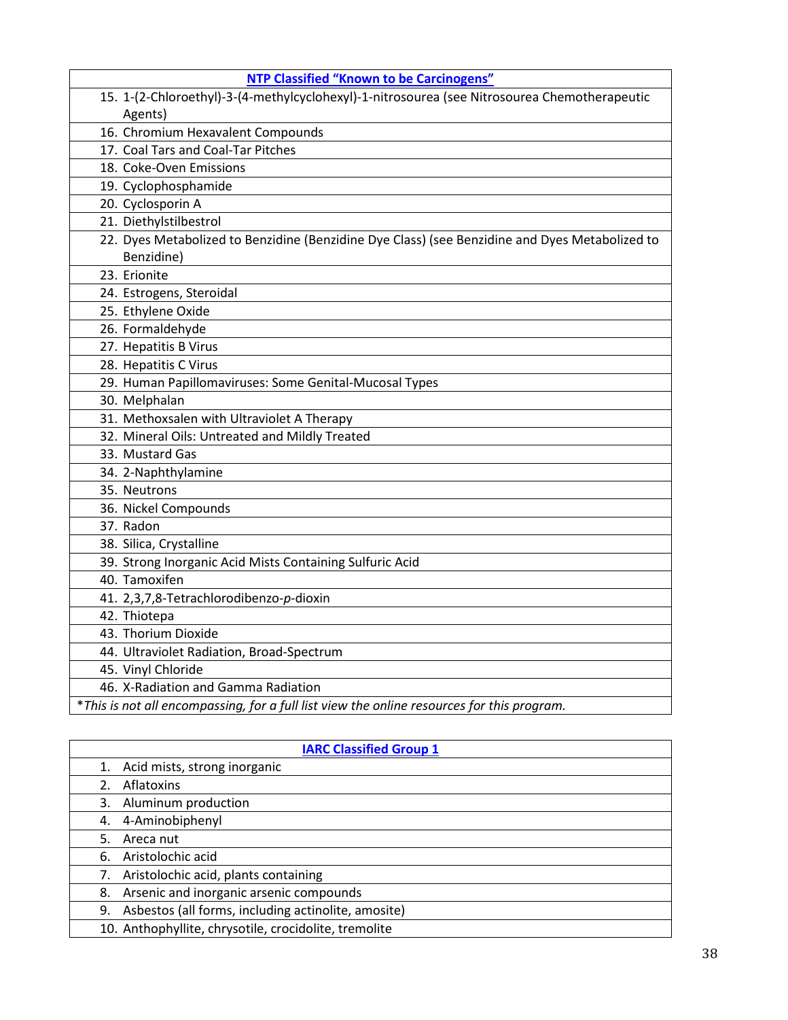| NTP Classified "Known to be Carcinogens"                                                       |
|------------------------------------------------------------------------------------------------|
| 15. 1-(2-Chloroethyl)-3-(4-methylcyclohexyl)-1-nitrosourea (see Nitrosourea Chemotherapeutic   |
| Agents)                                                                                        |
| 16. Chromium Hexavalent Compounds                                                              |
| 17. Coal Tars and Coal-Tar Pitches                                                             |
| 18. Coke-Oven Emissions                                                                        |
| 19. Cyclophosphamide                                                                           |
| 20. Cyclosporin A                                                                              |
| 21. Diethylstilbestrol                                                                         |
| 22. Dyes Metabolized to Benzidine (Benzidine Dye Class) (see Benzidine and Dyes Metabolized to |
| Benzidine)                                                                                     |
| 23. Erionite                                                                                   |
| 24. Estrogens, Steroidal                                                                       |
| 25. Ethylene Oxide                                                                             |
| 26. Formaldehyde                                                                               |
| 27. Hepatitis B Virus                                                                          |
| 28. Hepatitis C Virus                                                                          |
| 29. Human Papillomaviruses: Some Genital-Mucosal Types                                         |
| 30. Melphalan                                                                                  |
| 31. Methoxsalen with Ultraviolet A Therapy                                                     |
| 32. Mineral Oils: Untreated and Mildly Treated                                                 |
| 33. Mustard Gas                                                                                |
| 34. 2-Naphthylamine                                                                            |
| 35. Neutrons                                                                                   |
| 36. Nickel Compounds                                                                           |
| 37. Radon                                                                                      |
| 38. Silica, Crystalline                                                                        |
| 39. Strong Inorganic Acid Mists Containing Sulfuric Acid                                       |
| 40. Tamoxifen                                                                                  |
| 41. 2,3,7,8-Tetrachlorodibenzo-p-dioxin                                                        |
| 42. Thiotepa                                                                                   |
| 43. Thorium Dioxide                                                                            |
| 44. Ultraviolet Radiation, Broad-Spectrum                                                      |
| 45. Vinyl Chloride                                                                             |
| 46. X-Radiation and Gamma Radiation                                                            |
| *This is not all encompassing, for a full list view the online resources for this program.     |

| <b>IARC Classified Group 1</b> |                                                       |  |
|--------------------------------|-------------------------------------------------------|--|
|                                | Acid mists, strong inorganic                          |  |
|                                | <b>Aflatoxins</b>                                     |  |
| 3.                             | Aluminum production                                   |  |
| 4.                             | 4-Aminobiphenyl                                       |  |
| 5.                             | Areca nut                                             |  |
| 6.                             | Aristolochic acid                                     |  |
| 7.                             | Aristolochic acid, plants containing                  |  |
| 8.                             | Arsenic and inorganic arsenic compounds               |  |
| 9.                             | Asbestos (all forms, including actinolite, amosite)   |  |
|                                | 10. Anthophyllite, chrysotile, crocidolite, tremolite |  |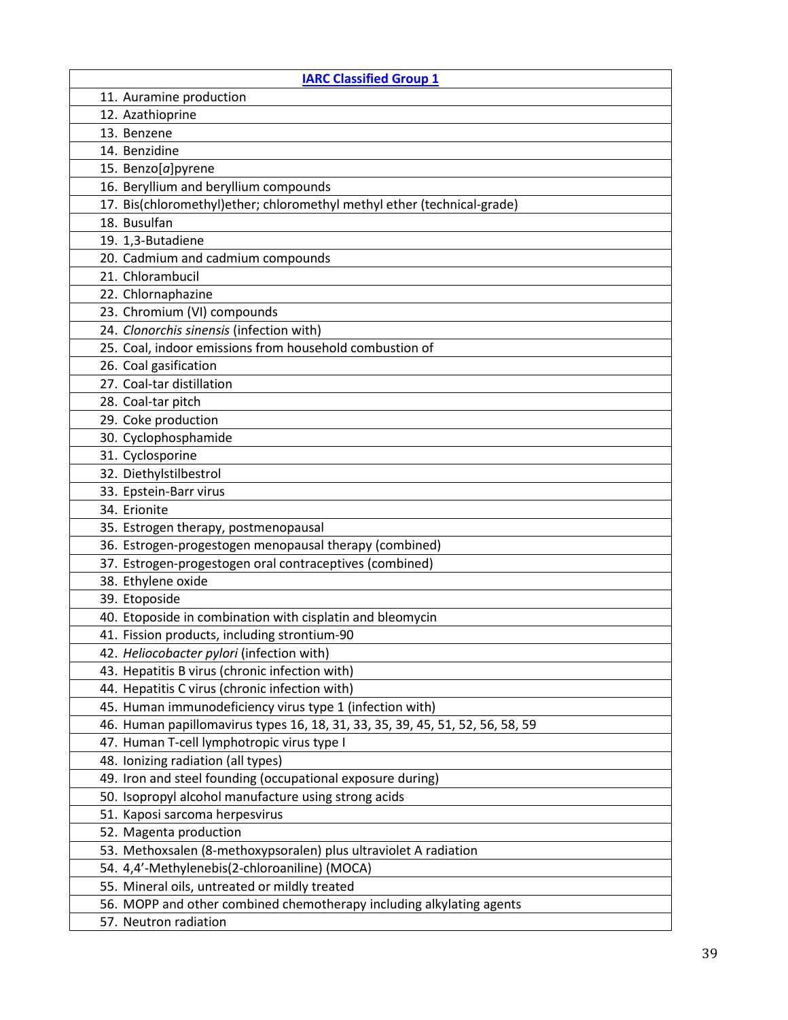| <b>IARC Classified Group 1</b>                                                |  |  |  |
|-------------------------------------------------------------------------------|--|--|--|
| 11. Auramine production                                                       |  |  |  |
| 12. Azathioprine                                                              |  |  |  |
| 13. Benzene                                                                   |  |  |  |
| 14. Benzidine                                                                 |  |  |  |
| 15. Benzo[a]pyrene                                                            |  |  |  |
| 16. Beryllium and beryllium compounds                                         |  |  |  |
| 17. Bis(chloromethyl)ether; chloromethyl methyl ether (technical-grade)       |  |  |  |
| 18. Busulfan                                                                  |  |  |  |
| 19. 1,3-Butadiene                                                             |  |  |  |
| 20. Cadmium and cadmium compounds                                             |  |  |  |
| 21. Chlorambucil                                                              |  |  |  |
| 22. Chlornaphazine                                                            |  |  |  |
| 23. Chromium (VI) compounds                                                   |  |  |  |
| 24. Clonorchis sinensis (infection with)                                      |  |  |  |
| 25. Coal, indoor emissions from household combustion of                       |  |  |  |
| 26. Coal gasification                                                         |  |  |  |
| 27. Coal-tar distillation                                                     |  |  |  |
| 28. Coal-tar pitch                                                            |  |  |  |
| 29. Coke production                                                           |  |  |  |
| 30. Cyclophosphamide                                                          |  |  |  |
| 31. Cyclosporine                                                              |  |  |  |
| 32. Diethylstilbestrol                                                        |  |  |  |
| 33. Epstein-Barr virus                                                        |  |  |  |
| 34. Erionite                                                                  |  |  |  |
| 35. Estrogen therapy, postmenopausal                                          |  |  |  |
| 36. Estrogen-progestogen menopausal therapy (combined)                        |  |  |  |
| 37. Estrogen-progestogen oral contraceptives (combined)                       |  |  |  |
| 38. Ethylene oxide                                                            |  |  |  |
| 39. Etoposide                                                                 |  |  |  |
| 40. Etoposide in combination with cisplatin and bleomycin                     |  |  |  |
| 41. Fission products, including strontium-90                                  |  |  |  |
| 42. Heliocobacter pylori (infection with)                                     |  |  |  |
| 43. Hepatitis B virus (chronic infection with)                                |  |  |  |
| 44. Hepatitis C virus (chronic infection with)                                |  |  |  |
| 45. Human immunodeficiency virus type 1 (infection with)                      |  |  |  |
| 46. Human papillomavirus types 16, 18, 31, 33, 35, 39, 45, 51, 52, 56, 58, 59 |  |  |  |
| 47. Human T-cell lymphotropic virus type I                                    |  |  |  |
| 48. Ionizing radiation (all types)                                            |  |  |  |
| 49. Iron and steel founding (occupational exposure during)                    |  |  |  |
| 50. Isopropyl alcohol manufacture using strong acids                          |  |  |  |
| 51. Kaposi sarcoma herpesvirus                                                |  |  |  |
| 52. Magenta production                                                        |  |  |  |
| 53. Methoxsalen (8-methoxypsoralen) plus ultraviolet A radiation              |  |  |  |
| 54. 4,4'-Methylenebis(2-chloroaniline) (MOCA)                                 |  |  |  |
| 55. Mineral oils, untreated or mildly treated                                 |  |  |  |
| 56. MOPP and other combined chemotherapy including alkylating agents          |  |  |  |
| 57. Neutron radiation                                                         |  |  |  |
|                                                                               |  |  |  |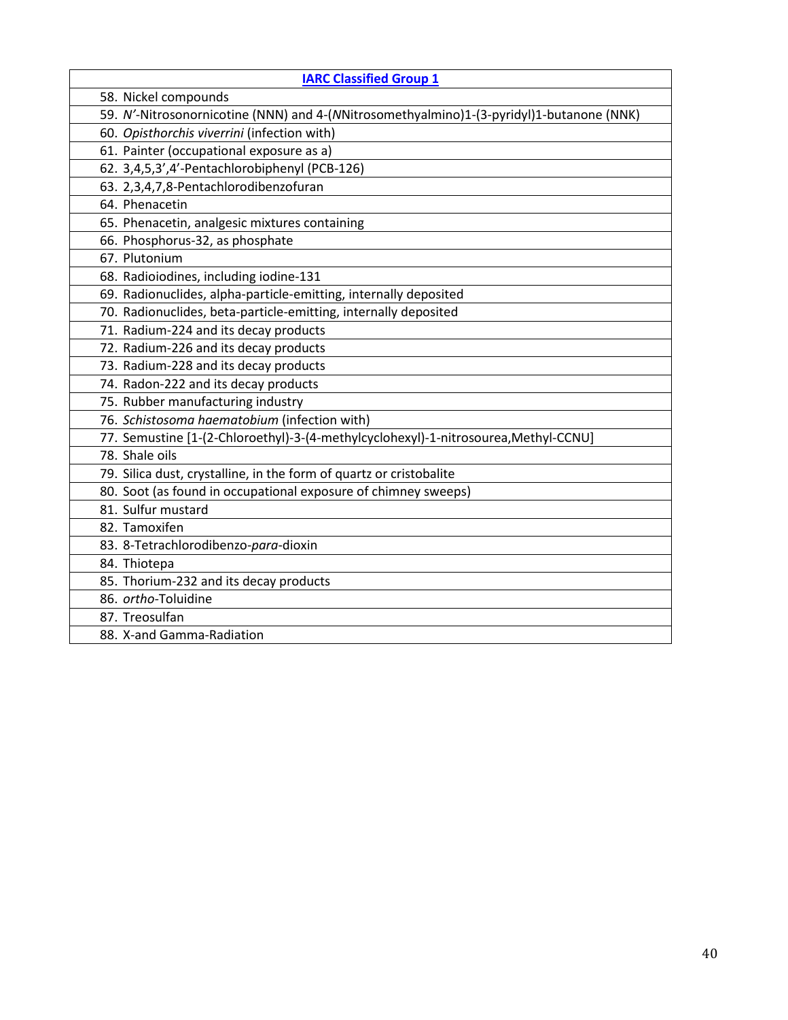| <b>IARC Classified Group 1</b>                                                           |
|------------------------------------------------------------------------------------------|
| 58. Nickel compounds                                                                     |
| 59. N'-Nitrosonornicotine (NNN) and 4-(NNitrosomethyalmino)1-(3-pyridyl)1-butanone (NNK) |
| 60. Opisthorchis viverrini (infection with)                                              |
| 61. Painter (occupational exposure as a)                                                 |
| 62. 3,4,5,3',4'-Pentachlorobiphenyl (PCB-126)                                            |
| 63. 2,3,4,7,8-Pentachlorodibenzofuran                                                    |
| 64. Phenacetin                                                                           |
| 65. Phenacetin, analgesic mixtures containing                                            |
| 66. Phosphorus-32, as phosphate                                                          |
| 67. Plutonium                                                                            |
| 68. Radioiodines, including iodine-131                                                   |
| 69. Radionuclides, alpha-particle-emitting, internally deposited                         |
| 70. Radionuclides, beta-particle-emitting, internally deposited                          |
| 71. Radium-224 and its decay products                                                    |
| 72. Radium-226 and its decay products                                                    |
| 73. Radium-228 and its decay products                                                    |
| 74. Radon-222 and its decay products                                                     |
| 75. Rubber manufacturing industry                                                        |
| 76. Schistosoma haematobium (infection with)                                             |
| 77. Semustine [1-(2-Chloroethyl)-3-(4-methylcyclohexyl)-1-nitrosourea,Methyl-CCNU]       |
| 78. Shale oils                                                                           |
| 79. Silica dust, crystalline, in the form of quartz or cristobalite                      |
| 80. Soot (as found in occupational exposure of chimney sweeps)                           |
| 81. Sulfur mustard                                                                       |
| 82. Tamoxifen                                                                            |
| 83. 8-Tetrachlorodibenzo-para-dioxin                                                     |
| 84. Thiotepa                                                                             |
| 85. Thorium-232 and its decay products                                                   |
| 86. ortho-Toluidine                                                                      |
| 87. Treosulfan                                                                           |
| 88. X-and Gamma-Radiation                                                                |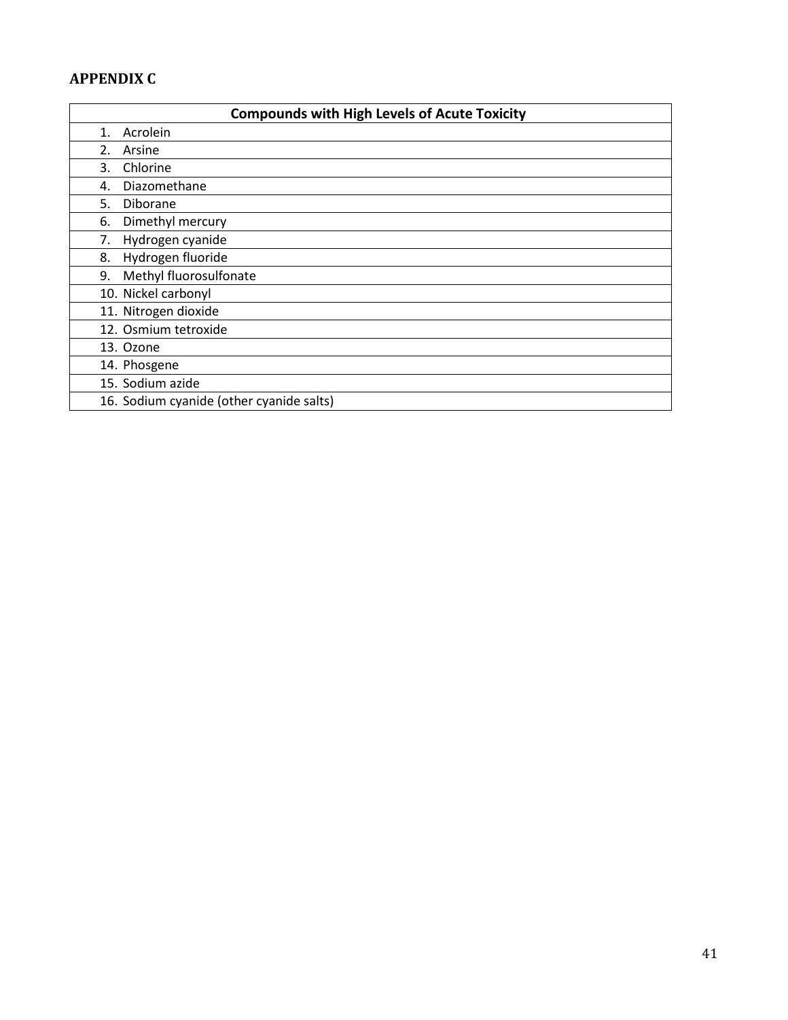# <span id="page-40-0"></span>**APPENDIX C**

<span id="page-40-1"></span>

| <b>Compounds with High Levels of Acute Toxicity</b> |  |  |
|-----------------------------------------------------|--|--|
| Acrolein<br>1.                                      |  |  |
| 2.<br>Arsine                                        |  |  |
| 3.<br>Chlorine                                      |  |  |
| Diazomethane<br>4.                                  |  |  |
| 5.<br>Diborane                                      |  |  |
| Dimethyl mercury<br>6.                              |  |  |
| Hydrogen cyanide<br>7.                              |  |  |
| Hydrogen fluoride<br>8.                             |  |  |
| Methyl fluorosulfonate<br>9.                        |  |  |
| 10. Nickel carbonyl                                 |  |  |
| 11. Nitrogen dioxide                                |  |  |
| 12. Osmium tetroxide                                |  |  |
| 13. Ozone                                           |  |  |
| 14. Phosgene                                        |  |  |
| 15. Sodium azide                                    |  |  |
| 16. Sodium cyanide (other cyanide salts)            |  |  |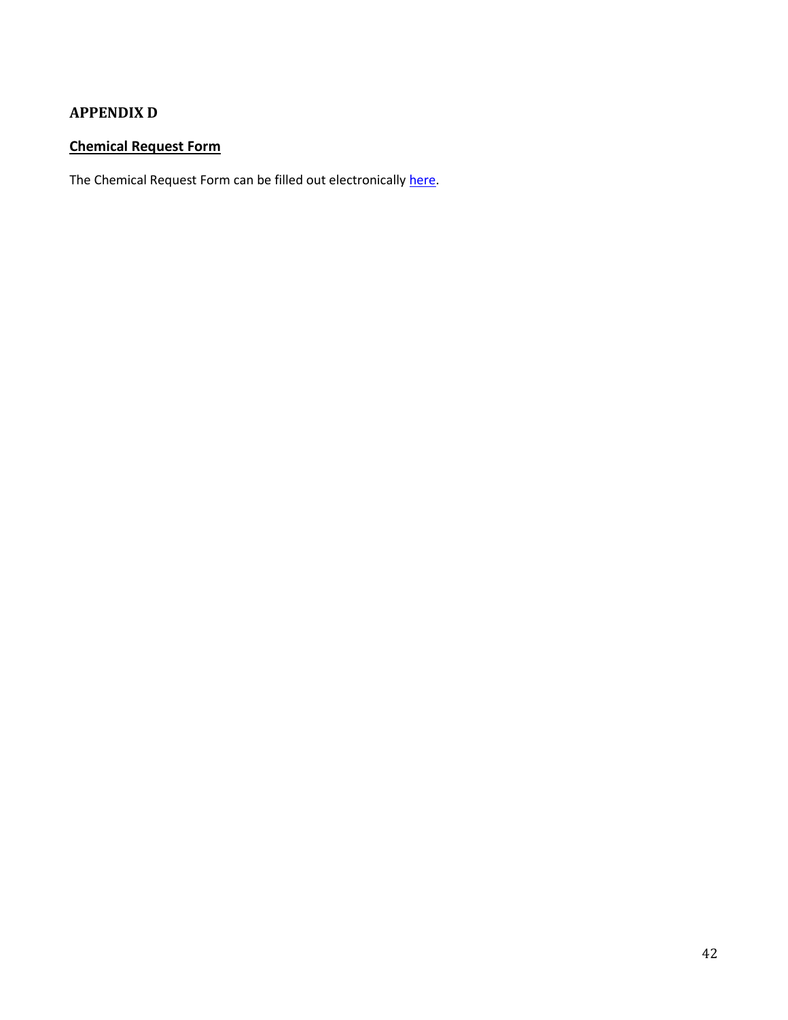# <span id="page-41-0"></span>**APPENDIX D**

# <span id="page-41-1"></span>**Chemical Request Form**

The Chemical Request Form can be filled out electronically [here.](http://www.wtamu.edu/environmental_safety/chemical-ordering-form.aspx)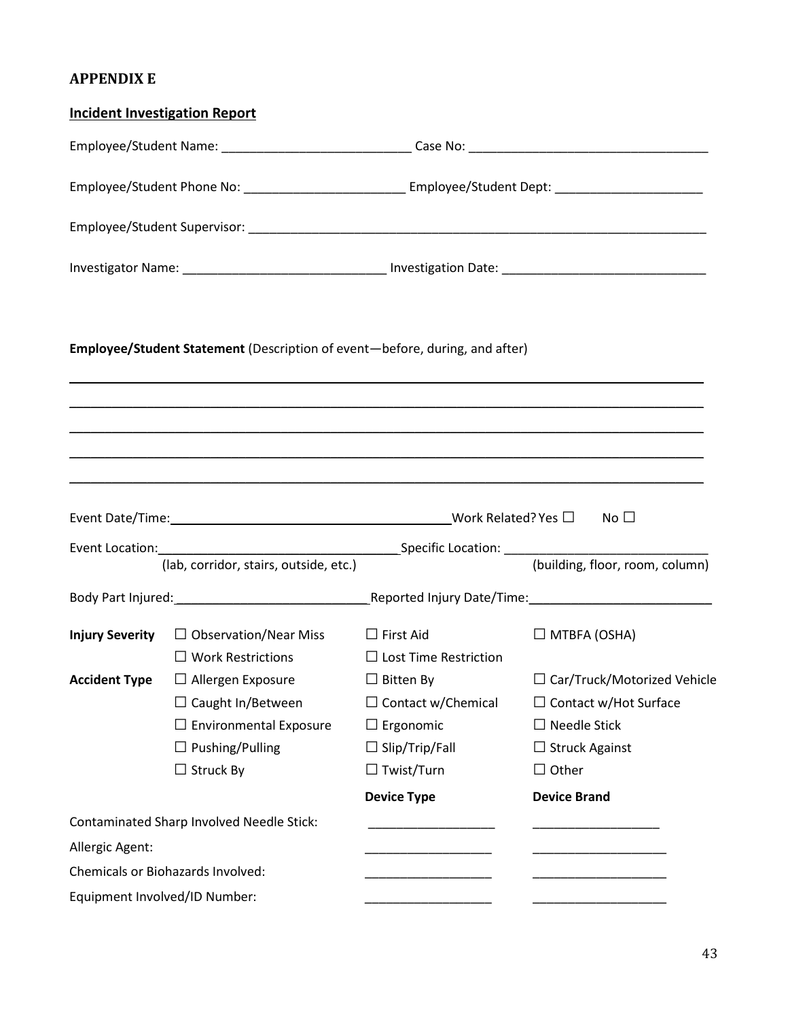# <span id="page-42-0"></span>**APPENDIX E**

<span id="page-42-1"></span>

|                                                                                                           | <b>Incident Investigation Report</b>                                                                                                                            |                              |                                                                                                            |  |
|-----------------------------------------------------------------------------------------------------------|-----------------------------------------------------------------------------------------------------------------------------------------------------------------|------------------------------|------------------------------------------------------------------------------------------------------------|--|
|                                                                                                           |                                                                                                                                                                 |                              |                                                                                                            |  |
|                                                                                                           |                                                                                                                                                                 |                              | Employee/Student Phone No: ______________________________Employee/Student Dept: __________________________ |  |
|                                                                                                           |                                                                                                                                                                 |                              |                                                                                                            |  |
| Investigator Name: ________________________________ Investigation Date: _________________________________ |                                                                                                                                                                 |                              |                                                                                                            |  |
|                                                                                                           | Employee/Student Statement (Description of event-before, during, and after)<br>,我们也不会有什么。""我们的人,我们也不会有什么?""我们的人,我们也不会有什么?""我们的人,我们也不会有什么?""我们的人,我们也不会有什么?""我们的人 |                              |                                                                                                            |  |
|                                                                                                           |                                                                                                                                                                 |                              |                                                                                                            |  |
|                                                                                                           |                                                                                                                                                                 |                              |                                                                                                            |  |
|                                                                                                           |                                                                                                                                                                 |                              |                                                                                                            |  |
|                                                                                                           | (lab, corridor, stairs, outside, etc.)                                                                                                                          |                              | (building, floor, room, column)                                                                            |  |
|                                                                                                           |                                                                                                                                                                 |                              |                                                                                                            |  |
|                                                                                                           | <b>Injury Severity</b> $\Box$ Observation/Near Miss $\Box$ First Aid<br>$\Box$ Work Restrictions                                                                | $\Box$ Lost Time Restriction | $\Box$ MTBFA (OSHA)                                                                                        |  |
|                                                                                                           | Accident Type □ Allergen Exposure                                                                                                                               | $\Box$ Bitten By             | $\Box$ Car/Truck/Motorized Vehicle                                                                         |  |
|                                                                                                           | $\Box$ Caught In/Between                                                                                                                                        | $\Box$ Contact w/Chemical    | $\Box$ Contact w/Hot Surface                                                                               |  |
|                                                                                                           | $\Box$ Environmental Exposure                                                                                                                                   | $\Box$ Ergonomic             | $\Box$ Needle Stick                                                                                        |  |
|                                                                                                           | $\Box$ Pushing/Pulling                                                                                                                                          | $\Box$ Slip/Trip/Fall        | $\Box$ Struck Against                                                                                      |  |
|                                                                                                           | $\Box$ Struck By                                                                                                                                                | $\Box$ Twist/Turn            | $\Box$ Other                                                                                               |  |
|                                                                                                           |                                                                                                                                                                 | <b>Device Type</b>           | <b>Device Brand</b>                                                                                        |  |
|                                                                                                           | <b>Contaminated Sharp Involved Needle Stick:</b>                                                                                                                |                              |                                                                                                            |  |
| Allergic Agent:                                                                                           |                                                                                                                                                                 |                              |                                                                                                            |  |
|                                                                                                           | Chemicals or Biohazards Involved:                                                                                                                               |                              |                                                                                                            |  |
|                                                                                                           | Equipment Involved/ID Number:                                                                                                                                   |                              |                                                                                                            |  |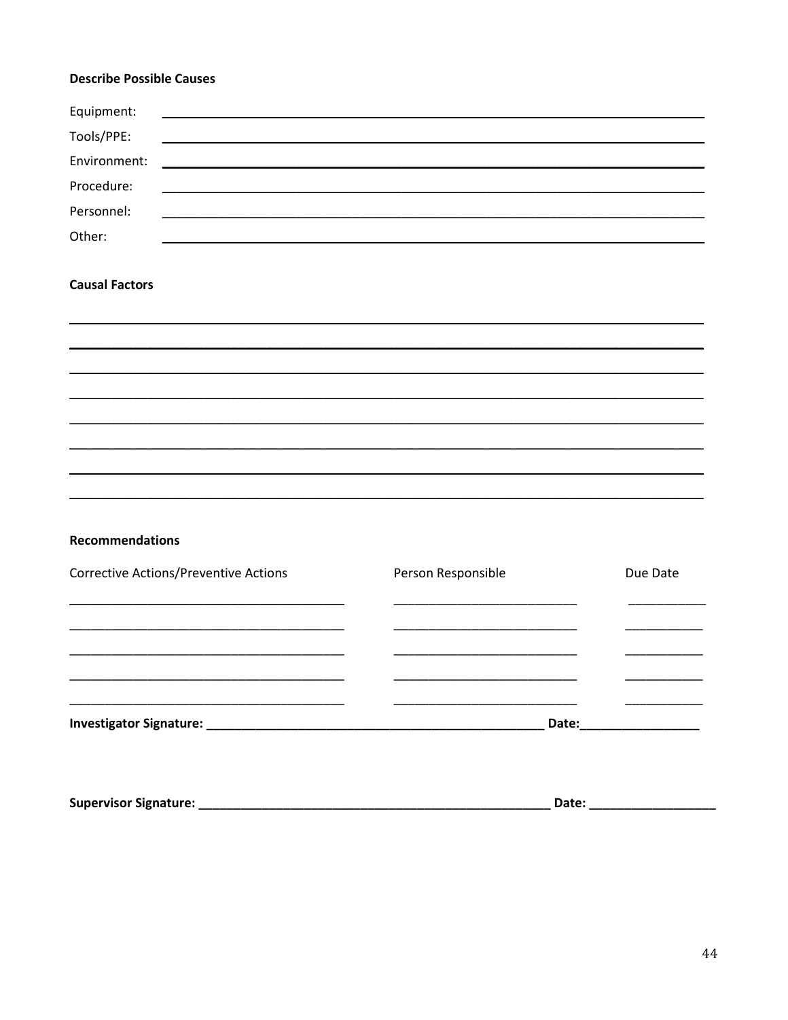#### **Describe Possible Causes**

| Equipment:   | <u> 1989 - Andrea State Barbara, amerikan bahasa di sebagai personal di sebagai personal di sebagai personal di s</u> |
|--------------|-----------------------------------------------------------------------------------------------------------------------|
| Tools/PPE:   |                                                                                                                       |
| Environment: |                                                                                                                       |
| Procedure:   |                                                                                                                       |
| Personnel:   |                                                                                                                       |
| Other:       |                                                                                                                       |

#### **Causal Factors**

#### **Recommendations**

| <b>Corrective Actions/Preventive Actions</b> | Person Responsible |       | Due Date |
|----------------------------------------------|--------------------|-------|----------|
|                                              |                    |       |          |
|                                              |                    |       |          |
|                                              |                    |       |          |
|                                              |                    |       |          |
|                                              |                    | Date: |          |

,我们也不会有什么。""我们的人,我们也不会有什么?""我们的人,我们也不会有什么?""我们的人,我们也不会有什么?""我们的人,我们也不会有什么?""我们的人

| <b>Supervisor Signature:</b> | Date |
|------------------------------|------|
|------------------------------|------|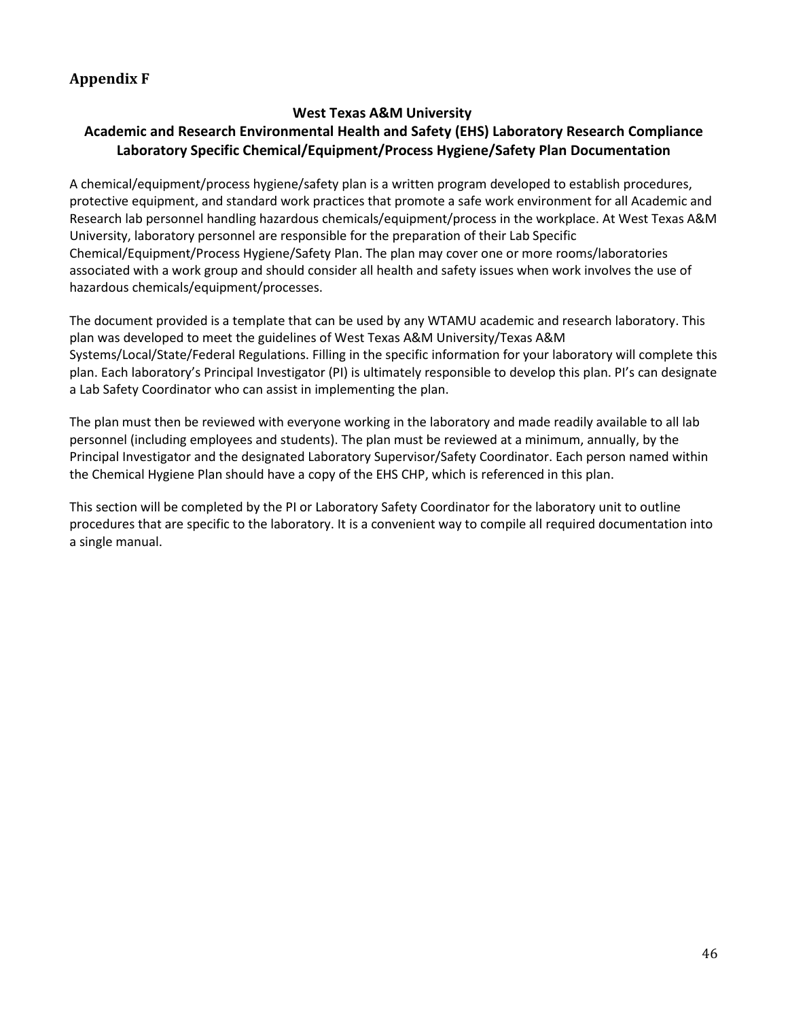# <span id="page-45-0"></span>**Appendix F**

## **West Texas A&M University**

# <span id="page-45-1"></span>**Academic and Research Environmental Health and Safety (EHS) Laboratory Research Compliance Laboratory Specific Chemical/Equipment/Process Hygiene/Safety Plan Documentation**

A chemical/equipment/process hygiene/safety plan is a written program developed to establish procedures, protective equipment, and standard work practices that promote a safe work environment for all Academic and Research lab personnel handling hazardous chemicals/equipment/process in the workplace. At West Texas A&M University, laboratory personnel are responsible for the preparation of their Lab Specific Chemical/Equipment/Process Hygiene/Safety Plan. The plan may cover one or more rooms/laboratories associated with a work group and should consider all health and safety issues when work involves the use of hazardous chemicals/equipment/processes.

The document provided is a template that can be used by any WTAMU academic and research laboratory. This plan was developed to meet the guidelines of West Texas A&M University/Texas A&M Systems/Local/State/Federal Regulations. Filling in the specific information for your laboratory will complete this plan. Each laboratory's Principal Investigator (PI) is ultimately responsible to develop this plan. PI's can designate a Lab Safety Coordinator who can assist in implementing the plan.

The plan must then be reviewed with everyone working in the laboratory and made readily available to all lab personnel (including employees and students). The plan must be reviewed at a minimum, annually, by the Principal Investigator and the designated Laboratory Supervisor/Safety Coordinator. Each person named within the Chemical Hygiene Plan should have a copy of the EHS CHP, which is referenced in this plan.

This section will be completed by the PI or Laboratory Safety Coordinator for the laboratory unit to outline procedures that are specific to the laboratory. It is a convenient way to compile all required documentation into a single manual.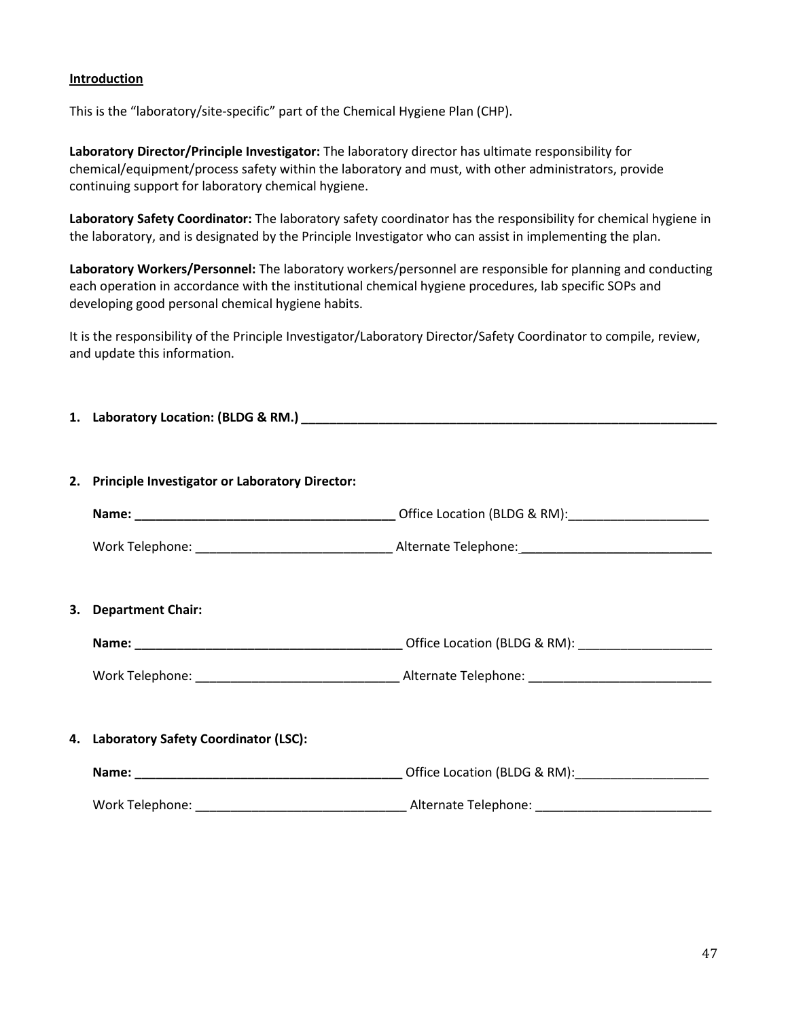#### **Introduction**

This is the "laboratory/site-specific" part of the Chemical Hygiene Plan (CHP).

**Laboratory Director/Principle Investigator:** The laboratory director has ultimate responsibility for chemical/equipment/process safety within the laboratory and must, with other administrators, provide continuing support for laboratory chemical hygiene.

**Laboratory Safety Coordinator:** The laboratory safety coordinator has the responsibility for chemical hygiene in the laboratory, and is designated by the Principle Investigator who can assist in implementing the plan.

**Laboratory Workers/Personnel:** The laboratory workers/personnel are responsible for planning and conducting each operation in accordance with the institutional chemical hygiene procedures, lab specific SOPs and developing good personal chemical hygiene habits.

It is the responsibility of the Principle Investigator/Laboratory Director/Safety Coordinator to compile, review, and update this information.

#### **1. Laboratory Location: (BLDG & RM.) \_\_\_\_\_\_\_\_\_\_\_\_\_\_\_\_\_\_\_\_\_\_\_\_\_\_\_\_\_\_\_\_\_\_\_\_\_\_\_\_\_\_\_\_\_\_\_\_\_\_\_\_\_\_\_\_\_\_\_**

**2. Principle Investigator or Laboratory Director:**

| Name:           | Office Location (BLDG & RM): |
|-----------------|------------------------------|
| Work Telephone: | Alternate Telephone:         |

#### **3. Department Chair:**

| Name:           | Office Location (BLDG & RM): |
|-----------------|------------------------------|
|                 |                              |
| Work Telephone: | Alternate Telephone:         |

**4. Laboratory Safety Coordinator (LSC):**

| Office Location (BLDG & RM): |  |
|------------------------------|--|
| Alternate Telephone:         |  |
|                              |  |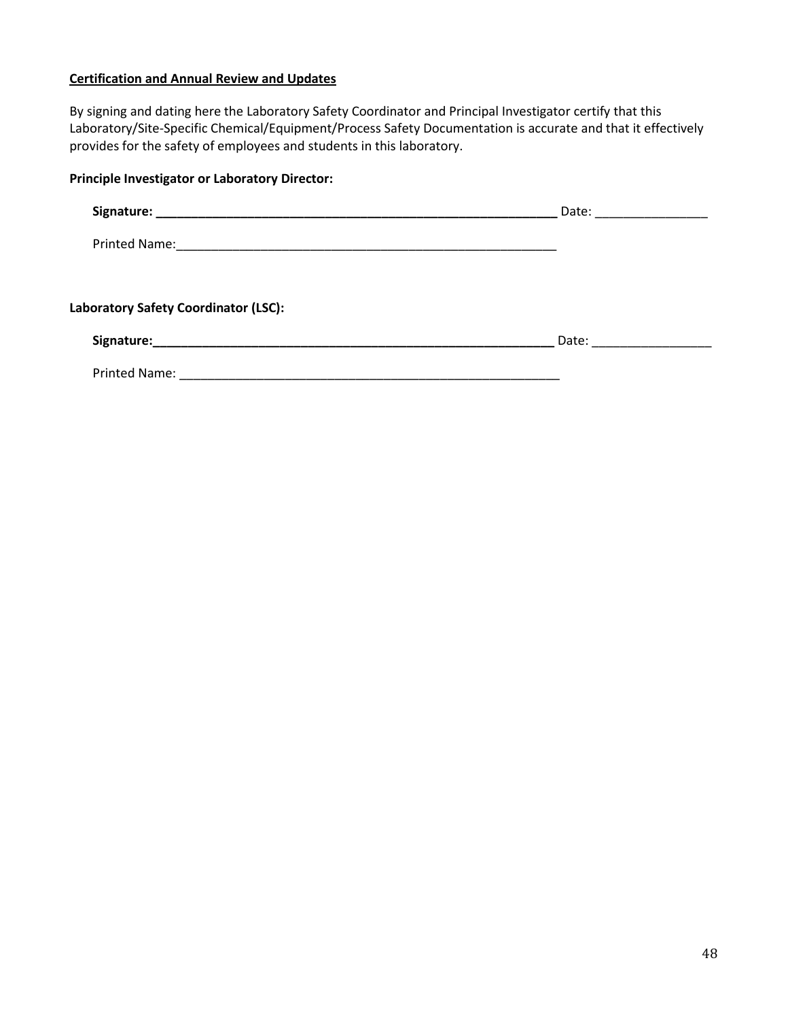#### **Certification and Annual Review and Updates**

By signing and dating here the Laboratory Safety Coordinator and Principal Investigator certify that this Laboratory/Site-Specific Chemical/Equipment/Process Safety Documentation is accurate and that it effectively provides for the safety of employees and students in this laboratory.

| <b>Principle Investigator or Laboratory Director:</b> |                            |
|-------------------------------------------------------|----------------------------|
|                                                       | Date: ____________________ |
|                                                       |                            |
| <b>Laboratory Safety Coordinator (LSC):</b>           |                            |
|                                                       | Date: ______________       |
|                                                       |                            |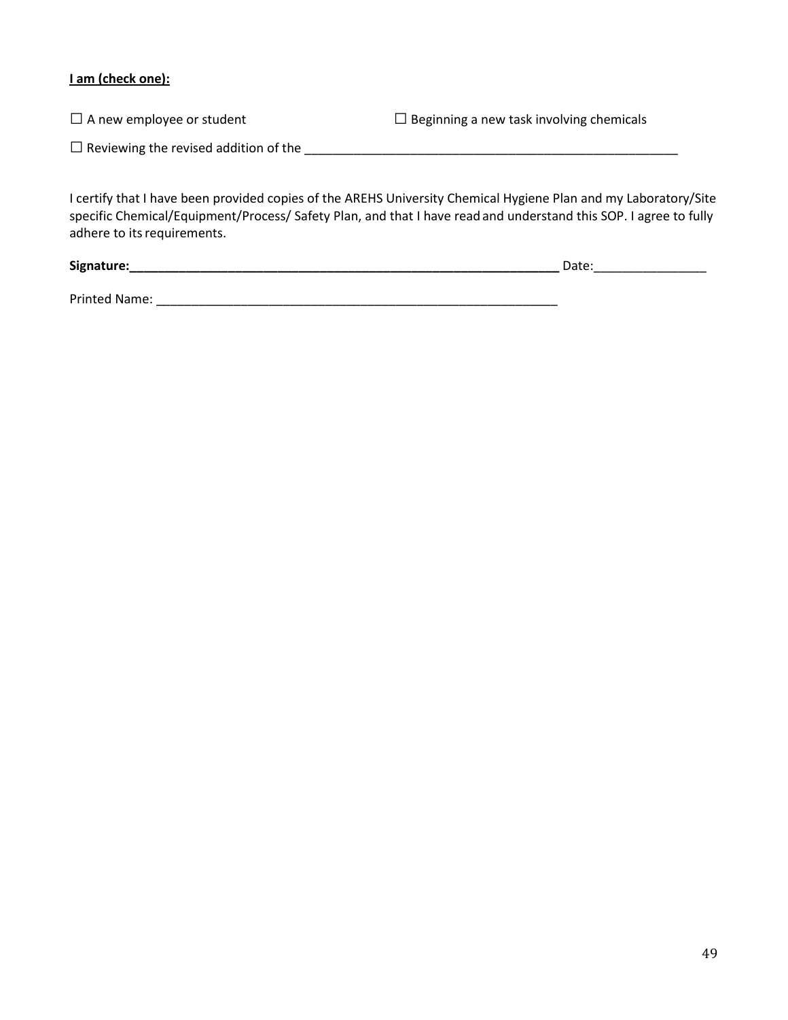#### **I am (check one):**

| $\Box$ A new employee or student | $\Box$ Beginning a new task involving chemicals |
|----------------------------------|-------------------------------------------------|
|                                  |                                                 |

□Reviewing the revised addition of the \_\_\_\_\_\_\_\_\_\_\_\_\_\_\_\_\_\_\_\_\_\_\_\_\_\_\_\_\_\_\_\_\_\_\_\_\_\_\_\_\_\_\_\_\_\_\_\_\_\_\_\_\_

I certify that I have been provided copies of the AREHS University Chemical Hygiene Plan and my Laboratory/Site specific Chemical/Equipment/Process/ Safety Plan, and that I have read and understand this SOP. I agree to fully adhere to its requirements.

| Signature:           | Date: |
|----------------------|-------|
|                      |       |
| <b>Printed Name:</b> |       |

49